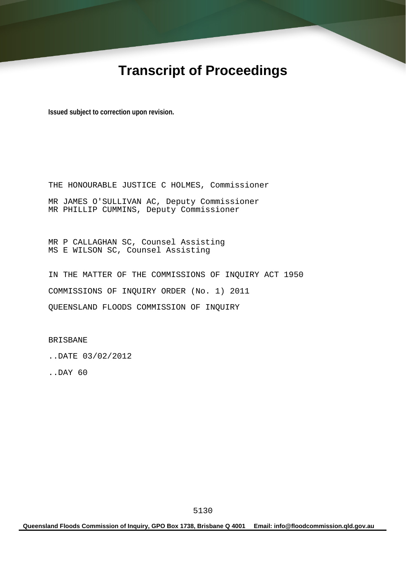# **Transcript of Proceedings**

**Issued subject to correction upon revision.** 

THE HONOURABLE JUSTICE C HOLMES, Commissioner MR JAMES O'SULLIVAN AC, Deputy Commissioner MR PHILLIP CUMMINS, Deputy Commissioner

MR P CALLAGHAN SC, Counsel Assisting MS E WILSON SC, Counsel Assisting

IN THE MATTER OF THE COMMISSIONS OF INQUIRY ACT 1950 COMMISSIONS OF INQUIRY ORDER (No. 1) 2011 QUEENSLAND FLOODS COMMISSION OF INQUIRY

BRISBANE

..DATE 03/02/2012

..DAY 60

**Queensland Floods Commission of Inquiry, GPO Box 1738, Brisbane Q 4001 Email: info@floodcommission.qld.gov.au**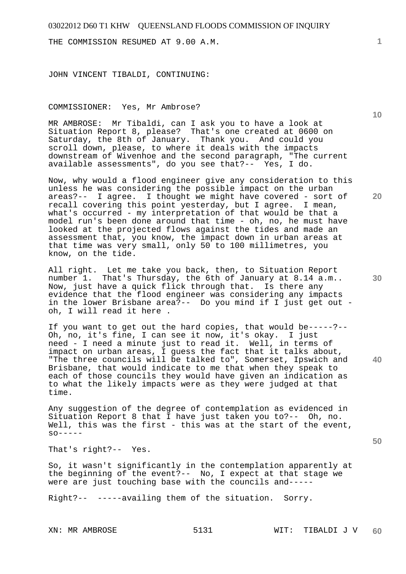THE COMMISSION RESUMED AT 9.00 A.M.

JOHN VINCENT TIBALDI, CONTINUING:

COMMISSIONER: Yes, Mr Ambrose?

MR AMBROSE: Mr Tibaldi, can I ask you to have a look at Situation Report 8, please? That's one created at 0600 on Saturday, the 8th of January. Thank you. And could you scroll down, please, to where it deals with the impacts downstream of Wivenhoe and the second paragraph, "The current available assessments", do you see that?-- Yes, I do.

Now, why would a flood engineer give any consideration to this unless he was considering the possible impact on the urban areas?-- I agree. I thought we might have covered - sort of recall covering this point yesterday, but I agree. I mean, what's occurred - my interpretation of that would be that a model run's been done around that time - oh, no, he must have looked at the projected flows against the tides and made an assessment that, you know, the impact down in urban areas at that time was very small, only 50 to 100 millimetres, you know, on the tide.

All right. Let me take you back, then, to Situation Report number 1. That's Thursday, the 6th of January at 8.14 a.m.. Now, just have a quick flick through that. Is there any evidence that the flood engineer was considering any impacts in the lower Brisbane area?-- Do you mind if I just get out oh, I will read it here .

If you want to get out the hard copies, that would be-----?-- Oh, no, it's fine, I can see it now, it's okay. I just need - I need a minute just to read it. Well, in terms of impact on urban areas, I guess the fact that it talks about, "The three councils will be talked to", Somerset, Ipswich and Brisbane, that would indicate to me that when they speak to each of those councils they would have given an indication as to what the likely impacts were as they were judged at that time.

Any suggestion of the degree of contemplation as evidenced in Situation Report 8 that I have just taken you to?-- Oh, no. Well, this was the first - this was at the start of the event,  $SO------$ 

That's right?-- Yes.

So, it wasn't significantly in the contemplation apparently at the beginning of the event?-- No, I expect at that stage we were are just touching base with the councils and-----

Right?-- -----availing them of the situation. Sorry.

**1**

**20** 

**30** 

**40** 

**50**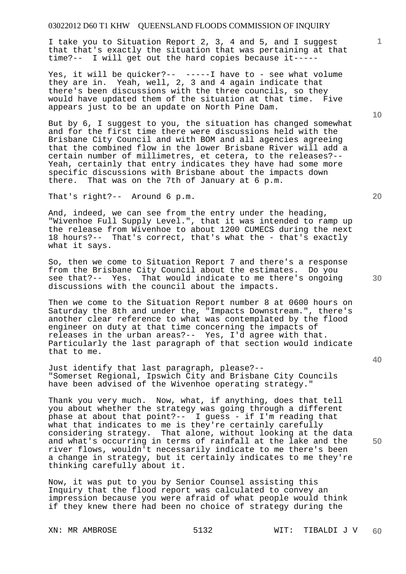I take you to Situation Report 2, 3, 4 and 5, and I suggest that that's exactly the situation that was pertaining at that time?-- I will get out the hard copies because it-----

Yes, it will be quicker?-- -----I have to - see what volume they are in. Yeah, well, 2, 3 and 4 again indicate that there's been discussions with the three councils, so they would have updated them of the situation at that time. Five appears just to be an update on North Pine Dam.

But by 6, I suggest to you, the situation has changed somewhat and for the first time there were discussions held with the Brisbane City Council and with BOM and all agencies agreeing that the combined flow in the lower Brisbane River will add a certain number of millimetres, et cetera, to the releases?-- Yeah, certainly that entry indicates they have had some more specific discussions with Brisbane about the impacts down there. That was on the 7th of January at 6 p.m.

That's right?-- Around 6 p.m.

And, indeed, we can see from the entry under the heading, "Wivenhoe Full Supply Level.", that it was intended to ramp up the release from Wivenhoe to about 1200 CUMECS during the next 18 hours?-- That's correct, that's what the - that's exactly what it says.

So, then we come to Situation Report 7 and there's a response from the Brisbane City Council about the estimates. Do you see that?-- Yes. That would indicate to me there's ongoing discussions with the council about the impacts.

Then we come to the Situation Report number 8 at 0600 hours on Saturday the 8th and under the, "Impacts Downstream.", there's another clear reference to what was contemplated by the flood engineer on duty at that time concerning the impacts of releases in the urban areas?-- Yes, I'd agree with that. Particularly the last paragraph of that section would indicate that to me.

Just identify that last paragraph, please?-- "Somerset Regional, Ipswich City and Brisbane City Councils have been advised of the Wivenhoe operating strategy."

Thank you very much. Now, what, if anything, does that tell you about whether the strategy was going through a different phase at about that point?-- I guess - if I'm reading that what that indicates to me is they're certainly carefully considering strategy. That alone, without looking at the data and what's occurring in terms of rainfall at the lake and the river flows, wouldn't necessarily indicate to me there's been a change in strategy, but it certainly indicates to me they're thinking carefully about it.

Now, it was put to you by Senior Counsel assisting this Inquiry that the flood report was calculated to convey an impression because you were afraid of what people would think if they knew there had been no choice of strategy during the

**20** 

**40** 

**50** 

**10**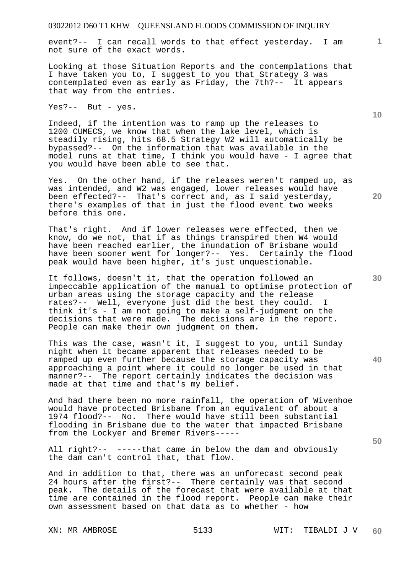event?-- I can recall words to that effect yesterday. I am not sure of the exact words.

Looking at those Situation Reports and the contemplations that I have taken you to, I suggest to you that Strategy 3 was contemplated even as early as Friday, the 7th?-- It appears that way from the entries.

Yes?-- But - yes.

Indeed, if the intention was to ramp up the releases to 1200 CUMECS, we know that when the lake level, which is steadily rising, hits 68.5 Strategy W2 will automatically be bypassed?-- On the information that was available in the model runs at that time, I think you would have - I agree that you would have been able to see that.

Yes. On the other hand, if the releases weren't ramped up, as was intended, and W2 was engaged, lower releases would have been effected?-- That's correct and, as I said yesterday, there's examples of that in just the flood event two weeks before this one.

That's right. And if lower releases were effected, then we know, do we not, that if as things transpired then W4 would have been reached earlier, the inundation of Brisbane would have been sooner went for longer?-- Yes. Certainly the flood peak would have been higher, it's just unquestionable.

It follows, doesn't it, that the operation followed an impeccable application of the manual to optimise protection of urban areas using the storage capacity and the release rates?-- Well, everyone just did the best they could. I think it's - I am not going to make a self-judgment on the decisions that were made. The decisions are in the report. People can make their own judgment on them.

This was the case, wasn't it, I suggest to you, until Sunday night when it became apparent that releases needed to be ramped up even further because the storage capacity was approaching a point where it could no longer be used in that manner?-- The report certainly indicates the decision was made at that time and that's my belief.

And had there been no more rainfall, the operation of Wivenhoe would have protected Brisbane from an equivalent of about a 1974 flood?-- No. There would have still been substantial flooding in Brisbane due to the water that impacted Brisbane from the Lockyer and Bremer Rivers-----

All right?-- -----that came in below the dam and obviously the dam can't control that, that flow.

And in addition to that, there was an unforecast second peak 24 hours after the first?-- There certainly was that second peak. The details of the forecast that were available at that time are contained in the flood report. People can make their own assessment based on that data as to whether - how

**10** 

**20** 

**1**

**30** 

**40**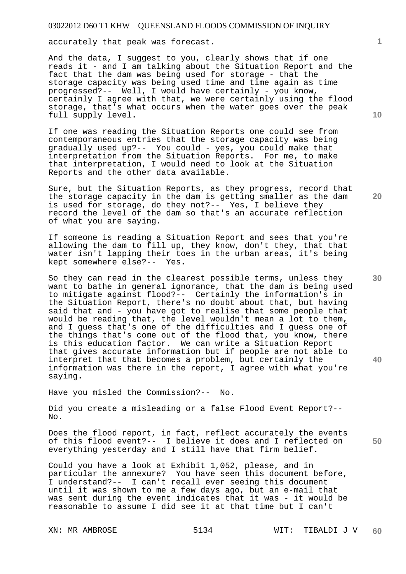accurately that peak was forecast.

And the data, I suggest to you, clearly shows that if one reads it - and I am talking about the Situation Report and the fact that the dam was being used for storage - that the storage capacity was being used time and time again as time progressed?-- Well, I would have certainly - you know, certainly I agree with that, we were certainly using the flood storage, that's what occurs when the water goes over the peak full supply level.

If one was reading the Situation Reports one could see from contemporaneous entries that the storage capacity was being gradually used up?-- You could - yes, you could make that interpretation from the Situation Reports. For me, to make that interpretation, I would need to look at the Situation Reports and the other data available.

Sure, but the Situation Reports, as they progress, record that the storage capacity in the dam is getting smaller as the dam is used for storage, do they not?-- Yes, I believe they record the level of the dam so that's an accurate reflection of what you are saying.

If someone is reading a Situation Report and sees that you're allowing the dam to fill up, they know, don't they, that that water isn't lapping their toes in the urban areas, it's being kept somewhere else?-- Yes.

So they can read in the clearest possible terms, unless they want to bathe in general ignorance, that the dam is being used to mitigate against flood?-- Certainly the information's in the Situation Report, there's no doubt about that, but having said that and - you have got to realise that some people that would be reading that, the level wouldn't mean a lot to them, and I guess that's one of the difficulties and I guess one of the things that's come out of the flood that, you know, there is this education factor. We can write a Situation Report that gives accurate information but if people are not able to interpret that that becomes a problem, but certainly the information was there in the report, I agree with what you're saying.

Have you misled the Commission?-- No.

Did you create a misleading or a false Flood Event Report?-- No.

Does the flood report, in fact, reflect accurately the events of this flood event?-- I believe it does and I reflected on everything yesterday and I still have that firm belief.

Could you have a look at Exhibit 1,052, please, and in particular the annexure? You have seen this document before, I understand?-- I can't recall ever seeing this document until it was shown to me a few days ago, but an e-mail that was sent during the event indicates that it was - it would be reasonable to assume I did see it at that time but I can't

**10** 

**1**

**20** 

**30** 

**40**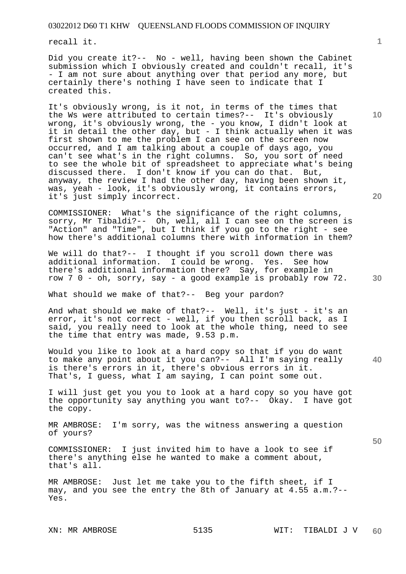recall it.

Did you create it?-- No - well, having been shown the Cabinet submission which I obviously created and couldn't recall, it's - I am not sure about anything over that period any more, but certainly there's nothing I have seen to indicate that I created this.

It's obviously wrong, is it not, in terms of the times that the Ws were attributed to certain times?-- It's obviously wrong, it's obviously wrong, the - you know, I didn't look at it in detail the other day, but - I think actually when it was first shown to me the problem I can see on the screen now occurred, and I am talking about a couple of days ago, you can't see what's in the right columns. So, you sort of need to see the whole bit of spreadsheet to appreciate what's being discussed there. I don't know if you can do that. But, anyway, the review I had the other day, having been shown it, was, yeah - look, it's obviously wrong, it contains errors, it's just simply incorrect.

COMMISSIONER: What's the significance of the right columns, sorry, Mr Tibaldi?-- Oh, well, all I can see on the screen is "Action" and "Time", but I think if you go to the right - see how there's additional columns there with information in them?

We will do that?-- I thought if you scroll down there was additional information. I could be wrong. Yes. See how there's additional information there? Say, for example in row 7 0 - oh, sorry, say - a good example is probably row 72.

What should we make of that?-- Beg your pardon?

And what should we make of that?-- Well, it's just - it's an error, it's not correct - well, if you then scroll back, as I said, you really need to look at the whole thing, need to see the time that entry was made, 9.53 p.m.

Would you like to look at a hard copy so that if you do want to make any point about it you can?-- All I'm saying really is there's errors in it, there's obvious errors in it. That's, I guess, what I am saying, I can point some out.

I will just get you you to look at a hard copy so you have got the opportunity say anything you want to?-- Okay. I have got the copy.

MR AMBROSE: I'm sorry, was the witness answering a question of yours?

COMMISSIONER: I just invited him to have a look to see if there's anything else he wanted to make a comment about, that's all.

MR AMBROSE: Just let me take you to the fifth sheet, if I may, and you see the entry the 8th of January at 4.55 a.m.?-- Yes.

**10** 

**1**

**30** 

**20** 

**40**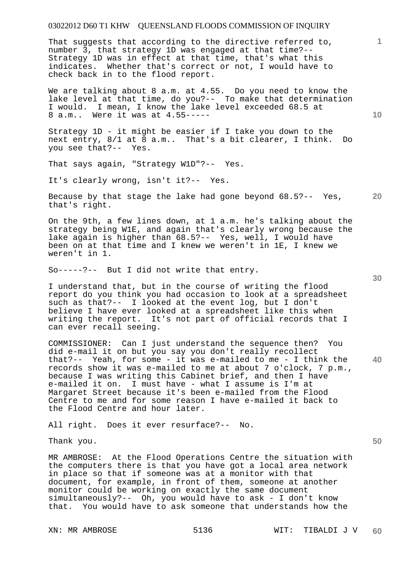That suggests that according to the directive referred to, number 3, that strategy 1D was engaged at that time?-- Strategy 1D was in effect at that time, that's what this indicates. Whether that's correct or not, I would have to check back in to the flood report.

We are talking about 8 a.m. at 4.55. Do you need to know the lake level at that time, do you?-- To make that determination I would. I mean, I know the lake level exceeded 68.5 at 8 a.m.. Were it was at 4.55-----

Strategy 1D - it might be easier if I take you down to the next entry, 8/1 at 8 a.m.. That's a bit clearer, I think. Do you see that?-- Yes.

That says again, "Strategy W1D"?-- Yes.

It's clearly wrong, isn't it?-- Yes.

**20**  Because by that stage the lake had gone beyond 68.5?-- Yes, that's right.

On the 9th, a few lines down, at 1 a.m. he's talking about the strategy being W1E, and again that's clearly wrong because the lake again is higher than 68.5?-- Yes, well, I would have been on at that time and I knew we weren't in 1E, I knew we weren't in 1.

So-----?-- But I did not write that entry.

I understand that, but in the course of writing the flood report do you think you had occasion to look at a spreadsheet such as that?-- I looked at the event log, but I don't believe I have ever looked at a spreadsheet like this when writing the report. It's not part of official records that I can ever recall seeing.

**40**  COMMISSIONER: Can I just understand the sequence then? You did e-mail it on but you say you don't really recollect that?-- Yeah, for some - it was e-mailed to me - I think the records show it was e-mailed to me at about 7 o'clock, 7 p.m., because I was writing this Cabinet brief, and then I have e-mailed it on. I must have - what I assume is I'm at Margaret Street because it's been e-mailed from the Flood Centre to me and for some reason I have e-mailed it back to the Flood Centre and hour later.

All right. Does it ever resurface?-- No.

Thank you.

MR AMBROSE: At the Flood Operations Centre the situation with the computers there is that you have got a local area network in place so that if someone was at a monitor with that document, for example, in front of them, someone at another monitor could be working on exactly the same document simultaneously?-- Oh, you would have to ask - I don't know that. You would have to ask someone that understands how the

**10** 

**1**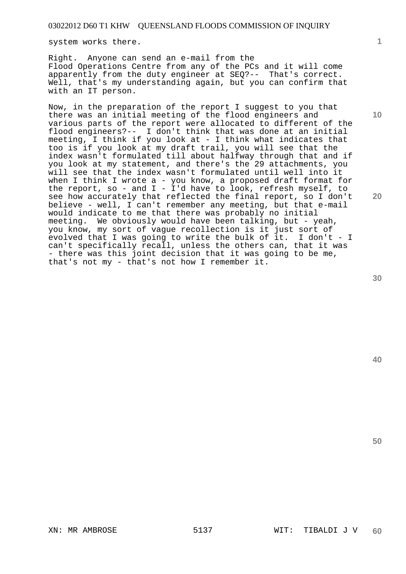system works there.

Right. Anyone can send an e-mail from the Flood Operations Centre from any of the PCs and it will come apparently from the duty engineer at SEQ?-- That's correct. Well, that's my understanding again, but you can confirm that with an IT person.

Now, in the preparation of the report I suggest to you that there was an initial meeting of the flood engineers and various parts of the report were allocated to different of the flood engineers?-- I don't think that was done at an initial meeting, I think if you look at - I think what indicates that too is if you look at my draft trail, you will see that the index wasn't formulated till about halfway through that and if you look at my statement, and there's the 29 attachments, you will see that the index wasn't formulated until well into it when I think I wrote a - you know, a proposed draft format for the report, so - and  $I - I'$ d have to look, refresh myself, to see how accurately that reflected the final report, so I don't believe - well, I can't remember any meeting, but that e-mail would indicate to me that there was probably no initial meeting. We obviously would have been talking, but - yeah, you know, my sort of vague recollection is it just sort of evolved that I was going to write the bulk of it. I don't - I can't specifically recall, unless the others can, that it was - there was this joint decision that it was going to be me, that's not my - that's not how I remember it.

**20** 

**1**

**10** 

**40**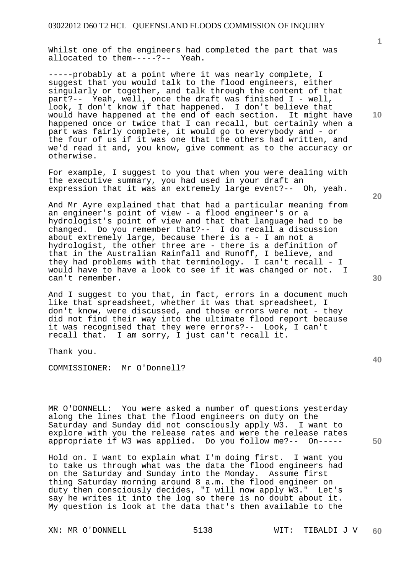Whilst one of the engineers had completed the part that was allocated to them-----?-- Yeah.

-----probably at a point where it was nearly complete, I suggest that you would talk to the flood engineers, either singularly or together, and talk through the content of that part?-- Yeah, well, once the draft was finished I - well, look, I don't know if that happened. I don't believe that would have happened at the end of each section. It might have happened once or twice that I can recall, but certainly when a part was fairly complete, it would go to everybody and - or the four of us if it was one that the others had written, and we'd read it and, you know, give comment as to the accuracy or otherwise.

For example, I suggest to you that when you were dealing with the executive summary, you had used in your draft an expression that it was an extremely large event?-- Oh, yeah.

And Mr Ayre explained that that had a particular meaning from an engineer's point of view - a flood engineer's or a hydrologist's point of view and that that language had to be changed. Do you remember that?-- I do recall a discussion about extremely large, because there is a - I am not a hydrologist, the other three are - there is a definition of that in the Australian Rainfall and Runoff, I believe, and they had problems with that terminology. I can't recall - I would have to have a look to see if it was changed or not. I can't remember.

And I suggest to you that, in fact, errors in a document much like that spreadsheet, whether it was that spreadsheet, I don't know, were discussed, and those errors were not - they did not find their way into the ultimate flood report because it was recognised that they were errors?-- Look, I can't recall that. I am sorry, I just can't recall it.

Thank you.

COMMISSIONER: Mr O'Donnell?

MR O'DONNELL: You were asked a number of questions yesterday along the lines that the flood engineers on duty on the Saturday and Sunday did not consciously apply W3. I want to explore with you the release rates and were the release rates appropriate if W3 was applied. Do you follow me?-- On-----

Hold on. I want to explain what I'm doing first. I want you to take us through what was the data the flood engineers had on the Saturday and Sunday into the Monday. Assume first thing Saturday morning around 8 a.m. the flood engineer on duty then consciously decides, "I will now apply W3." Let's say he writes it into the log so there is no doubt about it. My question is look at the data that's then available to the

**10** 

**1**

**20** 

**30**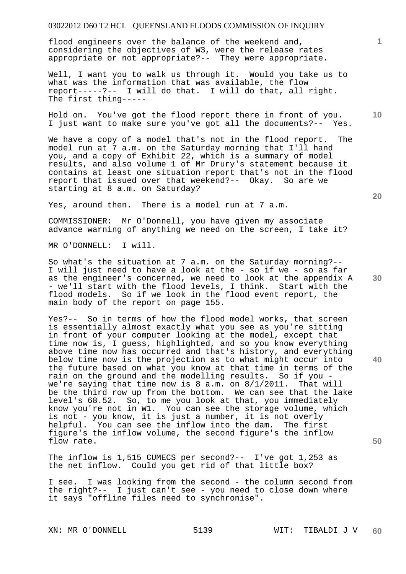flood engineers over the balance of the weekend and, considering the objectives of W3, were the release rates appropriate or not appropriate?-- They were appropriate.

Well, I want you to walk us through it. Would you take us to what was the information that was available, the flow report-----?-- I will do that. I will do that, all right. The first thing-----

Hold on. You've got the flood report there in front of you. I just want to make sure you've got all the documents?-- Yes.

We have a copy of a model that's not in the flood report. The model run at 7 a.m. on the Saturday morning that I'll hand you, and a copy of Exhibit 22, which is a summary of model results, and also volume 1 of Mr Drury's statement because it contains at least one situation report that's not in the flood report that issued over that weekend?-- Okay. So are we starting at 8 a.m. on Saturday?

Yes, around then. There is a model run at 7 a.m.

COMMISSIONER: Mr O'Donnell, you have given my associate advance warning of anything we need on the screen, I take it?

MR O'DONNELL: I will.

So what's the situation at 7 a.m. on the Saturday morning?-- I will just need to have a look at the - so if we - so as far as the engineer's concerned, we need to look at the appendix A - we'll start with the flood levels, I think. Start with the flood models. So if we look in the flood event report, the main body of the report on page 155.

Yes?-- So in terms of how the flood model works, that screen is essentially almost exactly what you see as you're sitting in front of your computer looking at the model, except that time now is, I guess, highlighted, and so you know everything above time now has occurred and that's history, and everything below time now is the projection as to what might occur into the future based on what you know at that time in terms of the rain on the ground and the modelling results. So if you we're saying that time now is 8 a.m. on 8/1/2011. That will be the third row up from the bottom. We can see that the lake level's 68.52. So, to me you look at that, you immediately know you're not in W1. You can see the storage volume, which is not - you know, it is just a number, it is not overly helpful. You can see the inflow into the dam. The first figure's the inflow volume, the second figure's the inflow flow rate.

The inflow is 1,515 CUMECS per second?-- I've got 1,253 as the net inflow. Could you get rid of that little box?

I see. I was looking from the second - the column second from the right?-- I just can't see - you need to close down where it says "offline files need to synchronise".

**10** 

**1**

**50**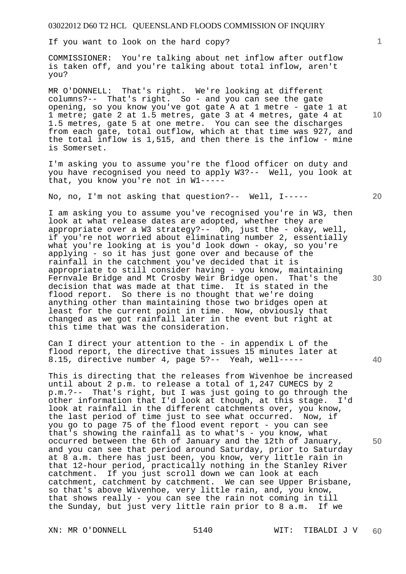If you want to look on the hard copy?

COMMISSIONER: You're talking about net inflow after outflow is taken off, and you're talking about total inflow, aren't you?

MR O'DONNELL: That's right. We're looking at different columns?-- That's right. So - and you can see the gate opening, so you know you've got gate A at 1 metre - gate 1 at 1 metre; gate 2 at 1.5 metres, gate 3 at 4 metres, gate 4 at 1.5 metres, gate 5 at one metre. You can see the discharges from each gate, total outflow, which at that time was 927, and the total inflow is 1,515, and then there is the inflow - mine is Somerset.

I'm asking you to assume you're the flood officer on duty and you have recognised you need to apply W3?-- Well, you look at that, you know you're not in W1-----

No, no, I'm not asking that question?-- Well, I-----

I am asking you to assume you've recognised you're in W3, then look at what release dates are adopted, whether they are appropriate over a W3 strategy?-- Oh, just the - okay, well, if you're not worried about eliminating number 2, essentially what you're looking at is you'd look down - okay, so you're applying - so it has just gone over and because of the rainfall in the catchment you've decided that it is appropriate to still consider having - you know, maintaining Fernvale Bridge and Mt Crosby Weir Bridge open. That's the decision that was made at that time. It is stated in the flood report. So there is no thought that we're doing anything other than maintaining those two bridges open at least for the current point in time. Now, obviously that changed as we got rainfall later in the event but right at this time that was the consideration.

Can I direct your attention to the - in appendix L of the flood report, the directive that issues 15 minutes later at 8.15, directive number 4, page 5?-- Yeah, well-----

This is directing that the releases from Wivenhoe be increased until about 2 p.m. to release a total of 1,247 CUMECS by 2 p.m.?-- That's right, but I was just going to go through the other information that I'd look at though, at this stage. I'd look at rainfall in the different catchments over, you know, the last period of time just to see what occurred. Now, if you go to page 75 of the flood event report - you can see that's showing the rainfall as to what's - you know, what occurred between the 6th of January and the 12th of January, and you can see that period around Saturday, prior to Saturday at 8 a.m. there has just been, you know, very little rain in that 12-hour period, practically nothing in the Stanley River catchment. If you just scroll down we can look at each catchment, catchment by catchment. We can see Upper Brisbane, so that's above Wivenhoe, very little rain, and, you know, that shows really - you can see the rain not coming in till the Sunday, but just very little rain prior to 8 a.m. If we

**1**

**20** 

**40**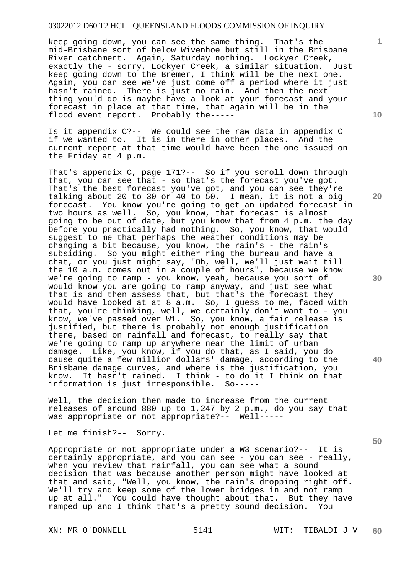keep going down, you can see the same thing. That's the mid-Brisbane sort of below Wivenhoe but still in the Brisbane River catchment. Again, Saturday nothing. Lockyer Creek, exactly the - sorry, Lockyer Creek, a similar situation. Just keep going down to the Bremer, I think will be the next one. Again, you can see we've just come off a period where it just hasn't rained. There is just no rain. And then the next thing you'd do is maybe have a look at your forecast and your forecast in place at that time, that again will be in the flood event report. Probably the-----

Is it appendix C?-- We could see the raw data in appendix C if we wanted to. It is in there in other places. And the current report at that time would have been the one issued on the Friday at 4 p.m.

That's appendix C, page 171?-- So if you scroll down through that, you can see that - so that's the forecast you've got. That's the best forecast you've got, and you can see they're talking about 20 to 30 or 40 to 50. I mean, it is not a big forecast. You know you're going to get an updated forecast in two hours as well. So, you know, that forecast is almost going to be out of date, but you know that from 4 p.m. the day before you practically had nothing. So, you know, that would suggest to me that perhaps the weather conditions may be changing a bit because, you know, the rain's - the rain's subsiding. So you might either ring the bureau and have a chat, or you just might say, "Oh, well, we'll just wait till the 10 a.m. comes out in a couple of hours", because we know we're going to ramp - you know, yeah, because you sort of would know you are going to ramp anyway, and just see what that is and then assess that, but that's the forecast they would have looked at at 8 a.m. So, I guess to me, faced with that, you're thinking, well, we certainly don't want to - you know, we've passed over W1. So, you know, a fair release is justified, but there is probably not enough justification there, based on rainfall and forecast, to really say that we're going to ramp up anywhere near the limit of urban damage. Like, you know, if you do that, as I said, you do cause quite a few million dollars' damage, according to the Brisbane damage curves, and where is the justification, you know. It hasn't rained. I think - to do it I think on that information is just irresponsible. So-----

Well, the decision then made to increase from the current releases of around 880 up to 1,247 by 2 p.m., do you say that was appropriate or not appropriate?-- Well-----

Let me finish?-- Sorry.

Appropriate or not appropriate under a W3 scenario?-- It is certainly appropriate, and you can see - you can see - really, when you review that rainfall, you can see what a sound decision that was because another person might have looked at that and said, "Well, you know, the rain's dropping right off. We'll try and keep some of the lower bridges in and not ramp up at all." You could have thought about that. But they have ramped up and I think that's a pretty sound decision. You

**10** 

**1**

**20** 

**30** 

**40**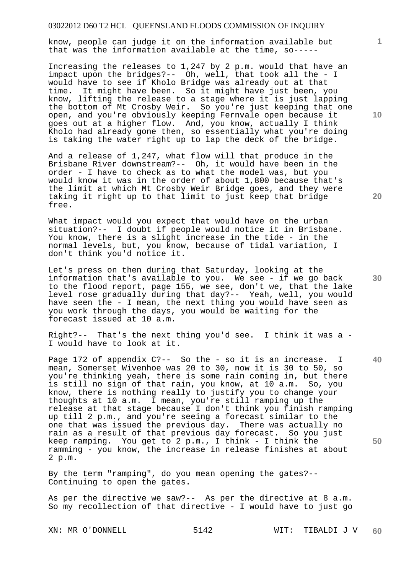know, people can judge it on the information available but that was the information available at the time, so-----

Increasing the releases to 1,247 by 2 p.m. would that have an impact upon the bridges?-- Oh, well, that took all the - I would have to see if Kholo Bridge was already out at that time. It might have been. So it might have just been, you know, lifting the release to a stage where it is just lapping the bottom of Mt Crosby Weir. So you're just keeping that one open, and you're obviously keeping Fernvale open because it goes out at a higher flow. And, you know, actually I think Kholo had already gone then, so essentially what you're doing is taking the water right up to lap the deck of the bridge.

And a release of 1,247, what flow will that produce in the Brisbane River downstream?-- Oh, it would have been in the order - I have to check as to what the model was, but you would know it was in the order of about 1,800 because that's the limit at which Mt Crosby Weir Bridge goes, and they were taking it right up to that limit to just keep that bridge free.

What impact would you expect that would have on the urban situation?-- I doubt if people would notice it in Brisbane. You know, there is a slight increase in the tide - in the normal levels, but, you know, because of tidal variation, I don't think you'd notice it.

Let's press on then during that Saturday, looking at the information that's available to you. We see - if we go back to the flood report, page 155, we see, don't we, that the lake level rose gradually during that day?-- Yeah, well, you would have seen the - I mean, the next thing you would have seen as you work through the days, you would be waiting for the forecast issued at 10 a.m.

Right?-- That's the next thing you'd see. I think it was a -I would have to look at it.

Page 172 of appendix C?-- So the - so it is an increase. I mean, Somerset Wivenhoe was 20 to 30, now it is 30 to 50, so you're thinking yeah, there is some rain coming in, but there is still no sign of that rain, you know, at 10 a.m. So, you know, there is nothing really to justify you to change your thoughts at 10 a.m. I mean, you're still ramping up the release at that stage because I don't think you finish ramping up till 2 p.m., and you're seeing a forecast similar to the one that was issued the previous day. There was actually no rain as a result of that previous day forecast. So you just keep ramping. You get to 2 p.m., I think - I think the ramming - you know, the increase in release finishes at about 2 p.m.

By the term "ramping", do you mean opening the gates?-- Continuing to open the gates.

As per the directive we saw?-- As per the directive at 8 a.m. So my recollection of that directive - I would have to just go

**10** 

**1**

**20** 

**40**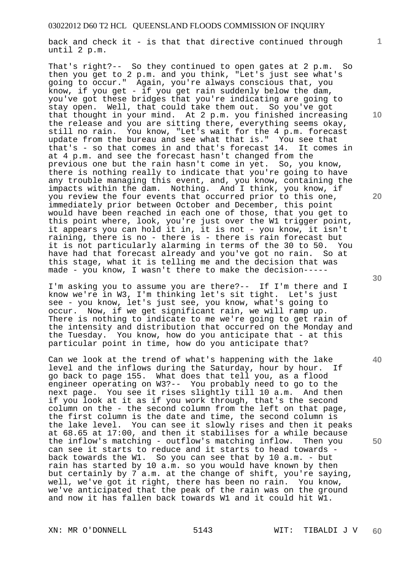back and check it - is that that directive continued through until 2 p.m.

That's right?-- So they continued to open gates at 2 p.m. So then you get to 2 p.m. and you think, "Let's just see what's going to occur." Again, you're always conscious that, you know, if you get - if you get rain suddenly below the dam, you've got these bridges that you're indicating are going to stay open. Well, that could take them out. So you've got that thought in your mind. At 2 p.m. you finished increasing the release and you are sitting there, everything seems okay, still no rain. You know, "Let's wait for the 4 p.m. forecast update from the bureau and see what that is." You see that that's - so that comes in and that's forecast 14. It comes in at 4 p.m. and see the forecast hasn't changed from the previous one but the rain hasn't come in yet. So, you know, there is nothing really to indicate that you're going to have any trouble managing this event, and, you know, containing the impacts within the dam. Nothing. And I think, you know, if you review the four events that occurred prior to this one, immediately prior between October and December, this point would have been reached in each one of those, that you get to this point where, look, you're just over the W1 trigger point, it appears you can hold it in, it is not - you know, it isn't raining, there is no - there is - there is rain forecast but it is not particularly alarming in terms of the 30 to 50. You have had that forecast already and you've got no rain. So at this stage, what it is telling me and the decision that was made - you know, I wasn't there to make the decision-----

I'm asking you to assume you are there?-- If I'm there and I know we're in W3, I'm thinking let's sit tight. Let's just see - you know, let's just see, you know, what's going to occur. Now, if we get significant rain, we will ramp up. There is nothing to indicate to me we're going to get rain of the intensity and distribution that occurred on the Monday and the Tuesday. You know, how do you anticipate that - at this particular point in time, how do you anticipate that?

Can we look at the trend of what's happening with the lake level and the inflows during the Saturday, hour by hour. If go back to page 155. What does that tell you, as a flood engineer operating on W3?-- You probably need to go to the next page. You see it rises slightly till 10 a.m. And then if you look at it as if you work through, that's the second column on the - the second column from the left on that page, the first column is the date and time, the second column is the lake level. You can see it slowly rises and then it peaks at 68.65 at 17:00, and then it stabilises for a while because the inflow's matching - outflow's matching inflow. Then you can see it starts to reduce and it starts to head towards back towards the W1. So you can see that by 10 a.m. - but rain has started by 10 a.m. so you would have known by then but certainly by 7 a.m. at the change of shift, you're saying, well, we've got it right, there has been no rain. You know, we've anticipated that the peak of the rain was on the ground and now it has fallen back towards W1 and it could hit W1.

**1**

**20** 

**40**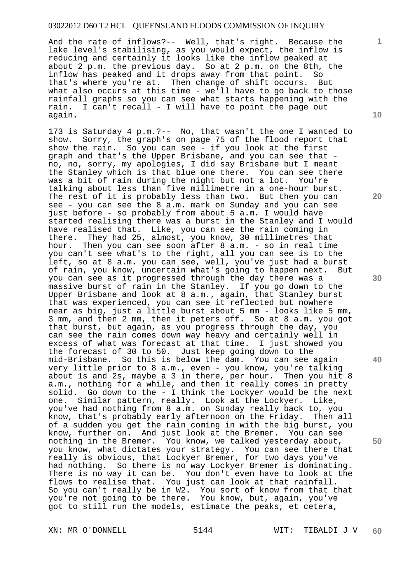And the rate of inflows?-- Well, that's right. Because the lake level's stabilising, as you would expect, the inflow is reducing and certainly it looks like the inflow peaked at about 2 p.m. the previous day. So at 2 p.m. on the 8th, the inflow has peaked and it drops away from that point. So that's where you're at. Then change of shift occurs. But what also occurs at this time - we'll have to go back to those rainfall graphs so you can see what starts happening with the rain. I can't recall - I will have to point the page out again.

173 is Saturday 4 p.m.?-- No, that wasn't the one I wanted to show. Sorry, the graph's on page 75 of the flood report that show the rain. So you can see - if you look at the first graph and that's the Upper Brisbane, and you can see that no, no, sorry, my apologies, I did say Brisbane but I meant the Stanley which is that blue one there. You can see there was a bit of rain during the night but not a lot. You're talking about less than five millimetre in a one-hour burst. The rest of it is probably less than two. But then you can see - you can see the 8 a.m. mark on Sunday and you can see just before - so probably from about 5 a.m. I would have started realising there was a burst in the Stanley and I would have realised that. Like, you can see the rain coming in there. They had 25, almost, you know, 30 millimetres that hour. Then you can see soon after 8 a.m. - so in real time you can't see what's to the right, all you can see is to the left, so at 8 a.m. you can see, well, you've just had a burst of rain, you know, uncertain what's going to happen next. But you can see as it progressed through the day there was a massive burst of rain in the Stanley. If you go down to the Upper Brisbane and look at 8 a.m., again, that Stanley burst that was experienced, you can see it reflected but nowhere near as big, just a little burst about 5 mm - looks like 5 mm, 3 mm, and then 2 mm, then it peters off. So at 8 a.m. you got that burst, but again, as you progress through the day, you can see the rain comes down way heavy and certainly well in excess of what was forecast at that time. I just showed you the forecast of 30 to 50. Just keep going down to the mid-Brisbane. So this is below the dam. You can see again very little prior to 8 a.m., even - you know, you're talking about 1s and 2s, maybe a 3 in there, per hour. Then you hit 8 a.m., nothing for a while, and then it really comes in pretty solid. Go down to the - I think the Lockyer would be the next one. Similar pattern, really. Look at the Lockyer. Like, you've had nothing from 8 a.m. on Sunday really back to, you know, that's probably early afternoon on the Friday. Then all of a sudden you get the rain coming in with the big burst, you know, further on. And just look at the Bremer. You can see nothing in the Bremer. You know, we talked yesterday about, you know, what dictates your strategy. You can see there that really is obvious, that Lockyer Bremer, for two days you've had nothing. So there is no way Lockyer Bremer is dominating. There is no way it can be. You don't even have to look at the flows to realise that. You just can look at that rainfall. So you can't really be in W2. You sort of know from that that you're not going to be there. You know, but, again, you've got to still run the models, estimate the peaks, et cetera,

**1**

**20** 

**30** 

**40** 

**50**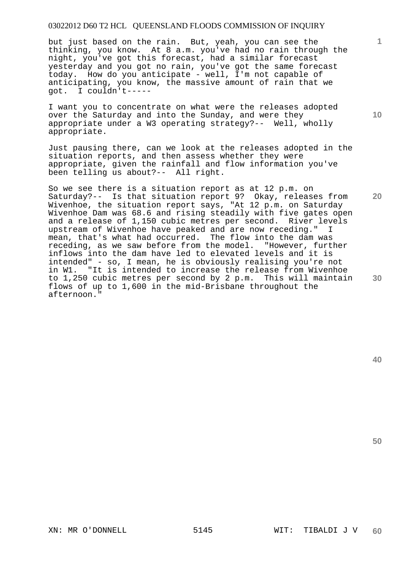but just based on the rain. But, yeah, you can see the thinking, you know. At 8 a.m. you've had no rain through the night, you've got this forecast, had a similar forecast yesterday and you got no rain, you've got the same forecast today. How do you anticipate - well, I'm not capable of anticipating, you know, the massive amount of rain that we got. I couldn't-----

I want you to concentrate on what were the releases adopted over the Saturday and into the Sunday, and were they appropriate under a W3 operating strategy?-- Well, wholly appropriate.

Just pausing there, can we look at the releases adopted in the situation reports, and then assess whether they were appropriate, given the rainfall and flow information you've been telling us about?-- All right.

**20 30**  So we see there is a situation report as at 12 p.m. on Saturday?-- Is that situation report 9? Okay, releases from Wivenhoe, the situation report says, "At 12 p.m. on Saturday Wivenhoe Dam was 68.6 and rising steadily with five gates open and a release of 1,150 cubic metres per second. River levels upstream of Wivenhoe have peaked and are now receding." I mean, that's what had occurred. The flow into the dam was receding, as we saw before from the model. "However, further inflows into the dam have led to elevated levels and it is intended" - so, I mean, he is obviously realising you're not in W1. "It is intended to increase the release from Wivenhoe to 1,250 cubic metres per second by 2 p.m. This will maintain flows of up to 1,600 in the mid-Brisbane throughout the afternoon."

**40** 

**50** 

**1**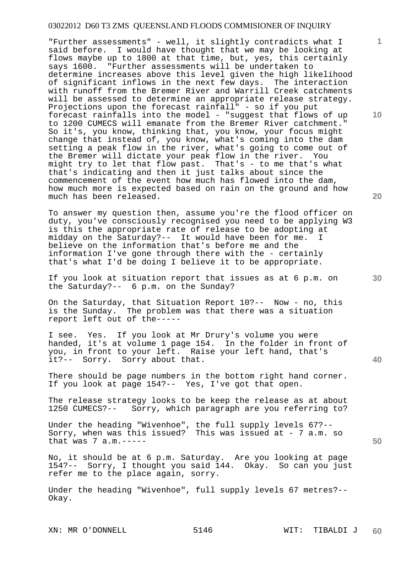"Further assessments" - well, it slightly contradicts what I said before. I would have thought that we may be looking at flows maybe up to 1800 at that time, but, yes, this certainly says 1600. "Further assessments will be undertaken to determine increases above this level given the high likelihood of significant inflows in the next few days. The interaction with runoff from the Bremer River and Warrill Creek catchments will be assessed to determine an appropriate release strategy. Projections upon the forecast rainfall" - so if you put forecast rainfalls into the model - "suggest that flows of up to 1200 CUMECS will emanate from the Bremer River catchment." So it's, you know, thinking that, you know, your focus might change that instead of, you know, what's coming into the dam setting a peak flow in the river, what's going to come out of the Bremer will dictate your peak flow in the river. You might try to let that flow past. That's - to me that's what that's indicating and then it just talks about since the commencement of the event how much has flowed into the dam, how much more is expected based on rain on the ground and how much has been released.

To answer my question then, assume you're the flood officer on duty, you've consciously recognised you need to be applying W3 is this the appropriate rate of release to be adopting at midday on the Saturday?-- It would have been for me. believe on the information that's before me and the information I've gone through there with the - certainly that's what I'd be doing I believe it to be appropriate.

If you look at situation report that issues as at 6 p.m. on the Saturday?-- 6 p.m. on the Sunday?

On the Saturday, that Situation Report 10?-- Now - no, this is the Sunday. The problem was that there was a situation report left out of the-----

I see. Yes. If you look at Mr Drury's volume you were handed, it's at volume 1 page 154. In the folder in front of you, in front to your left. Raise your left hand, that's it?-- Sorry. Sorry about that.

There should be page numbers in the bottom right hand corner. If you look at page 154?-- Yes, I've got that open.

The release strategy looks to be keep the release as at about 1250 CUMECS?-- Sorry, which paragraph are you referring to?

Under the heading "Wivenhoe", the full supply levels 67?-- Sorry, when was this issued? This was issued at - 7 a.m. so that was  $7 a.m. ---$ 

No, it should be at 6 p.m. Saturday. Are you looking at page 154?-- Sorry, I thought you said 144. Okay. So can you just refer me to the place again, sorry.

Under the heading "Wivenhoe", full supply levels 67 metres?-- Okay.

**10** 

**20** 

**1**

**30**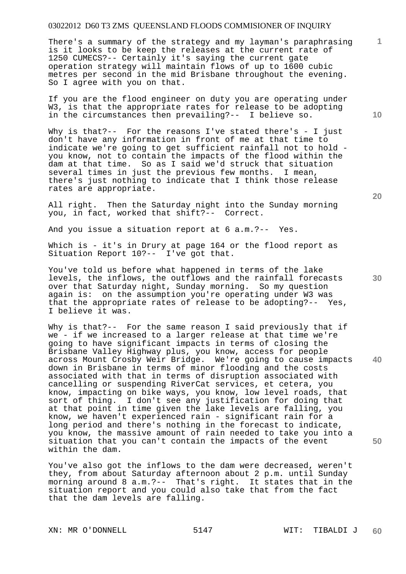There's a summary of the strategy and my layman's paraphrasing is it looks to be keep the releases at the current rate of 1250 CUMECS?-- Certainly it's saying the current gate operation strategy will maintain flows of up to 1600 cubic metres per second in the mid Brisbane throughout the evening. So I agree with you on that.

If you are the flood engineer on duty you are operating under W3, is that the appropriate rates for release to be adopting in the circumstances then prevailing?-- I believe so.

Why is that?-- For the reasons I've stated there's - I just don't have any information in front of me at that time to indicate we're going to get sufficient rainfall not to hold you know, not to contain the impacts of the flood within the dam at that time. So as I said we'd struck that situation several times in just the previous few months. I mean, there's just nothing to indicate that I think those release rates are appropriate.

All right. Then the Saturday night into the Sunday morning you, in fact, worked that shift?-- Correct.

And you issue a situation report at 6 a.m.?-- Yes.

Which is - it's in Drury at page 164 or the flood report as Situation Report 10?-- I've got that.

You've told us before what happened in terms of the lake levels, the inflows, the outflows and the rainfall forecasts over that Saturday night, Sunday morning. So my question again is: on the assumption you're operating under W3 was that the appropriate rates of release to be adopting?-- Yes, I believe it was.

**40 50**  Why is that?-- For the same reason I said previously that if we - if we increased to a larger release at that time we're going to have significant impacts in terms of closing the Brisbane Valley Highway plus, you know, access for people across Mount Crosby Weir Bridge. We're going to cause impacts down in Brisbane in terms of minor flooding and the costs associated with that in terms of disruption associated with cancelling or suspending RiverCat services, et cetera, you know, impacting on bike ways, you know, low level roads, that sort of thing. I don't see any justification for doing that at that point in time given the lake levels are falling, you know, we haven't experienced rain - significant rain for a long period and there's nothing in the forecast to indicate, you know, the massive amount of rain needed to take you into a situation that you can't contain the impacts of the event within the dam.

You've also got the inflows to the dam were decreased, weren't they, from about Saturday afternoon about 2 p.m. until Sunday morning around 8 a.m.?-- That's right. It states that in the situation report and you could also take that from the fact that the dam levels are falling.

XN: MR O'DONNELL 5147 WIT: TIBALDI J

**10** 

**1**

**20**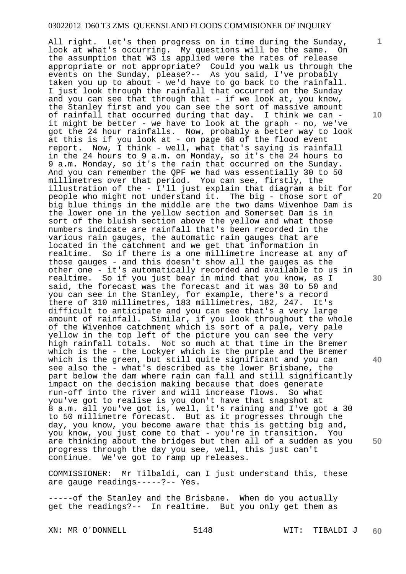All right. Let's then progress on in time during the Sunday,<br>look at what's occurring. My questions will be the same. On look at what's occurring. My questions will be the same. the assumption that W3 is applied were the rates of release appropriate or not appropriate? Could you walk us through the events on the Sunday, please?-- As you said, I've probably taken you up to about - we'd have to go back to the rainfall. I just look through the rainfall that occurred on the Sunday and you can see that through that - if we look at, you know, the Stanley first and you can see the sort of massive amount of rainfall that occurred during that day. I think we can it might be better - we have to look at the graph - no, we've got the 24 hour rainfalls. Now, probably a better way to look at this is if you look at - on page 68 of the flood event report. Now, I think - well, what that's saying is rainfall in the 24 hours to 9 a.m. on Monday, so it's the 24 hours to 9 a.m. Monday, so it's the rain that occurred on the Sunday. And you can remember the QPF we had was essentially 30 to 50 millimetres over that period. You can see, firstly, the illustration of the - I'll just explain that diagram a bit for people who might not understand it. The big - those sort of big blue things in the middle are the two dams Wivenhoe Dam is the lower one in the yellow section and Somerset Dam is in sort of the bluish section above the yellow and what those numbers indicate are rainfall that's been recorded in the various rain gauges, the automatic rain gauges that are located in the catchment and we get that information in realtime. So if there is a one millimetre increase at any of those gauges - and this doesn't show all the gauges as the other one - it's automatically recorded and available to us in realtime. So if you just bear in mind that you know, as I said, the forecast was the forecast and it was 30 to 50 and you can see in the Stanley, for example, there's a record<br>there of 310 millimetres, 183 millimetres, 182, 247. It's there of 310 millimetres, 183 millimetres, 182, 247. difficult to anticipate and you can see that's a very large amount of rainfall. Similar, if you look throughout the whole of the Wivenhoe catchment which is sort of a pale, very pale yellow in the top left of the picture you can see the very high rainfall totals. Not so much at that time in the Bremer which is the - the Lockyer which is the purple and the Bremer which is the green, but still quite significant and you can see also the - what's described as the lower Brisbane, the part below the dam where rain can fall and still significantly impact on the decision making because that does generate run-off into the river and will increase flows. So what you've got to realise is you don't have that snapshot at 8 a.m. all you've got is, well, it's raining and I've got a 30 to 50 millimetre forecast. But as it progresses through the day, you know, you become aware that this is getting big and, you know, you just come to that - you're in transition. You are thinking about the bridges but then all of a sudden as you progress through the day you see, well, this just can't<br>continue. We've got to ramp up releases. We've got to ramp up releases.

COMMISSIONER: Mr Tilbaldi, can I just understand this, these are gauge readings-----?-- Yes.

-----of the Stanley and the Brisbane. When do you actually get the readings?-- In realtime. But you only get them as

XN: MR O'DONNELL 5148 WIT: TIBALDI J

**60** 

**10** 

**1**

**20** 

**30** 

**40**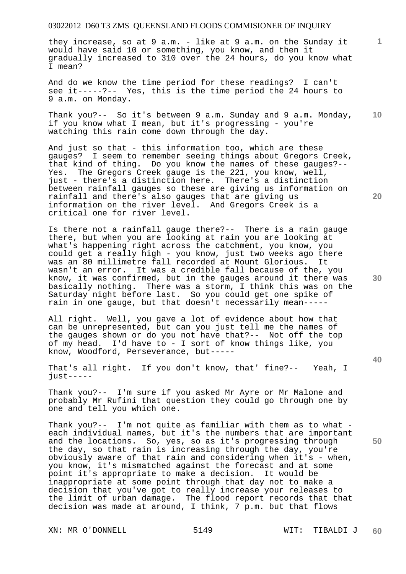they increase, so at 9 a.m. - like at 9 a.m. on the Sunday it would have said 10 or something, you know, and then it gradually increased to 310 over the 24 hours, do you know what I mean?

And do we know the time period for these readings? I can't see it-----?-- Yes, this is the time period the 24 hours to 9 a.m. on Monday.

**10**  Thank you?-- So it's between 9 a.m. Sunday and 9 a.m. Monday, if you know what I mean, but it's progressing - you're watching this rain come down through the day.

And just so that - this information too, which are these gauges? I seem to remember seeing things about Gregors Creek, that kind of thing. Do you know the names of these gauges?-- Yes. The Gregors Creek gauge is the 221, you know, well, just - there's a distinction here. There's a distinction between rainfall gauges so these are giving us information on rainfall and there's also gauges that are giving us information on the river level. And Gregors Creek is a critical one for river level.

Is there not a rainfall gauge there?-- There is a rain gauge there, but when you are looking at rain you are looking at what's happening right across the catchment, you know, you could get a really high - you know, just two weeks ago there was an 80 millimetre fall recorded at Mount Glorious. It wasn't an error. It was a credible fall because of the, you know, it was confirmed, but in the gauges around it there was basically nothing. There was a storm, I think this was on the Saturday night before last. So you could get one spike of rain in one gauge, but that doesn't necessarily mean-----

All right. Well, you gave a lot of evidence about how that can be unrepresented, but can you just tell me the names of the gauges shown or do you not have that?-- Not off the top of my head. I'd have to - I sort of know things like, you know, Woodford, Perseverance, but-----

That's all right. If you don't know, that' fine?-- Yeah, I  $just-----$ 

Thank you?-- I'm sure if you asked Mr Ayre or Mr Malone and probably Mr Rufini that question they could go through one by one and tell you which one.

Thank you?-- I'm not quite as familiar with them as to what each individual names, but it's the numbers that are important and the locations. So, yes, so as it's progressing through the day, so that rain is increasing through the day, you're obviously aware of that rain and considering when it's - when, you know, it's mismatched against the forecast and at some point it's appropriate to make a decision. It would be inappropriate at some point through that day not to make a decision that you've got to really increase your releases to the limit of urban damage. The flood report records that that decision was made at around, I think, 7 p.m. but that flows

XN: MR O'DONNELL 5149 WIT: TIBALDI J

**30** 

**20** 

**40** 

**50**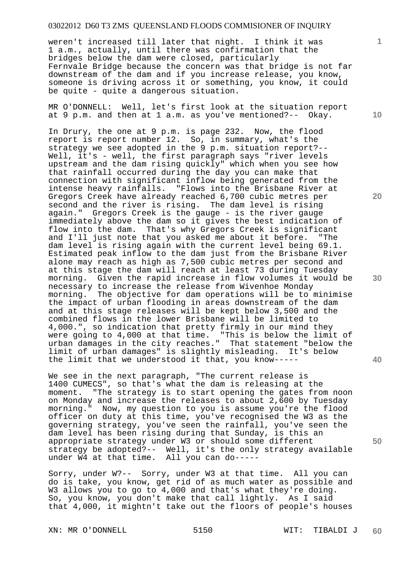weren't increased till later that night. I think it was 1 a.m., actually, until there was confirmation that the bridges below the dam were closed, particularly Fernvale Bridge because the concern was that bridge is not far downstream of the dam and if you increase release, you know, someone is driving across it or something, you know, it could be quite - quite a dangerous situation.

MR O'DONNELL: Well, let's first look at the situation report at 9 p.m. and then at 1 a.m. as you've mentioned?-- Okay.

In Drury, the one at 9 p.m. is page 232. Now, the flood report is report number 12. So, in summary, what's the strategy we see adopted in the 9 p.m. situation report?-- Well, it's - well, the first paragraph says "river levels upstream and the dam rising quickly" which when you see how that rainfall occurred during the day you can make that connection with significant inflow being generated from the intense heavy rainfalls. "Flows into the Brisbane River at Gregors Creek have already reached 6,700 cubic metres per second and the river is rising. The dam level is rising again." Gregors Creek is the gauge - is the river gauge immediately above the dam so it gives the best indication of flow into the dam. That's why Gregors Creek is significant and I'll just note that you asked me about it before. "The dam level is rising again with the current level being 69.1. Estimated peak inflow to the dam just from the Brisbane River alone may reach as high as 7,500 cubic metres per second and at this stage the dam will reach at least 73 during Tuesday morning. Given the rapid increase in flow volumes it would be necessary to increase the release from Wivenhoe Monday morning. The objective for dam operations will be to minimise the impact of urban flooding in areas downstream of the dam and at this stage releases will be kept below 3,500 and the combined flows in the lower Brisbane will be limited to 4,000.", so indication that pretty firmly in our mind they were going to 4,000 at that time. "This is below the limit of urban damages in the city reaches." That statement "below the limit of urban damages" is slightly misleading. It's below the limit that we understood it that, you know-----

We see in the next paragraph, "The current release is 1400 CUMECS", so that's what the dam is releasing at the moment. "The strategy is to start opening the gates from noon on Monday and increase the releases to about 2,600 by Tuesday morning." Now, my question to you is assume you're the flood officer on duty at this time, you've recognised the W3 as the governing strategy, you've seen the rainfall, you've seen the dam level has been rising during that Sunday, is this an appropriate strategy under W3 or should some different strategy be adopted?-- Well, it's the only strategy available under W4 at that time. All you can do-----

Sorry, under W?-- Sorry, under W3 at that time. All you can do is take, you know, get rid of as much water as possible and W3 allows you to go to 4,000 and that's what they're doing. So, you know, you don't make that call lightly. As I said that 4,000, it mightn't take out the floors of people's houses

XN: MR O'DONNELL 5150 WIT: TIBALDI J

**1**

**20** 

**30** 

**40** 

**50**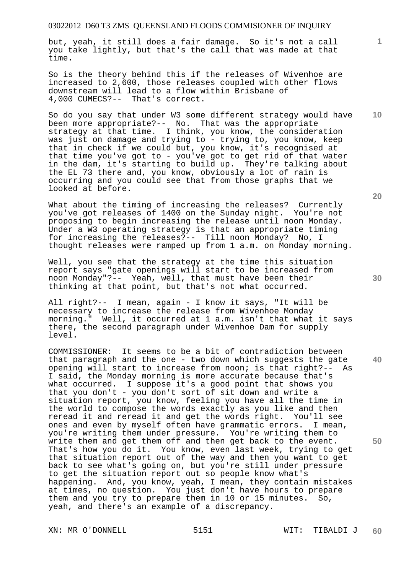but, yeah, it still does a fair damage. So it's not a call you take lightly, but that's the call that was made at that time.

So is the theory behind this if the releases of Wivenhoe are increased to 2,600, those releases coupled with other flows downstream will lead to a flow within Brisbane of 4,000 CUMECS?-- That's correct.

**10**  So do you say that under W3 some different strategy would have been more appropriate?-- No. That was the appropriate strategy at that time. I think, you know, the consideration was just on damage and trying to - trying to, you know, keep that in check if we could but, you know, it's recognised at that time you've got to - you've got to get rid of that water in the dam, it's starting to build up. They're talking about the EL 73 there and, you know, obviously a lot of rain is occurring and you could see that from those graphs that we looked at before.

What about the timing of increasing the releases? Currently you've got releases of 1400 on the Sunday night. You're not proposing to begin increasing the release until noon Monday. Under a W3 operating strategy is that an appropriate timing for increasing the releases?-- Till noon Monday? No, I thought releases were ramped up from 1 a.m. on Monday morning.

Well, you see that the strategy at the time this situation report says "gate openings will start to be increased from noon Monday"?-- Yeah, well, that must have been their thinking at that point, but that's not what occurred.

All right?-- I mean, again - I know it says, "It will be necessary to increase the release from Wivenhoe Monday morning." Well, it occurred at 1 a.m. isn't that what it says there, the second paragraph under Wivenhoe Dam for supply level.

COMMISSIONER: It seems to be a bit of contradiction between that paragraph and the one - two down which suggests the gate opening will start to increase from noon; is that right?-- As I said, the Monday morning is more accurate because that's what occurred. I suppose it's a good point that shows you that you don't - you don't sort of sit down and write a situation report, you know, feeling you have all the time in the world to compose the words exactly as you like and then reread it and reread it and get the words right. You'll see ones and even by myself often have grammatic errors. I mean, you're writing them under pressure. You're writing them to write them and get them off and then get back to the event. That's how you do it. You know, even last week, trying to get that situation report out of the way and then you want to get back to see what's going on, but you're still under pressure to get the situation report out so people know what's happening. And, you know, yeah, I mean, they contain mistakes at times, no question. You just don't have hours to prepare them and you try to prepare them in 10 or 15 minutes. So, yeah, and there's an example of a discrepancy.

**20** 

**30** 

**40** 

**50**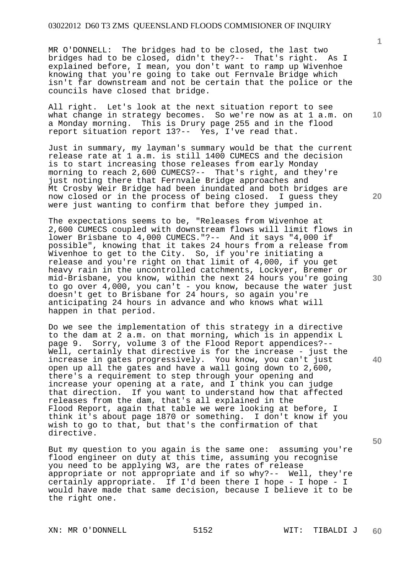MR O'DONNELL: The bridges had to be closed, the last two bridges had to be closed, didn't they?-- That's right. As I explained before, I mean, you don't want to ramp up Wivenhoe knowing that you're going to take out Fernvale Bridge which isn't far downstream and not be certain that the police or the councils have closed that bridge.

All right. Let's look at the next situation report to see what change in strategy becomes. So we're now as at 1 a.m. on a Monday morning. This is Drury page 255 and in the flood report situation report 13?-- Yes, I've read that.

Just in summary, my layman's summary would be that the current release rate at 1 a.m. is still 1400 CUMECS and the decision is to start increasing those releases from early Monday morning to reach 2,600 CUMECS?-- That's right, and they're just noting there that Fernvale Bridge approaches and Mt Crosby Weir Bridge had been inundated and both bridges are now closed or in the process of being closed. I guess they were just wanting to confirm that before they jumped in.

The expectations seems to be, "Releases from Wivenhoe at 2,600 CUMECS coupled with downstream flows will limit flows in lower Brisbane to 4,000 CUMECS."?-- And it says "4,000 if possible", knowing that it takes 24 hours from a release from Wivenhoe to get to the City. So, if you're initiating a release and you're right on that limit of 4,000, if you get heavy rain in the uncontrolled catchments, Lockyer, Bremer or mid-Brisbane, you know, within the next 24 hours you're going to go over 4,000, you can't - you know, because the water just doesn't get to Brisbane for 24 hours, so again you're anticipating 24 hours in advance and who knows what will happen in that period.

Do we see the implementation of this strategy in a directive to the dam at 2 a.m. on that morning, which is in appendix L page 9. Sorry, volume 3 of the Flood Report appendices?-- Well, certainly that directive is for the increase - just the increase in gates progressively. You know, you can't just open up all the gates and have a wall going down to 2,600, there's a requirement to step through your opening and increase your opening at a rate, and I think you can judge that direction. If you want to understand how that affected releases from the dam, that's all explained in the Flood Report, again that table we were looking at before, I think it's about page 1870 or something. I don't know if you wish to go to that, but that's the confirmation of that directive.

But my question to you again is the same one: assuming you're flood engineer on duty at this time, assuming you recognise you need to be applying W3, are the rates of release appropriate or not appropriate and if so why?-- Well, they're certainly appropriate. If I'd been there I hope - I hope - I would have made that same decision, because I believe it to be the right one.

XN: MR O'DONNELL 5152 WIT: TIBALDI J

**1**

**10** 

**20** 

**30** 

**50**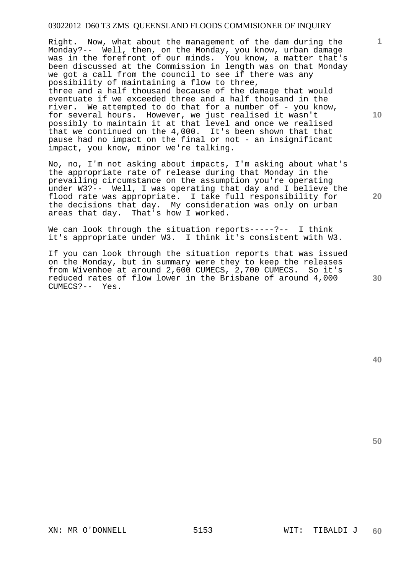Right. Now, what about the management of the dam during the Monday?-- Well, then, on the Monday, you know, urban damage was in the forefront of our minds. You know, a matter that's been discussed at the Commission in length was on that Monday we got a call from the council to see if there was any possibility of maintaining a flow to three, three and a half thousand because of the damage that would eventuate if we exceeded three and a half thousand in the river. We attempted to do that for a number of - you know, for several hours. However, we just realised it wasn't possibly to maintain it at that level and once we realised that we continued on the 4,000. It's been shown that that pause had no impact on the final or not - an insignificant impact, you know, minor we're talking.

No, no, I'm not asking about impacts, I'm asking about what's the appropriate rate of release during that Monday in the prevailing circumstance on the assumption you're operating under W3?-- Well, I was operating that day and I believe the flood rate was appropriate. I take full responsibility for the decisions that day. My consideration was only on urban areas that day. That's how I worked.

We can look through the situation reports-----?-- I think it's appropriate under W3. I think it's consistent with W3.

If you can look through the situation reports that was issued on the Monday, but in summary were they to keep the releases from Wivenhoe at around 2,600 CUMECS, 2,700 CUMECS. So it's reduced rates of flow lower in the Brisbane of around 4,000 CUMECS?-- Yes.

**20** 

**40** 

**50** 

**1**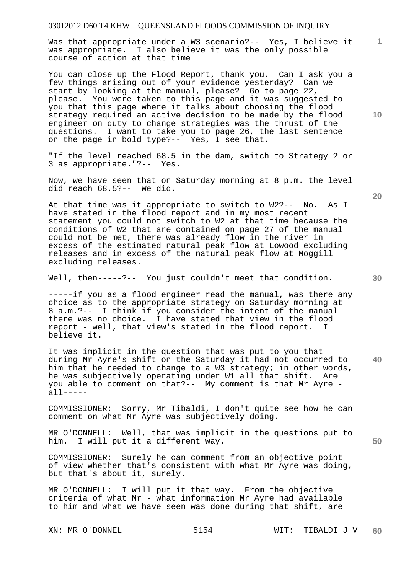Was that appropriate under a W3 scenario?-- Yes, I believe it was appropriate. I also believe it was the only possible course of action at that time

You can close up the Flood Report, thank you. Can I ask you a few things arising out of your evidence yesterday? Can we start by looking at the manual, please? Go to page 22, please. You were taken to this page and it was suggested to you that this page where it talks about choosing the flood strategy required an active decision to be made by the flood engineer on duty to change strategies was the thrust of the questions. I want to take you to page 26, the last sentence on the page in bold type?-- Yes, I see that.

"If the level reached 68.5 in the dam, switch to Strategy 2 or 3 as appropriate."?-- Yes.

Now, we have seen that on Saturday morning at 8 p.m. the level did reach 68.5?-- We did.

At that time was it appropriate to switch to W2?-- No. As I have stated in the flood report and in my most recent statement you could not switch to W2 at that time because the conditions of W2 that are contained on page 27 of the manual could not be met, there was already flow in the river in excess of the estimated natural peak flow at Lowood excluding releases and in excess of the natural peak flow at Moggill excluding releases.

Well, then-----?-- You just couldn't meet that condition.

-----if you as a flood engineer read the manual, was there any choice as to the appropriate strategy on Saturday morning at 8 a.m.?-- I think if you consider the intent of the manual there was no choice. I have stated that view in the flood report - well, that view's stated in the flood report. I believe it.

**40**  It was implicit in the question that was put to you that during Mr Ayre's shift on the Saturday it had not occurred to him that he needed to change to a W3 strategy; in other words, he was subjectively operating under W1 all that shift. Are you able to comment on that?-- My comment is that Mr Ayre all-----

COMMISSIONER: Sorry, Mr Tibaldi, I don't quite see how he can comment on what Mr Ayre was subjectively doing.

MR O'DONNELL: Well, that was implicit in the questions put to him. I will put it a different way.

COMMISSIONER: Surely he can comment from an objective point of view whether that's consistent with what Mr Ayre was doing, but that's about it, surely.

MR O'DONNELL: I will put it that way. From the objective criteria of what Mr - what information Mr Ayre had available to him and what we have seen was done during that shift, are

**20** 

**50** 

**10**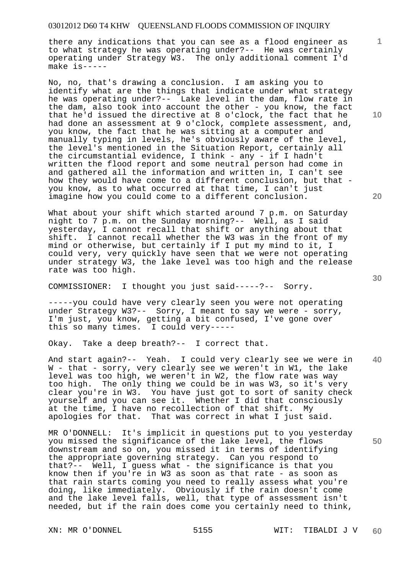there any indications that you can see as a flood engineer as to what strategy he was operating under?-- He was certainly operating under Strategy W3. The only additional comment I'd make is-----

No, no, that's drawing a conclusion. I am asking you to identify what are the things that indicate under what strategy he was operating under?-- Lake level in the dam, flow rate in the dam, also took into account the other - you know, the fact that he'd issued the directive at 8 o'clock, the fact that he had done an assessment at 9 o'clock, complete assessment, and, you know, the fact that he was sitting at a computer and manually typing in levels, he's obviously aware of the level, the level's mentioned in the Situation Report, certainly all the circumstantial evidence, I think - any - if I hadn't written the flood report and some neutral person had come in and gathered all the information and written in, I can't see how they would have come to a different conclusion, but that you know, as to what occurred at that time, I can't just imagine how you could come to a different conclusion.

What about your shift which started around 7 p.m. on Saturday night to 7 p.m. on the Sunday morning?-- Well, as I said yesterday, I cannot recall that shift or anything about that shift. I cannot recall whether the W3 was in the front of my mind or otherwise, but certainly if I put my mind to it, I could very, very quickly have seen that we were not operating under strategy W3, the lake level was too high and the release rate was too high.

COMMISSIONER: I thought you just said-----?-- Sorry.

-----you could have very clearly seen you were not operating under Strategy W3?-- Sorry, I meant to say we were - sorry, I'm just, you know, getting a bit confused, I've gone over this so many times. I could very-----

Okay. Take a deep breath?-- I correct that.

**40**  And start again?-- Yeah. I could very clearly see we were in W - that - sorry, very clearly see we weren't in W1, the lake level was too high, we weren't in W2, the flow rate was way too high. The only thing we could be in was W3, so it's very clear you're in W3. You have just got to sort of sanity check yourself and you can see it. Whether I did that consciously at the time, I have no recollection of that shift. My apologies for that. That was correct in what I just said.

MR O'DONNELL: It's implicit in questions put to you yesterday you missed the significance of the lake level, the flows downstream and so on, you missed it in terms of identifying the appropriate governing strategy. Can you respond to that?-- Well, I guess what - the significance is that you know then if you're in W3 as soon as that rate - as soon as that rain starts coming you need to really assess what you're doing, like immediately. Obviously if the rain doesn't come and the lake level falls, well, that type of assessment isn't needed, but if the rain does come you certainly need to think,

**10** 

**1**

**20**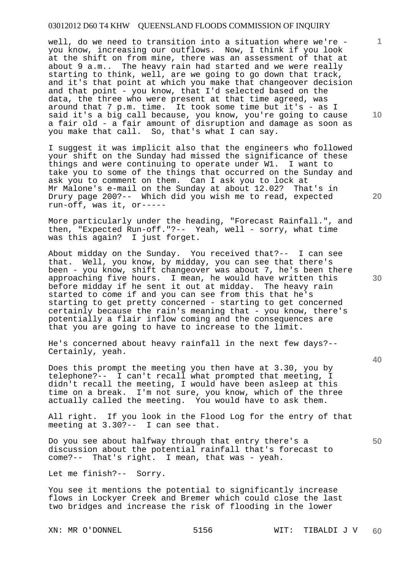well, do we need to transition into a situation where we're you know, increasing our outflows. Now, I think if you look at the shift on from mine, there was an assessment of that at about 9 a.m.. The heavy rain had started and we were really starting to think, well, are we going to go down that track, and it's that point at which you make that changeover decision and that point - you know, that I'd selected based on the data, the three who were present at that time agreed, was around that 7 p.m. time. It took some time but it's - as I said it's a big call because, you know, you're going to cause a fair old - a fair amount of disruption and damage as soon as you make that call. So, that's what I can say.

I suggest it was implicit also that the engineers who followed your shift on the Sunday had missed the significance of these things and were continuing to operate under W1. I want to take you to some of the things that occurred on the Sunday and ask you to comment on them. Can I ask you to lock at Mr Malone's e-mail on the Sunday at about 12.02? That's in Drury page 200?-- Which did you wish me to read, expected run-off, was it, or-----

More particularly under the heading, "Forecast Rainfall.", and then, "Expected Run-off."?-- Yeah, well - sorry, what time was this again? I just forget.

About midday on the Sunday. You received that?-- I can see that. Well, you know, by midday, you can see that there's been - you know, shift changeover was about 7, he's been there approaching five hours. I mean, he would have written this before midday if he sent it out at midday. The heavy rain started to come if and you can see from this that he's starting to get pretty concerned - starting to get concerned certainly because the rain's meaning that - you know, there's potentially a flair inflow coming and the consequences are that you are going to have to increase to the limit.

He's concerned about heavy rainfall in the next few days?-- Certainly, yeah.

Does this prompt the meeting you then have at 3.30, you by telephone?-- I can't recall what prompted that meeting, I didn't recall the meeting, I would have been asleep at this time on a break. I'm not sure, you know, which of the three actually called the meeting. You would have to ask them.

All right. If you look in the Flood Log for the entry of that meeting at 3.30?-- I can see that.

Do you see about halfway through that entry there's a discussion about the potential rainfall that's forecast to come?-- That's right. I mean, that was - yeah.

Let me finish?-- Sorry.

You see it mentions the potential to significantly increase flows in Lockyer Creek and Bremer which could close the last two bridges and increase the risk of flooding in the lower

**10** 

**1**

**20** 

**30**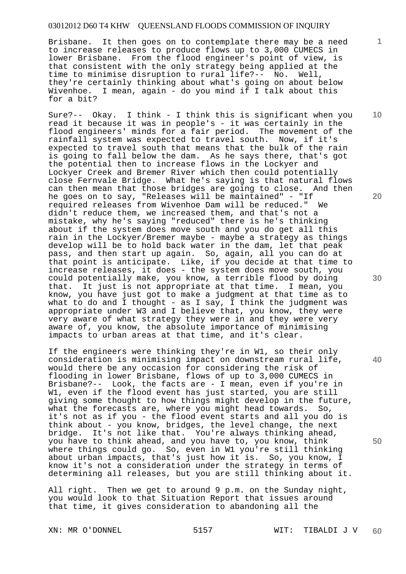Brisbane. It then goes on to contemplate there may be a need to increase releases to produce flows up to 3,000 CUMECS in lower Brisbane. From the flood engineer's point of view, is that consistent with the only strategy being applied at the time to minimise disruption to rural life?-- No. Well, they're certainly thinking about what's going on about below Wivenhoe. I mean, again - do you mind if I talk about this for a bit?

Sure?-- Okay. I think - I think this is significant when you read it because it was in people's - it was certainly in the flood engineers' minds for a fair period. The movement of the rainfall system was expected to travel south. Now, if it's expected to travel south that means that the bulk of the rain is going to fall below the dam. As he says there, that's got the potential then to increase flows in the Lockyer and Lockyer Creek and Bremer River which then could potentially close Fernvale Bridge. What he's saying is that natural flows can then mean that those bridges are going to close. And then he goes on to say, "Releases will be maintained" - "If required releases from Wivenhoe Dam will be reduced." didn't reduce them, we increased them, and that's not a mistake, why he's saying "reduced" there is he's thinking about if the system does move south and you do get all this rain in the Lockyer/Bremer maybe - maybe a strategy as things develop will be to hold back water in the dam, let that peak pass, and then start up again. So, again, all you can do at that point is anticipate. Like, if you decide at that time to increase releases, it does - the system does move south, you could potentially make, you know, a terrible flood by doing that. It just is not appropriate at that time. I mean, you know, you have just got to make a judgment at that time as to what to do and I thought - as I say, I think the judgment was appropriate under W3 and I believe that, you know, they were very aware of what strategy they were in and they were very aware of, you know, the absolute importance of minimising impacts to urban areas at that time, and it's clear.

If the engineers were thinking they're in W1, so their only consideration is minimising impact on downstream rural life, would there be any occasion for considering the risk of flooding in lower Brisbane, flows of up to 3,000 CUMECS in Brisbane?-- Look, the facts are - I mean, even if you're in W1, even if the flood event has just started, you are still giving some thought to how things might develop in the future, what the forecasts are, where you might head towards. So, it's not as if you - the flood event starts and all you do is think about - you know, bridges, the level change, the next bridge. It's not like that. You're always thinking ahead, you have to think ahead, and you have to, you know, think where things could go. So, even in W1 you're still thinking about urban impacts, that's just how it is. So, you know, I know it's not a consideration under the strategy in terms of determining all releases, but you are still thinking about it.

All right. Then we get to around 9 p.m. on the Sunday night, you would look to that Situation Report that issues around that time, it gives consideration to abandoning all the

**1**

**20** 



**40**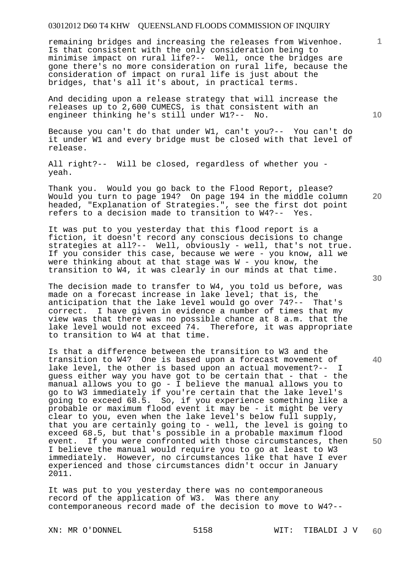remaining bridges and increasing the releases from Wivenhoe. Is that consistent with the only consideration being to minimise impact on rural life?-- Well, once the bridges are gone there's no more consideration on rural life, because the consideration of impact on rural life is just about the bridges, that's all it's about, in practical terms.

And deciding upon a release strategy that will increase the releases up to 2,600 CUMECS, is that consistent with an engineer thinking he's still under W1?-- No.

Because you can't do that under W1, can't you?-- You can't do it under W1 and every bridge must be closed with that level of release.

All right?-- Will be closed, regardless of whether you yeah.

Thank you. Would you go back to the Flood Report, please? Would you turn to page 194? On page 194 in the middle column headed, "Explanation of Strategies.", see the first dot point refers to a decision made to transition to W4?-- Yes.

It was put to you yesterday that this flood report is a fiction, it doesn't record any conscious decisions to change strategies at all?-- Well, obviously - well, that's not true. If you consider this case, because we were - you know, all we were thinking about at that stage was W - you know, the transition to W4, it was clearly in our minds at that time.

The decision made to transfer to W4, you told us before, was made on a forecast increase in lake level; that is, the anticipation that the lake level would go over 74?-- That's correct. I have given in evidence a number of times that my view was that there was no possible chance at 8 a.m. that the lake level would not exceed 74. Therefore, it was appropriate to transition to W4 at that time.

Is that a difference between the transition to W3 and the transition to W4? One is based upon a forecast movement of lake level, the other is based upon an actual movement?-- I guess either way you have got to be certain that - that - the manual allows you to go - I believe the manual allows you to go to W3 immediately if you're certain that the lake level's going to exceed 68.5. So, if you experience something like a probable or maximum flood event it may be - it might be very clear to you, even when the lake level's below full supply, that you are certainly going to - well, the level is going to exceed 68.5, but that's possible in a probable maximum flood event. If you were confronted with those circumstances, then I believe the manual would require you to go at least to W3 immediately. However, no circumstances like that have I ever experienced and those circumstances didn't occur in January 2011.

It was put to you yesterday there was no contemporaneous record of the application of W3. Was there any contemporaneous record made of the decision to move to W4?--

**30** 

**20** 

**40** 

**50** 

**10**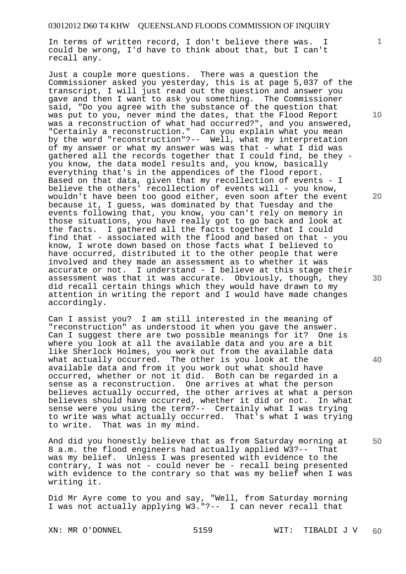In terms of written record, I don't believe there was. I could be wrong, I'd have to think about that, but I can't recall any.

Just a couple more questions. There was a question the Commissioner asked you yesterday, this is at page 5,037 of the transcript, I will just read out the question and answer you gave and then I want to ask you something. The Commissioner said, "Do you agree with the substance of the question that was put to you, never mind the dates, that the Flood Report was a reconstruction of what had occurred?", and you answered, "Certainly a reconstruction." Can you explain what you mean by the word "reconstruction"?-- Well, what my interpretation of my answer or what my answer was was that - what I did was gathered all the records together that I could find, be they you know, the data model results and, you know, basically everything that's in the appendices of the flood report. Based on that data, given that my recollection of events - I believe the others' recollection of events will - you know, wouldn't have been too good either, even soon after the event because it, I guess, was dominated by that Tuesday and the events following that, you know, you can't rely on memory in those situations, you have really got to go back and look at the facts. I gathered all the facts together that I could find that - associated with the flood and based on that - you know, I wrote down based on those facts what I believed to have occurred, distributed it to the other people that were involved and they made an assessment as to whether it was accurate or not. I understand - I believe at this stage their assessment was that it was accurate. Obviously, though, they did recall certain things which they would have drawn to my attention in writing the report and I would have made changes accordingly.

Can I assist you? I am still interested in the meaning of "reconstruction" as understood it when you gave the answer. Can I suggest there are two possible meanings for it? One is where you look at all the available data and you are a bit like Sherlock Holmes, you work out from the available data what actually occurred. The other is you look at the available data and from it you work out what should have occurred, whether or not it did. Both can be regarded in a sense as a reconstruction. One arrives at what the person believes actually occurred, the other arrives at what a person believes should have occurred, whether it did or not. In what sense were you using the term?-- Certainly what I was trying to write was what actually occurred. That's what I was trying to write. That was in my mind.

And did you honestly believe that as from Saturday morning at 8 a.m. the flood engineers had actually applied W3?-- That was my belief. Unless I was presented with evidence to the contrary, I was not - could never be - recall being presented with evidence to the contrary so that was my belief when I was writing it.

Did Mr Ayre come to you and say, "Well, from Saturday morning I was not actually applying W3."?-- I can never recall that

**10** 

**1**

**20** 

**30** 

**40**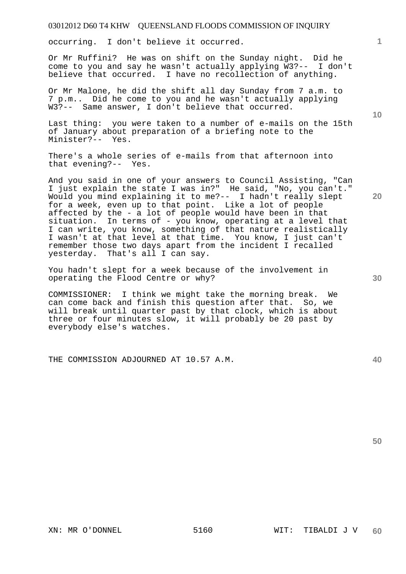occurring. I don't believe it occurred.

Or Mr Ruffini? He was on shift on the Sunday night. Did he come to you and say he wasn't actually applying W3?-- I don't believe that occurred. I have no recollection of anything.

Or Mr Malone, he did the shift all day Sunday from 7 a.m. to 7 p.m.. Did he come to you and he wasn't actually applying W3?-- Same answer, I don't believe that occurred.

Last thing: you were taken to a number of e-mails on the 15th of January about preparation of a briefing note to the Minister?-- Yes.

There's a whole series of e-mails from that afternoon into that evening?-- Yes.

And you said in one of your answers to Council Assisting, "Can I just explain the state I was in?" He said, "No, you can't." Would you mind explaining it to me?-- I hadn't really slept for a week, even up to that point. Like a lot of people affected by the - a lot of people would have been in that situation. In terms of - you know, operating at a level that I can write, you know, something of that nature realistically I wasn't at that level at that time. You know, I just can't remember those two days apart from the incident I recalled yesterday. That's all I can say.

You hadn't slept for a week because of the involvement in operating the Flood Centre or why?

COMMISSIONER: I think we might take the morning break. We can come back and finish this question after that. So, we will break until quarter past by that clock, which is about three or four minutes slow, it will probably be 20 past by everybody else's watches.

THE COMMISSION ADJOURNED AT 10.57 A.M.

**50** 

**10** 

**20** 

**1**

**40**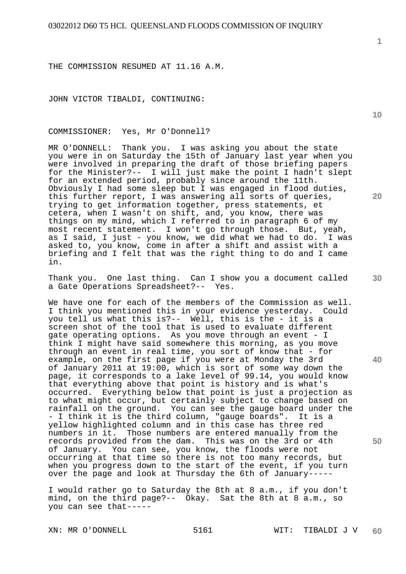THE COMMISSION RESUMED AT 11.16 A.M.

JOHN VICTOR TIBALDI, CONTINUING:

COMMISSIONER: Yes, Mr O'Donnell?

MR O'DONNELL: Thank you. I was asking you about the state you were in on Saturday the 15th of January last year when you were involved in preparing the draft of those briefing papers for the Minister?-- I will just make the point I hadn't slept for an extended period, probably since around the 11th. Obviously I had some sleep but I was engaged in flood duties, this further report, I was answering all sorts of queries, trying to get information together, press statements, et cetera, when I wasn't on shift, and, you know, there was things on my mind, which I referred to in paragraph 6 of my most recent statement. I won't go through those. But, yeah, as I said, I just - you know, we did what we had to do. I was asked to, you know, come in after a shift and assist with a briefing and I felt that was the right thing to do and I came in.

Thank you. One last thing. Can I show you a document called a Gate Operations Spreadsheet?-- Yes.

We have one for each of the members of the Commission as well. I think you mentioned this in your evidence yesterday. Could you tell us what this is?-- Well, this is the - it is a screen shot of the tool that is used to evaluate different gate operating options. As you move through an event - I think I might have said somewhere this morning, as you move through an event in real time, you sort of know that - for example, on the first page if you were at Monday the 3rd of January 2011 at 19:00, which is sort of some way down the page, it corresponds to a lake level of 99.14, you would know that everything above that point is history and is what's occurred. Everything below that point is just a projection as to what might occur, but certainly subject to change based on rainfall on the ground. You can see the gauge board under the - I think it is the third column, "gauge boards". It is a yellow highlighted column and in this case has three red numbers in it. Those numbers are entered manually from the records provided from the dam. This was on the 3rd or 4th of January. You can see, you know, the floods were not occurring at that time so there is not too many records, but when you progress down to the start of the event, if you turn over the page and look at Thursday the 6th of January-----

I would rather go to Saturday the 8th at 8 a.m., if you don't mind, on the third page?-- Okay. Sat the 8th at 8 a.m., so you can see that-----

**1**

**30** 

**20** 

**40**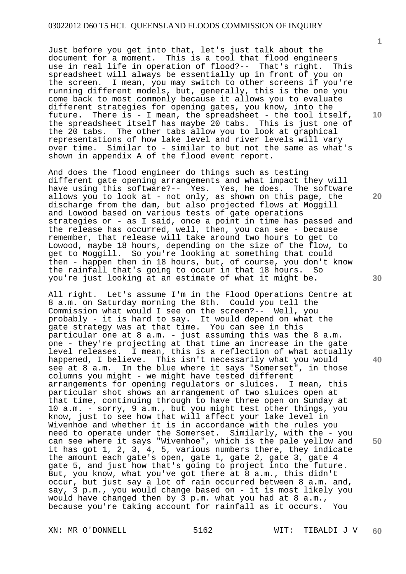Just before you get into that, let's just talk about the document for a moment. This is a tool that flood engineers use in real life in operation of flood?-- That's right. This spreadsheet will always be essentially up in front of you on the screen. I mean, you may switch to other screens if you're running different models, but, generally, this is the one you come back to most commonly because it allows you to evaluate different strategies for opening gates, you know, into the future. There is - I mean, the spreadsheet - the tool itself, the spreadsheet itself has maybe 20 tabs. This is just one of the 20 tabs. The other tabs allow you to look at graphical representations of how lake level and river levels will vary over time. Similar to - similar to but not the same as what's shown in appendix A of the flood event report.

And does the flood engineer do things such as testing different gate opening arrangements and what impact they will have using this software?-- Yes. Yes, he does. The software allows you to look at - not only, as shown on this page, the discharge from the dam, but also projected flows at Moggill and Lowood based on various tests of gate operations strategies or - as I said, once a point in time has passed and the release has occurred, well, then, you can see - because remember, that release will take around two hours to get to Lowood, maybe 18 hours, depending on the size of the flow, to get to Moggill. So you're looking at something that could then - happen then in 18 hours, but, of course, you don't know the rainfall that's going to occur in that 18 hours. So you're just looking at an estimate of what it might be.

All right. Let's assume I'm in the Flood Operations Centre at 8 a.m. on Saturday morning the 8th. Could you tell the Commission what would I see on the screen?-- Well, you probably - it is hard to say. It would depend on what the gate strategy was at that time. You can see in this particular one at 8 a.m. - just assuming this was the 8 a.m. one - they're projecting at that time an increase in the gate level releases. I mean, this is a reflection of what actually happened, I believe. This isn't necessarily what you would see at 8 a.m. In the blue where it says "Somerset", in those columns you might - we might have tested different arrangements for opening regulators or sluices. I mean, this particular shot shows an arrangement of two sluices open at that time, continuing through to have three open on Sunday at 10 a.m. - sorry, 9 a.m., but you might test other things, you know, just to see how that will affect your lake level in Wivenhoe and whether it is in accordance with the rules you need to operate under the Somerset. Similarly, with the - you can see where it says "Wivenhoe", which is the pale yellow and it has got 1, 2, 3, 4, 5, various numbers there, they indicate the amount each gate's open, gate 1, gate 2, gate 3, gate 4 gate 5, and just how that's going to project into the future. But, you know, what you've got there at 8 a.m., this didn't occur, but just say a lot of rain occurred between 8 a.m. and, say, 3 p.m., you would change based on - it is most likely you would have changed then by 3 p.m. what you had at 8 a.m., because you're taking account for rainfall as it occurs. You

**10** 

**1**

**20** 

**30** 

**40**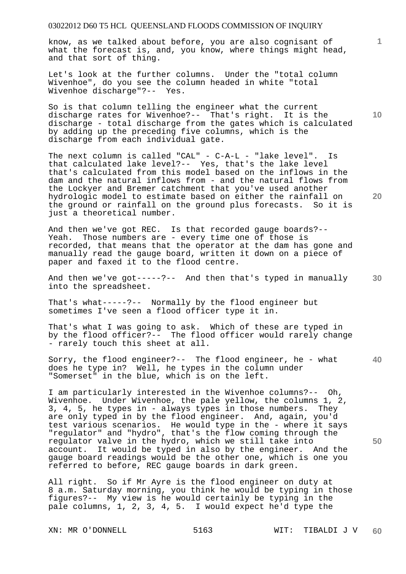know, as we talked about before, you are also cognisant of what the forecast is, and, you know, where things might head, and that sort of thing.

Let's look at the further columns. Under the "total column Wivenhoe", do you see the column headed in white "total Wivenhoe discharge"?-- Yes.

**10**  So is that column telling the engineer what the current discharge rates for Wivenhoe?-- That's right. It is the discharge - total discharge from the gates which is calculated by adding up the preceding five columns, which is the discharge from each individual gate.

The next column is called "CAL" - C-A-L - "lake level". Is that calculated lake level?-- Yes, that's the lake level that's calculated from this model based on the inflows in the dam and the natural inflows from - and the natural flows from the Lockyer and Bremer catchment that you've used another hydrologic model to estimate based on either the rainfall on the ground or rainfall on the ground plus forecasts. So it is just a theoretical number.

And then we've got REC. Is that recorded gauge boards?-- Yeah. Those numbers are - every time one of those is recorded, that means that the operator at the dam has gone and manually read the gauge board, written it down on a piece of paper and faxed it to the flood centre.

And then we've got-----?-- And then that's typed in manually into the spreadsheet.

That's what-----?-- Normally by the flood engineer but sometimes I've seen a flood officer type it in.

That's what I was going to ask. Which of these are typed in by the flood officer?-- The flood officer would rarely change - rarely touch this sheet at all.

**40**  Sorry, the flood engineer?-- The flood engineer, he - what does he type in? Well, he types in the column under "Somerset" in the blue, which is on the left.

I am particularly interested in the Wivenhoe columns?-- Oh, Wivenhoe. Under Wivenhoe, the pale yellow, the columns 1, 2, 3, 4, 5, he types in - always types in those numbers. They are only typed in by the flood engineer. And, again, you'd test various scenarios. He would type in the - where it says "regulator" and "hydro", that's the flow coming through the regulator valve in the hydro, which we still take into account. It would be typed in also by the engineer. And the gauge board readings would be the other one, which is one you referred to before, REC gauge boards in dark green.

All right. So if Mr Ayre is the flood engineer on duty at 8 a.m. Saturday morning, you think he would be typing in those figures?-- My view is he would certainly be typing in the pale columns, 1, 2, 3, 4, 5. I would expect he'd type the

**1**

**20**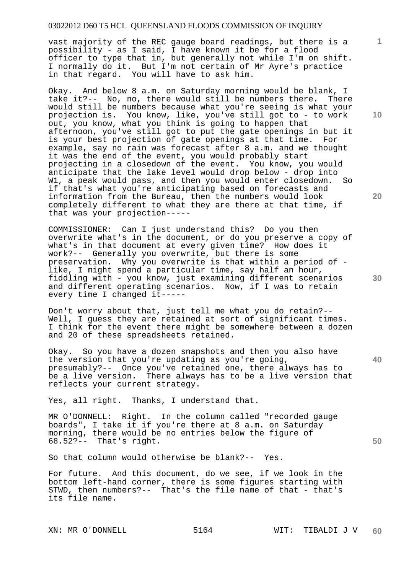vast majority of the REC gauge board readings, but there is a possibility - as I said, I have known it be for a flood officer to type that in, but generally not while I'm on shift. I normally do it. But I'm not certain of Mr Ayre's practice in that regard. You will have to ask him.

Okay. And below 8 a.m. on Saturday morning would be blank, I take it?-- No, no, there would still be numbers there. There would still be numbers because what you're seeing is what your projection is. You know, like, you've still got to - to work out, you know, what you think is going to happen that afternoon, you've still got to put the gate openings in but it is your best projection of gate openings at that time. For example, say no rain was forecast after 8 a.m. and we thought it was the end of the event, you would probably start projecting in a closedown of the event. You know, you would anticipate that the lake level would drop below - drop into W1, a peak would pass, and then you would enter closedown. So if that's what you're anticipating based on forecasts and information from the Bureau, then the numbers would look completely different to what they are there at that time, if that was your projection-----

COMMISSIONER: Can I just understand this? Do you then overwrite what's in the document, or do you preserve a copy of what's in that document at every given time? How does it work?-- Generally you overwrite, but there is some preservation. Why you overwrite is that within a period of like, I might spend a particular time, say half an hour, fiddling with - you know, just examining different scenarios and different operating scenarios. Now, if I was to retain every time I changed it-----

Don't worry about that, just tell me what you do retain?-- Well, I guess they are retained at sort of significant times. I think for the event there might be somewhere between a dozen and 20 of these spreadsheets retained.

Okay. So you have a dozen snapshots and then you also have the version that you're updating as you're going, presumably?-- Once you've retained one, there always has to be a live version. There always has to be a live version that reflects your current strategy.

Yes, all right. Thanks, I understand that.

MR O'DONNELL: Right. In the column called "recorded gauge boards", I take it if you're there at 8 a.m. on Saturday morning, there would be no entries below the figure of 68.52?-- That's right.

So that column would otherwise be blank?-- Yes.

For future. And this document, do we see, if we look in the bottom left-hand corner, there is some figures starting with STWD, then numbers?-- That's the file name of that - that's its file name.

XN: MR O'DONNELL 5164 WIT: TIBALDI J V

**10** 

**1**

**20** 

**30** 

**40**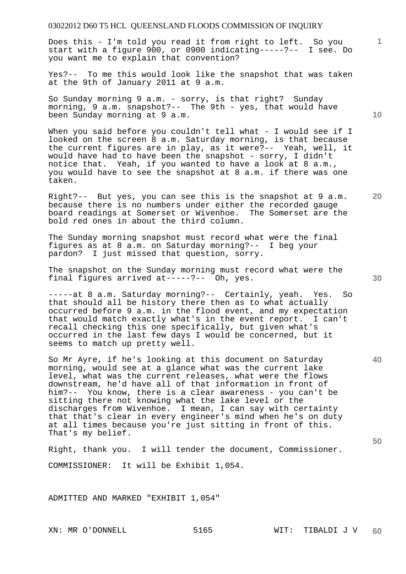Does this - I'm told you read it from right to left. So you start with a figure 900, or 0900 indicating-----?-- I see. Do you want me to explain that convention?

Yes?-- To me this would look like the snapshot that was taken at the 9th of January 2011 at 9 a.m.

So Sunday morning 9 a.m. - sorry, is that right? Sunday morning, 9 a.m. snapshot?-- The 9th - yes, that would have been Sunday morning at 9 a.m.

When you said before you couldn't tell what - I would see if I looked on the screen 8 a.m. Saturday morning, is that because the current figures are in play, as it were?-- Yeah, well, it would have had to have been the snapshot - sorry, I didn't notice that. Yeah, if you wanted to have a look at 8 a.m., you would have to see the snapshot at 8 a.m. if there was one taken.

Right?-- But yes, you can see this is the snapshot at 9 a.m. because there is no numbers under either the recorded gauge board readings at Somerset or Wivenhoe. The Somerset are the bold red ones in about the third column.

The Sunday morning snapshot must record what were the final figures as at 8 a.m. on Saturday morning?-- I beg your pardon? I just missed that question, sorry.

The snapshot on the Sunday morning must record what were the final figures arrived at-----?-- Oh, yes.

-----at 8 a.m. Saturday morning?-- Certainly, yeah. Yes. So that should all be history there then as to what actually occurred before 9 a.m. in the flood event, and my expectation that would match exactly what's in the event report. I can't recall checking this one specifically, but given what's occurred in the last few days I would be concerned, but it seems to match up pretty well.

So Mr Ayre, if he's looking at this document on Saturday morning, would see at a glance what was the current lake level, what was the current releases, what were the flows downstream, he'd have all of that information in front of him?-- You know, there is a clear awareness - you can't be sitting there not knowing what the lake level or the discharges from Wivenhoe. I mean, I can say with certainty that that's clear in every engineer's mind when he's on duty at all times because you're just sitting in front of this. That's my belief.

Right, thank you. I will tender the document, Commissioner. COMMISSIONER: It will be Exhibit 1,054.

ADMITTED AND MARKED "EXHIBIT 1,054"

**10** 

**1**

**30** 

**20** 

**40**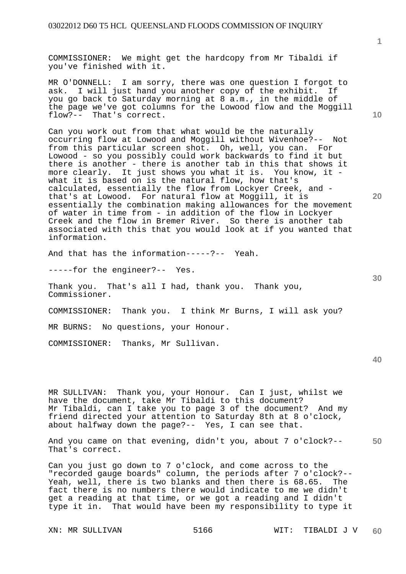COMMISSIONER: We might get the hardcopy from Mr Tibaldi if you've finished with it.

MR O'DONNELL: I am sorry, there was one question I forgot to ask. I will just hand you another copy of the exhibit. If you go back to Saturday morning at 8 a.m., in the middle of the page we've got columns for the Lowood flow and the Moggill flow?-- That's correct.

Can you work out from that what would be the naturally occurring flow at Lowood and Moggill without Wivenhoe?-- Not from this particular screen shot. Oh, well, you can. For Lowood - so you possibly could work backwards to find it but there is another - there is another tab in this that shows it more clearly. It just shows you what it is. You know, it what it is based on is the natural flow, how that's calculated, essentially the flow from Lockyer Creek, and that's at Lowood. For natural flow at Moggill, it is essentially the combination making allowances for the movement of water in time from - in addition of the flow in Lockyer Creek and the flow in Bremer River. So there is another tab associated with this that you would look at if you wanted that information.

And that has the information-----?-- Yeah.

-----for the engineer?-- Yes.

Thank you. That's all I had, thank you. Thank you, Commissioner.

COMMISSIONER: Thank you. I think Mr Burns, I will ask you?

MR BURNS: No questions, your Honour.

COMMISSIONER: Thanks, Mr Sullivan.

**40** 

MR SULLIVAN: Thank you, your Honour. Can I just, whilst we have the document, take Mr Tibaldi to this document? Mr Tibaldi, can I take you to page 3 of the document? And my friend directed your attention to Saturday 8th at 8 o'clock, about halfway down the page?-- Yes, I can see that.

**50**  And you came on that evening, didn't you, about 7 o'clock?-- That's correct.

Can you just go down to 7 o'clock, and come across to the "recorded gauge boards" column, the periods after 7 o'clock?-- Yeah, well, there is two blanks and then there is 68.65. The fact there is no numbers there would indicate to me we didn't get a reading at that time, or we got a reading and I didn't type it in. That would have been my responsibility to type it

**1**

**10** 

**20**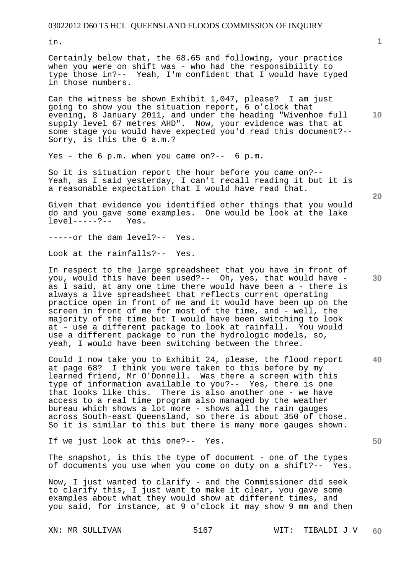in.

Certainly below that, the 68.65 and following, your practice when you were on shift was - who had the responsibility to type those in?-- Yeah, I'm confident that I would have typed in those numbers.

Can the witness be shown Exhibit 1,047, please? I am just going to show you the situation report, 6 o'clock that evening, 8 January 2011, and under the heading "Wivenhoe full supply level 67 metres AHD". Now, your evidence was that at some stage you would have expected you'd read this document?-- Sorry, is this the 6 a.m.?

Yes - the 6 p.m. when you came on?-- 6 p.m.

So it is situation report the hour before you came on?-- Yeah, as I said yesterday, I can't recall reading it but it is a reasonable expectation that I would have read that.

Given that evidence you identified other things that you would do and you gave some examples. One would be look at the lake level-----?-- Yes.  $level---?--$ 

-----or the dam level?-- Yes.

Look at the rainfalls?-- Yes.

In respect to the large spreadsheet that you have in front of you, would this have been used?-- Oh, yes, that would have as I said, at any one time there would have been a - there is always a live spreadsheet that reflects current operating practice open in front of me and it would have been up on the screen in front of me for most of the time, and - well, the majority of the time but I would have been switching to look at - use a different package to look at rainfall. You would use a different package to run the hydrologic models, so, yeah, I would have been switching between the three.

Could I now take you to Exhibit 24, please, the flood report at page 68? I think you were taken to this before by my learned friend, Mr O'Donnell. Was there a screen with this type of information available to you?-- Yes, there is one that looks like this. There is also another one - we have access to a real time program also managed by the weather bureau which shows a lot more - shows all the rain gauges across South-east Queensland, so there is about 350 of those. So it is similar to this but there is many more gauges shown.

If we just look at this one?-- Yes.

The snapshot, is this the type of document - one of the types of documents you use when you come on duty on a shift?-- Yes.

Now, I just wanted to clarify - and the Commissioner did seek to clarify this, I just want to make it clear, you gave some examples about what they would show at different times, and you said, for instance, at 9 o'clock it may show 9 mm and then

**10** 

**1**

**20** 

**30** 

**40**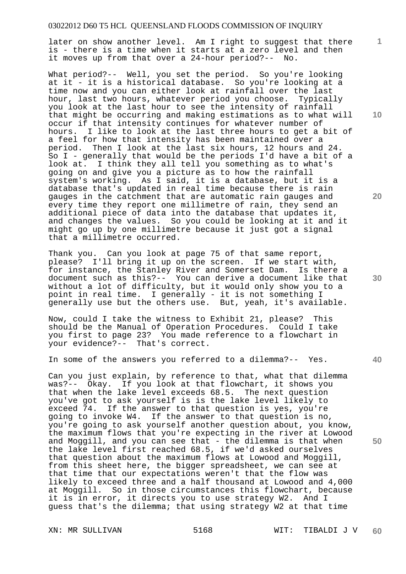later on show another level. Am I right to suggest that there is - there is a time when it starts at a zero level and then it moves up from that over a 24-hour period?-- No.

What period?-- Well, you set the period. So you're looking at it - it is a historical database. So you're looking at a time now and you can either look at rainfall over the last hour, last two hours, whatever period you choose. Typically you look at the last hour to see the intensity of rainfall that might be occurring and making estimations as to what will occur if that intensity continues for whatever number of hours. I like to look at the last three hours to get a bit of a feel for how that intensity has been maintained over a period. Then I look at the last six hours, 12 hours and 24. So I - generally that would be the periods I'd have a bit of a look at. I think they all tell you something as to what's going on and give you a picture as to how the rainfall system's working. As I said, it is a database, but it is a database that's updated in real time because there is rain gauges in the catchment that are automatic rain gauges and every time they report one millimetre of rain, they send an additional piece of data into the database that updates it, and changes the values. So you could be looking at it and it might go up by one millimetre because it just got a signal that a millimetre occurred.

Thank you. Can you look at page 75 of that same report, please? I'll bring it up on the screen. If we start with, for instance, the Stanley River and Somerset Dam. Is there a document such as this?-- You can derive a document like that without a lot of difficulty, but it would only show you to a point in real time. I generally - it is not something I generally use but the others use. But, yeah, it's available.

Now, could I take the witness to Exhibit 21, please? This should be the Manual of Operation Procedures. Could I take you first to page 23? You made reference to a flowchart in your evidence?-- That's correct.

In some of the answers you referred to a dilemma?-- Yes.

Can you just explain, by reference to that, what that dilemma was?-- Okay. If you look at that flowchart, it shows you that when the lake level exceeds 68.5. The next question you've got to ask yourself is is the lake level likely to exceed 74. If the answer to that question is yes, you're going to invoke W4. If the answer to that question is no, you're going to ask yourself another question about, you know, the maximum flows that you're expecting in the river at Lowood and Moggill, and you can see that - the dilemma is that when the lake level first reached 68.5, if we'd asked ourselves that question about the maximum flows at Lowood and Moggill, from this sheet here, the bigger spreadsheet, we can see at that time that our expectations weren't that the flow was likely to exceed three and a half thousand at Lowood and 4,000 at Moggill. So in those circumstances this flowchart, because it is in error, it directs you to use strategy W2. And I guess that's the dilemma; that using strategy W2 at that time

**10** 

**1**

**20** 

**40**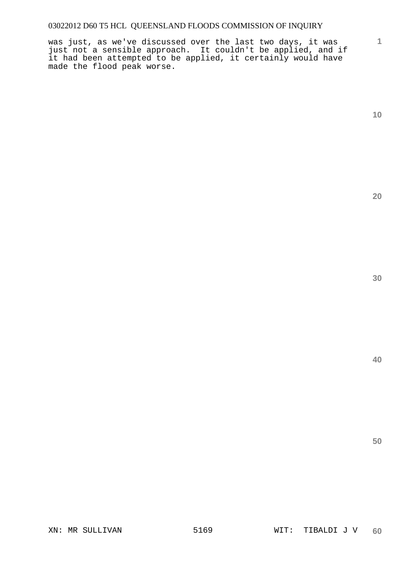was just, as we've discussed over the last two days, it was just not a sensible approach. It couldn't be applied, and if it had been attempted to be applied, it certainly would have made the flood peak worse.

**1**

**20**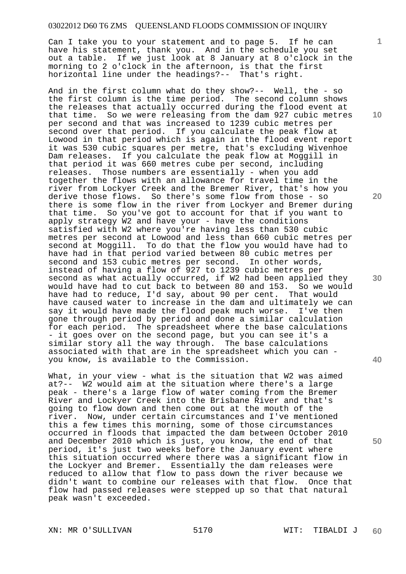Can I take you to your statement and to page 5. If he can have his statement, thank you. And in the schedule you set out a table. If we just look at 8 January at 8 o'clock in the morning to 2 o'clock in the afternoon, is that the first horizontal line under the headings?-- That's right.

And in the first column what do they show?-- Well, the - so the first column is the time period. The second column shows the releases that actually occurred during the flood event at that time. So we were releasing from the dam 927 cubic metres per second and that was increased to 1239 cubic metres per second over that period. If you calculate the peak flow at Lowood in that period which is again in the flood event report it was 530 cubic squares per metre, that's excluding Wivenhoe Dam releases. If you calculate the peak flow at Moggill in that period it was 660 metres cube per second, including releases. Those numbers are essentially - when you add together the flows with an allowance for travel time in the river from Lockyer Creek and the Bremer River, that's how you derive those flows. So there's some flow from those - so there is some flow in the river from Lockyer and Bremer during that time. So you've got to account for that if you want to apply strategy  $\overline{W}2$  and have your - have the conditions satisfied with W2 where you're having less than 530 cubic metres per second at Lowood and less than 660 cubic metres per second at Moggill. To do that the flow you would have had to have had in that period varied between 80 cubic metres per second and 153 cubic metres per second. In other words, instead of having a flow of 927 to 1239 cubic metres per second as what actually occurred, if W2 had been applied they would have had to cut back to between 80 and 153. So we would have had to reduce, I'd say, about 90 per cent. That would have caused water to increase in the dam and ultimately we can say it would have made the flood peak much worse. I've then gone through period by period and done a similar calculation for each period. The spreadsheet where the base calculations - it goes over on the second page, but you can see it's a similar story all the way through. The base calculations associated with that are in the spreadsheet which you can you know, is available to the Commission.

What, in your view - what is the situation that W2 was aimed at?-- W2 would aim at the situation where there's a large peak - there's a large flow of water coming from the Bremer River and Lockyer Creek into the Brisbane River and that's going to flow down and then come out at the mouth of the river. Now, under certain circumstances and I've mentioned this a few times this morning, some of those circumstances occurred in floods that impacted the dam between October 2010 and December 2010 which is just, you know, the end of that period, it's just two weeks before the January event where this situation occurred where there was a significant flow in the Lockyer and Bremer. Essentially the dam releases were reduced to allow that flow to pass down the river because we didn't want to combine our releases with that flow. Once that flow had passed releases were stepped up so that that natural peak wasn't exceeded.

**1**

**10** 

**20** 

**40**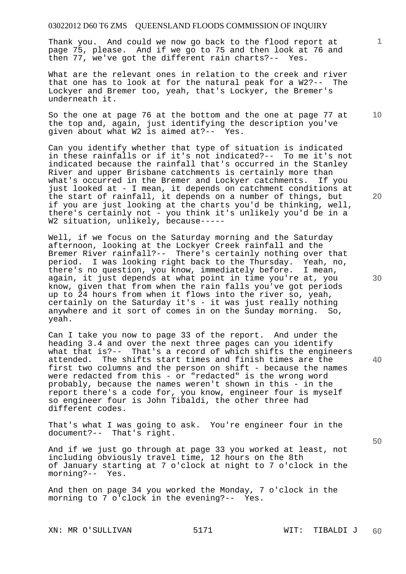Thank you. And could we now go back to the flood report at page 75, please. And if we go to 75 and then look at 76 and then 77, we've got the different rain charts?-- Yes.

What are the relevant ones in relation to the creek and river that one has to look at for the natural peak for a W2?-- The Lockyer and Bremer too, yeah, that's Lockyer, the Bremer's underneath it.

So the one at page 76 at the bottom and the one at page 77 at the top and, again, just identifying the description you've given about what W2 is aimed at?-- Yes.

Can you identify whether that type of situation is indicated in these rainfalls or if it's not indicated?-- To me it's not indicated because the rainfall that's occurred in the Stanley River and upper Brisbane catchments is certainly more than what's occurred in the Bremer and Lockyer catchments. If you just looked at - I mean, it depends on catchment conditions at the start of rainfall, it depends on a number of things, but if you are just looking at the charts you'd be thinking, well, there's certainly not - you think it's unlikely you'd be in a W2 situation, unlikely, because-----

Well, if we focus on the Saturday morning and the Saturday afternoon, looking at the Lockyer Creek rainfall and the Bremer River rainfall?-- There's certainly nothing over that period. I was looking right back to the Thursday. Yeah, no, there's no question, you know, immediately before. I mean, again, it just depends at what point in time you're at, you know, given that from when the rain falls you've got periods up to 24 hours from when it flows into the river so, yeah, certainly on the Saturday it's - it was just really nothing anywhere and it sort of comes in on the Sunday morning. So, yeah.

Can I take you now to page 33 of the report. And under the heading 3.4 and over the next three pages can you identify what that is?-- That's a record of which shifts the engineers attended. The shifts start times and finish times are the first two columns and the person on shift - because the names were redacted from this - or "redacted" is the wrong word probably, because the names weren't shown in this - in the report there's a code for, you know, engineer four is myself so engineer four is John Tibaldi, the other three had different codes.

That's what I was going to ask. You're engineer four in the document?-- That's right.

And if we just go through at page 33 you worked at least, not including obviously travel time, 12 hours on the 8th of January starting at 7 o'clock at night to 7 o'clock in the morning?-- Yes.

And then on page 34 you worked the Monday, 7 o'clock in the morning to 7 o'clock in the evening?-- Yes.

XN: MR O'SULLIVAN 5171 WIT: TIBALDI J

**20** 

**40** 

**50** 

**30** 

**10**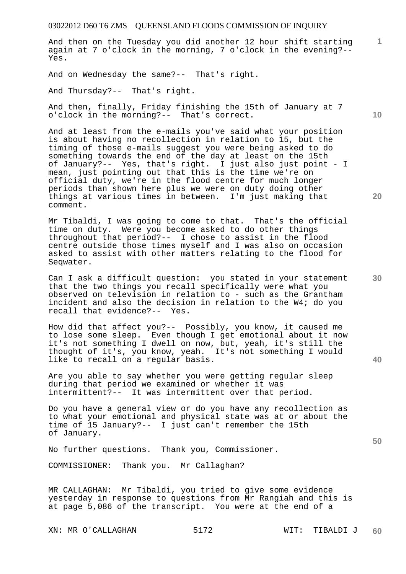And then on the Tuesday you did another 12 hour shift starting again at 7 o'clock in the morning, 7 o'clock in the evening?-- Yes.

And on Wednesday the same?-- That's right.

And Thursday?-- That's right.

And then, finally, Friday finishing the 15th of January at 7 o'clock in the morning?-- That's correct.

And at least from the e-mails you've said what your position is about having no recollection in relation to 15, but the timing of those e-mails suggest you were being asked to do something towards the end of the day at least on the 15th of January?-- Yes, that's right. I just also just point - I mean, just pointing out that this is the time we're on official duty, we're in the flood centre for much longer periods than shown here plus we were on duty doing other things at various times in between. I'm just making that comment.

Mr Tibaldi, I was going to come to that. That's the official time on duty. Were you become asked to do other things throughout that period?-- I chose to assist in the flood centre outside those times myself and I was also on occasion asked to assist with other matters relating to the flood for Seqwater.

Can I ask a difficult question: you stated in your statement that the two things you recall specifically were what you observed on television in relation to - such as the Grantham incident and also the decision in relation to the W4; do you recall that evidence?-- Yes.

How did that affect you?-- Possibly, you know, it caused me to lose some sleep. Even though I get emotional about it now it's not something I dwell on now, but, yeah, it's still the thought of it's, you know, yeah. It's not something I would like to recall on a regular basis.

Are you able to say whether you were getting regular sleep during that period we examined or whether it was intermittent?-- It was intermittent over that period.

Do you have a general view or do you have any recollection as to what your emotional and physical state was at or about the time of 15 January?-- I just can't remember the 15th of January.

No further questions. Thank you, Commissioner.

COMMISSIONER: Thank you. Mr Callaghan?

MR CALLAGHAN: Mr Tibaldi, you tried to give some evidence yesterday in response to questions from Mr Rangiah and this is at page 5,086 of the transcript. You were at the end of a

XN: MR O'CALLAGHAN 5172 WIT: TIBALDI J

**10** 

**1**

**20** 

**30** 

**40**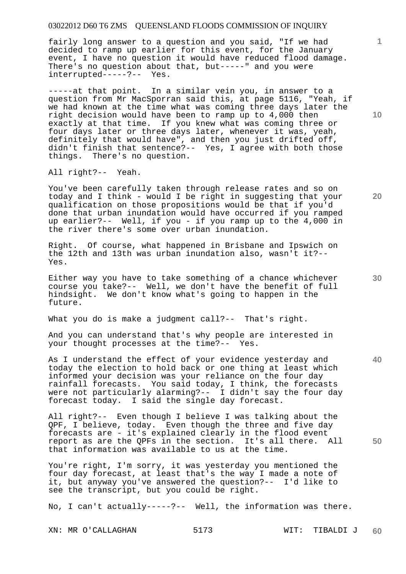fairly long answer to a question and you said, "If we had decided to ramp up earlier for this event, for the January event, I have no question it would have reduced flood damage. There's no question about that, but-----" and you were interrupted-----?-- Yes.

-----at that point. In a similar vein you, in answer to a question from Mr MacSporran said this, at page 5116, "Yeah, if we had known at the time what was coming three days later the right decision would have been to ramp up to 4,000 then exactly at that time. If you knew what was coming three or four days later or three days later, whenever it was, yeah, definitely that would have", and then you just drifted off, didn't finish that sentence?-- Yes, I agree with both those things. There's no question.

All right?-- Yeah.

You've been carefully taken through release rates and so on today and I think - would I be right in suggesting that your qualification on those propositions would be that if you'd done that urban inundation would have occurred if you ramped up earlier?-- Well, if you - if you ramp up to the 4,000 in the river there's some over urban inundation.

Right. Of course, what happened in Brisbane and Ipswich on the 12th and 13th was urban inundation also, wasn't it?-- Yes.

Either way you have to take something of a chance whichever course you take?-- Well, we don't have the benefit of full hindsight. We don't know what's going to happen in the future.

What you do is make a judgment call?-- That's right.

And you can understand that's why people are interested in your thought processes at the time?-- Yes.

As I understand the effect of your evidence yesterday and today the election to hold back or one thing at least which informed your decision was your reliance on the four day rainfall forecasts. You said today, I think, the forecasts were not particularly alarming?-- I didn't say the four day forecast today. I said the single day forecast.

All right?-- Even though I believe I was talking about the QPF, I believe, today. Even though the three and five day forecasts are - it's explained clearly in the flood event report as are the QPFs in the section. It's all there. All that information was available to us at the time.

You're right, I'm sorry, it was yesterday you mentioned the four day forecast, at least that's the way I made a note of it, but anyway you've answered the question?-- I'd like to see the transcript, but you could be right.

No, I can't actually-----?-- Well, the information was there.

XN: MR O'CALLAGHAN 5173 WIT: TIBALDI J

**10** 

**1**

**30** 

**20** 

**40**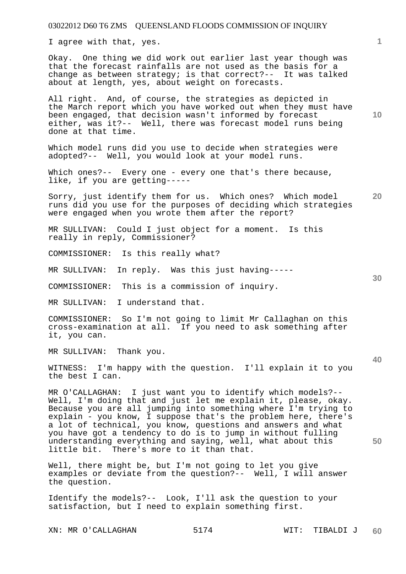I agree with that, yes.

Okay. One thing we did work out earlier last year though was that the forecast rainfalls are not used as the basis for a change as between strategy; is that correct?-- It was talked about at length, yes, about weight on forecasts.

All right. And, of course, the strategies as depicted in the March report which you have worked out when they must have been engaged, that decision wasn't informed by forecast either, was it?-- Well, there was forecast model runs being done at that time.

Which model runs did you use to decide when strategies were adopted?-- Well, you would look at your model runs.

Which ones?-- Every one - every one that's there because, like, if you are getting-----

**20**  Sorry, just identify them for us. Which ones? Which model runs did you use for the purposes of deciding which strategies were engaged when you wrote them after the report?

MR SULLIVAN: Could I just object for a moment. Is this really in reply, Commissioner?

COMMISSIONER: Is this really what?

MR SULLIVAN: In reply. Was this just having-----

COMMISSIONER: This is a commission of inquiry.

MR SULLIVAN: I understand that.

COMMISSIONER: So I'm not going to limit Mr Callaghan on this cross-examination at all. If you need to ask something after it, you can.

MR SULLIVAN: Thank you.

WITNESS: I'm happy with the question. I'll explain it to you the best I can.

MR O'CALLAGHAN: I just want you to identify which models?-- Well, I'm doing that and just let me explain it, please, okay. Because you are all jumping into something where I'm trying to explain - you know, I suppose that's the problem here, there's a lot of technical, you know, questions and answers and what you have got a tendency to do is to jump in without fulling understanding everything and saying, well, what about this little bit. There's more to it than that.

Well, there might be, but I'm not going to let you give examples or deviate from the question?-- Well, I will answer the question.

Identify the models?-- Look, I'll ask the question to your satisfaction, but I need to explain something first.

**1**

**10** 

**30** 

**40**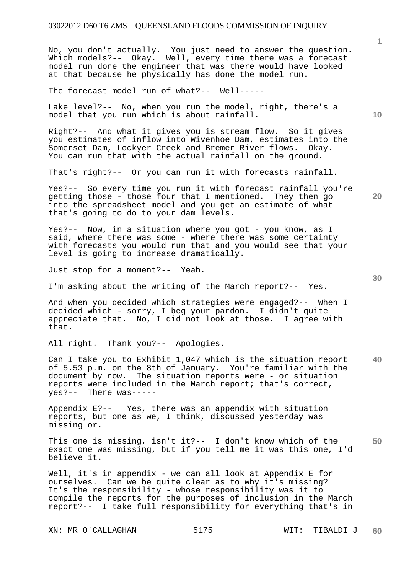No, you don't actually. You just need to answer the question. Which models?-- Okay. Well, every time there was a forecast model run done the engineer that was there would have looked at that because he physically has done the model run.

The forecast model run of what?-- Well-----

Lake level?-- No, when you run the model, right, there's a model that you run which is about rainfall.

Right?-- And what it gives you is stream flow. So it gives you estimates of inflow into Wivenhoe Dam, estimates into the Somerset Dam, Lockyer Creek and Bremer River flows. Okay. You can run that with the actual rainfall on the ground.

That's right?-- Or you can run it with forecasts rainfall.

Yes?-- So every time you run it with forecast rainfall you're getting those - those four that I mentioned. They then go into the spreadsheet model and you get an estimate of what that's going to do to your dam levels.

Yes?-- Now, in a situation where you got - you know, as I said, where there was some - where there was some certainty with forecasts you would run that and you would see that your level is going to increase dramatically.

Just stop for a moment?-- Yeah.

I'm asking about the writing of the March report?-- Yes.

And when you decided which strategies were engaged?-- When I decided which - sorry, I beg your pardon. I didn't quite appreciate that. No, I did not look at those. I agree with that.

All right. Thank you?-- Apologies.

**40**  Can I take you to Exhibit 1,047 which is the situation report of 5.53 p.m. on the 8th of January. You're familiar with the document by now. The situation reports were - or situation reports were included in the March report; that's correct, yes?-- There was-----

Appendix E?-- Yes, there was an appendix with situation reports, but one as we, I think, discussed yesterday was missing or.

**50**  This one is missing, isn't it?-- I don't know which of the exact one was missing, but if you tell me it was this one, I'd believe it.

Well, it's in appendix - we can all look at Appendix E for ourselves. Can we be quite clear as to why it's missing? It's the responsibility - whose responsibility was it to compile the reports for the purposes of inclusion in the March report?-- I take full responsibility for everything that's in

XN: MR O'CALLAGHAN 5175 WIT: TIBALDI J

**10** 

**1**

**30**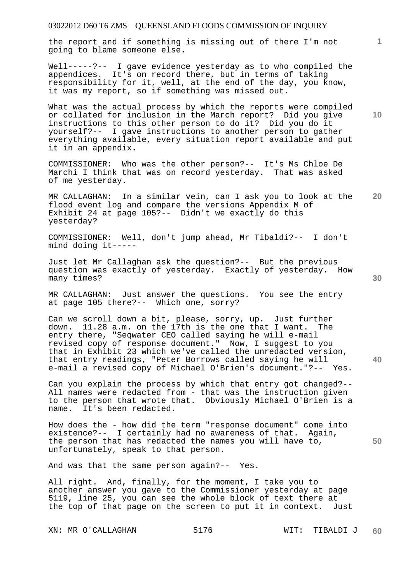the report and if something is missing out of there I'm not going to blame someone else.

Well-----?-- I gave evidence yesterday as to who compiled the appendices. It's on record there, but in terms of taking responsibility for it, well, at the end of the day, you know, it was my report, so if something was missed out.

What was the actual process by which the reports were compiled or collated for inclusion in the March report? Did you give instructions to this other person to do it? Did you do it yourself?-- I gave instructions to another person to gather everything available, every situation report available and put it in an appendix.

COMMISSIONER: Who was the other person?-- It's Ms Chloe De Marchi I think that was on record yesterday. That was asked of me yesterday.

**20**  MR CALLAGHAN: In a similar vein, can I ask you to look at the flood event log and compare the versions Appendix M of Exhibit 24 at page 105?-- Didn't we exactly do this yesterday?

COMMISSIONER: Well, don't jump ahead, Mr Tibaldi?-- I don't mind doing it-----

Just let Mr Callaghan ask the question?-- But the previous question was exactly of yesterday. Exactly of yesterday. How many times?

MR CALLAGHAN: Just answer the questions. You see the entry at page 105 there?-- Which one, sorry?

Can we scroll down a bit, please, sorry, up. Just further down. 11.28 a.m. on the 17th is the one that I want. The entry there, "Seqwater CEO called saying he will e-mail revised copy of response document." Now, I suggest to you that in Exhibit 23 which we've called the unredacted version, that entry readings, "Peter Borrows called saying he will e-mail a revised copy of Michael O'Brien's document."?-- Yes.

Can you explain the process by which that entry got changed?-- All names were redacted from - that was the instruction given to the person that wrote that. Obviously Michael O'Brien is a name. It's been redacted.

**50**  How does the - how did the term "response document" come into existence?-- I certainly had no awareness of that. Again, the person that has redacted the names you will have to, unfortunately, speak to that person.

And was that the same person again?-- Yes.

All right. And, finally, for the moment, I take you to another answer you gave to the Commissioner yesterday at page 5119, line 25, you can see the whole block of text there at the top of that page on the screen to put it in context. Just

XN: MR O'CALLAGHAN 5176 WIT: TIBALDI J

**1**

**10** 

**30**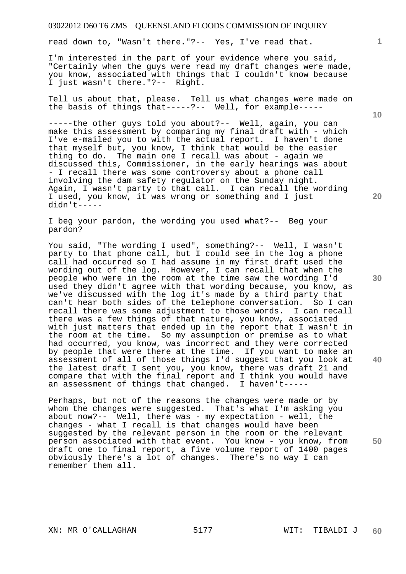read down to, "Wasn't there."?-- Yes, I've read that.

I'm interested in the part of your evidence where you said, "Certainly when the guys were read my draft changes were made, you know, associated with things that I couldn't know because I just wasn't there."?-- Right.

Tell us about that, please. Tell us what changes were made on the basis of things that-----?-- Well, for example-----

-----the other guys told you about?-- Well, again, you can make this assessment by comparing my final draft with - which I've e-mailed you to with the actual report. I haven't done that myself but, you know, I think that would be the easier thing to do. The main one I recall was about - again we discussed this, Commissioner, in the early hearings was about - I recall there was some controversy about a phone call involving the dam safety regulator on the Sunday night. Again, I wasn't party to that call. I can recall the wording I used, you know, it was wrong or something and I just didn't-----

I beg your pardon, the wording you used what?-- Beg your pardon?

You said, "The wording I used", something?-- Well, I wasn't party to that phone call, but I could see in the log a phone call had occurred so I had assume in my first draft used the wording out of the log. However, I can recall that when the people who were in the room at the time saw the wording I'd used they didn't agree with that wording because, you know, as we've discussed with the log it's made by a third party that can't hear both sides of the telephone conversation. So I can recall there was some adjustment to those words. I can recall there was a few things of that nature, you know, associated with just matters that ended up in the report that I wasn't in the room at the time. So my assumption or premise as to what had occurred, you know, was incorrect and they were corrected by people that were there at the time. If you want to make an assessment of all of those things I'd suggest that you look at the latest draft I sent you, you know, there was draft 21 and compare that with the final report and I think you would have an assessment of things that changed. I haven't-----

Perhaps, but not of the reasons the changes were made or by whom the changes were suggested. That's what I'm asking you about now?-- Well, there was - my expectation - well, the changes - what I recall is that changes would have been suggested by the relevant person in the room or the relevant person associated with that event. You know - you know, from draft one to final report, a five volume report of 1400 pages obviously there's a lot of changes. There's no way I can remember them all.

**10** 

**1**

**20** 

**40**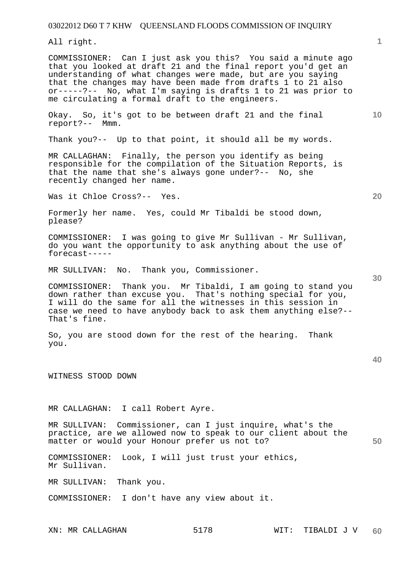All right.

COMMISSIONER: Can I just ask you this? You said a minute ago that you looked at draft 21 and the final report you'd get an understanding of what changes were made, but are you saying that the changes may have been made from drafts 1 to 21 also or-----?-- No, what I'm saying is drafts 1 to 21 was prior to me circulating a formal draft to the engineers.

Okay. So, it's got to be between draft 21 and the final report?-- Mmm.

Thank you?-- Up to that point, it should all be my words.

MR CALLAGHAN: Finally, the person you identify as being responsible for the compilation of the Situation Reports, is that the name that she's always gone under?-- No, she recently changed her name.

Was it Chloe Cross?-- Yes.

Formerly her name. Yes, could Mr Tibaldi be stood down, please?

COMMISSIONER: I was going to give Mr Sullivan - Mr Sullivan, do you want the opportunity to ask anything about the use of forecast-----

MR SULLIVAN: No. Thank you, Commissioner.

COMMISSIONER: Thank you. Mr Tibaldi, I am going to stand you down rather than excuse you. That's nothing special for you, I will do the same for all the witnesses in this session in case we need to have anybody back to ask them anything else?-- That's fine.

So, you are stood down for the rest of the hearing. Thank you.

WITNESS STOOD DOWN

MR CALLAGHAN: I call Robert Ayre.

**50**  MR SULLIVAN: Commissioner, can I just inquire, what's the practice, are we allowed now to speak to our client about the matter or would your Honour prefer us not to?

COMMISSIONER: Look, I will just trust your ethics, Mr Sullivan.

MR SULLIVAN: Thank you.

COMMISSIONER: I don't have any view about it.

**1**

**20** 

**10**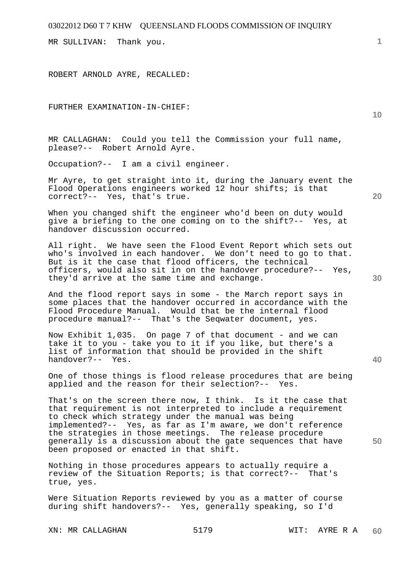MR SULLIVAN: Thank you.

ROBERT ARNOLD AYRE, RECALLED:

FURTHER EXAMINATION-IN-CHIEF:

MR CALLAGHAN: Could you tell the Commission your full name, please?-- Robert Arnold Ayre.

Occupation?-- I am a civil engineer.

Mr Ayre, to get straight into it, during the January event the Flood Operations engineers worked 12 hour shifts; is that correct?-- Yes, that's true.

When you changed shift the engineer who'd been on duty would give a briefing to the one coming on to the shift?-- Yes, at handover discussion occurred.

All right. We have seen the Flood Event Report which sets out who's involved in each handover. We don't need to go to that. But is it the case that flood officers, the technical officers, would also sit in on the handover procedure?-- Yes, they'd arrive at the same time and exchange.

And the flood report says in some - the March report says in some places that the handover occurred in accordance with the Flood Procedure Manual. Would that be the internal flood procedure manual?-- That's the Seqwater document, yes.

Now Exhibit 1,035. On page 7 of that document - and we can take it to you - take you to it if you like, but there's a list of information that should be provided in the shift handover?-- Yes.

One of those things is flood release procedures that are being applied and the reason for their selection?-- Yes.

That's on the screen there now, I think. Is it the case that that requirement is not interpreted to include a requirement to check which strategy under the manual was being implemented?-- Yes, as far as I'm aware, we don't reference the strategies in those meetings. The release procedure generally is a discussion about the gate sequences that have been proposed or enacted in that shift.

Nothing in those procedures appears to actually require a review of the Situation Reports; is that correct?-- That's true, yes.

Were Situation Reports reviewed by you as a matter of course during shift handovers?-- Yes, generally speaking, so I'd

XN: MR CALLAGHAN 5179 WIT: AYRE R A

**20** 

**10** 

**1**

**30** 

**40**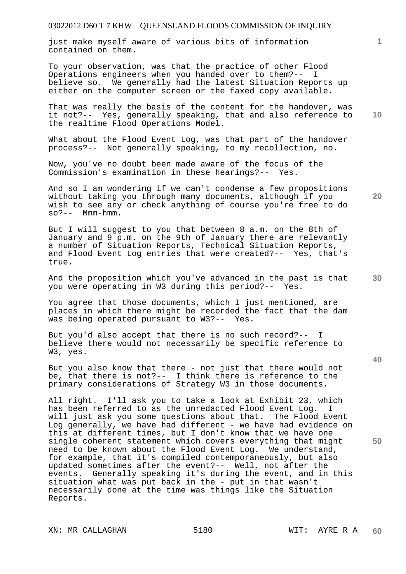just make myself aware of various bits of information contained on them.

To your observation, was that the practice of other Flood Operations engineers when you handed over to them?-- I believe so. We generally had the latest Situation Reports up either on the computer screen or the faxed copy available.

That was really the basis of the content for the handover, was it not?-- Yes, generally speaking, that and also reference to the realtime Flood Operations Model.

What about the Flood Event Log, was that part of the handover process?-- Not generally speaking, to my recollection, no.

Now, you've no doubt been made aware of the focus of the Commission's examination in these hearings?-- Yes.

And so I am wondering if we can't condense a few propositions without taking you through many documents, although if you wish to see any or check anything of course you're free to do  $so? --$  Mmm-hmm.

But I will suggest to you that between 8 a.m. on the 8th of January and 9 p.m. on the 9th of January there are relevantly a number of Situation Reports, Technical Situation Reports, and Flood Event Log entries that were created?-- Yes, that's true.

And the proposition which you've advanced in the past is that you were operating in W3 during this period?-- Yes.

You agree that those documents, which I just mentioned, are places in which there might be recorded the fact that the dam was being operated pursuant to W3?-- Yes.

But you'd also accept that there is no such record?-- I believe there would not necessarily be specific reference to W3, yes.

But you also know that there - not just that there would not be, that there is not?-- I think there is reference to the primary considerations of Strategy W3 in those documents.

All right. I'll ask you to take a look at Exhibit 23, which has been referred to as the unredacted Flood Event Log. I will just ask you some questions about that. The Flood Event Log generally, we have had different - we have had evidence on this at different times, but I don't know that we have one single coherent statement which covers everything that might need to be known about the Flood Event Log. We understand, for example, that it's compiled contemporaneously, but also updated sometimes after the event?-- Well, not after the events. Generally speaking it's during the event, and in this situation what was put back in the - put in that wasn't necessarily done at the time was things like the Situation Reports.

XN: MR CALLAGHAN 5180 WIT: AYRE R A

**40** 

**50** 

**30** 

**10** 

**1**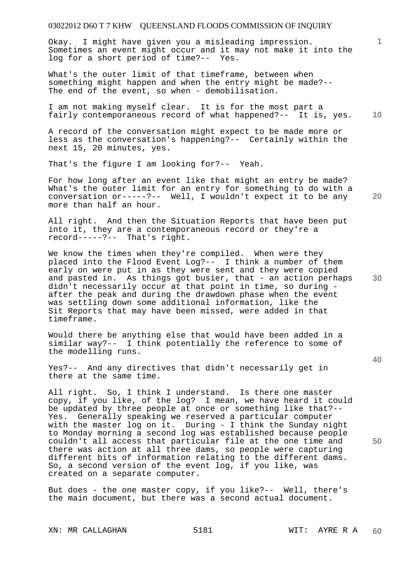Okay. I might have given you a misleading impression. Sometimes an event might occur and it may not make it into the log for a short period of time?-- Yes.

What's the outer limit of that timeframe, between when something might happen and when the entry might be made?-- The end of the event, so when - demobilisation.

**10**  I am not making myself clear. It is for the most part a fairly contemporaneous record of what happened?-- It is, yes.

A record of the conversation might expect to be made more or less as the conversation's happening?-- Certainly within the next 15, 20 minutes, yes.

That's the figure I am looking for?-- Yeah.

For how long after an event like that might an entry be made? What's the outer limit for an entry for something to do with a conversation or-----?-- Well, I wouldn't expect it to be any more than half an hour.

All right. And then the Situation Reports that have been put into it, they are a contemporaneous record or they're a record-----?-- That's right.

We know the times when they're compiled. When were they placed into the Flood Event Log?-- I think a number of them early on were put in as they were sent and they were copied and pasted in. As things got busier, that - an action perhaps didn't necessarily occur at that point in time, so during after the peak and during the drawdown phase when the event was settling down some additional information, like the Sit Reports that may have been missed, were added in that timeframe.

Would there be anything else that would have been added in a similar way?-- I think potentially the reference to some of the modelling runs.

Yes?-- And any directives that didn't necessarily get in there at the same time.

All right. So, I think I understand. Is there one master copy, if you like, of the log? I mean, we have heard it could be updated by three people at once or something like that?-- Yes. Generally speaking we reserved a particular computer with the master log on it. During - I think the Sunday night to Monday morning a second log was established because people couldn't all access that particular file at the one time and there was action at all three dams, so people were capturing different bits of information relating to the different dams. So, a second version of the event log, if you like, was created on a separate computer.

But does - the one master copy, if you like?-- Well, there's the main document, but there was a second actual document.

**30** 

**20** 

**40**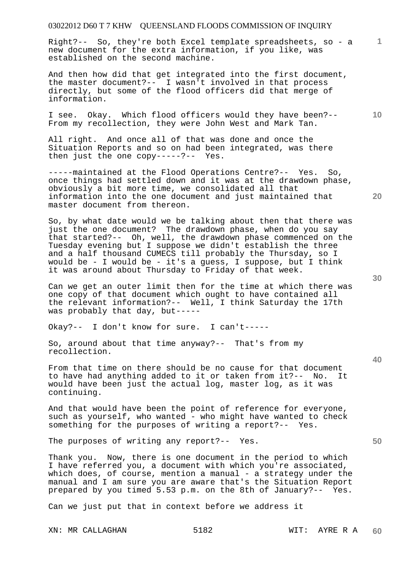Right?-- So, they're both Excel template spreadsheets, so - a new document for the extra information, if you like, was established on the second machine.

And then how did that get integrated into the first document, the master document?-- I wasn't involved in that process directly, but some of the flood officers did that merge of information.

I see. Okay. Which flood officers would they have been?-- From my recollection, they were John West and Mark Tan.

All right. And once all of that was done and once the Situation Reports and so on had been integrated, was there then just the one copy-----?-- Yes.

-----maintained at the Flood Operations Centre?-- Yes. So, once things had settled down and it was at the drawdown phase, obviously a bit more time, we consolidated all that information into the one document and just maintained that master document from thereon.

So, by what date would we be talking about then that there was just the one document? The drawdown phase, when do you say that started?-- Oh, well, the drawdown phase commenced on the Tuesday evening but I suppose we didn't establish the three and a half thousand CUMECS till probably the Thursday, so I would be - I would be - it's a guess, I suppose, but I think it was around about Thursday to Friday of that week.

Can we get an outer limit then for the time at which there was one copy of that document which ought to have contained all the relevant information?-- Well, I think Saturday the 17th was probably that day, but-----

Okay?-- I don't know for sure. I can't-----

So, around about that time anyway?-- That's from my recollection.

From that time on there should be no cause for that document to have had anything added to it or taken from it?-- No. It would have been just the actual log, master log, as it was continuing.

And that would have been the point of reference for everyone, such as yourself, who wanted - who might have wanted to check something for the purposes of writing a report?-- Yes.

The purposes of writing any report?-- Yes.

Thank you. Now, there is one document in the period to which I have referred you, a document with which you're associated, which does, of course, mention a manual - a strategy under the manual and I am sure you are aware that's the Situation Report prepared by you timed 5.53 p.m. on the 8th of January?-- Yes.

Can we just put that in context before we address it

XN: MR CALLAGHAN 5182 WIT: AYRE R A

**30** 

**20** 

**40** 

**50** 

**10**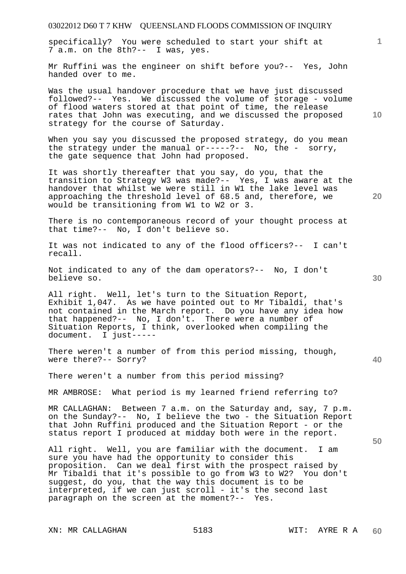specifically? You were scheduled to start your shift at 7 a.m. on the 8th?-- I was, yes.

Mr Ruffini was the engineer on shift before you?-- Yes, John handed over to me.

Was the usual handover procedure that we have just discussed followed?-- Yes. We discussed the volume of storage - volume of flood waters stored at that point of time, the release rates that John was executing, and we discussed the proposed strategy for the course of Saturday.

When you say you discussed the proposed strategy, do you mean the strategy under the manual  $or---?--$  No, the - sorry, the gate sequence that John had proposed.

It was shortly thereafter that you say, do you, that the transition to Strategy W3 was made?-- Yes, I was aware at the handover that whilst we were still in W1 the lake level was approaching the threshold level of 68.5 and, therefore, we would be transitioning from W1 to W2 or 3.

There is no contemporaneous record of your thought process at that time?-- No, I don't believe so.

It was not indicated to any of the flood officers?-- I can't recall.

Not indicated to any of the dam operators?-- No, I don't believe so.

All right. Well, let's turn to the Situation Report, Exhibit 1,047. As we have pointed out to Mr Tibaldi, that's not contained in the March report. Do you have any idea how that happened?-- No, I don't. There were a number of Situation Reports, I think, overlooked when compiling the document. I just-----I just-----

There weren't a number of from this period missing, though, were there?-- Sorry?

There weren't a number from this period missing?

MR AMBROSE: What period is my learned friend referring to?

MR CALLAGHAN: Between 7 a.m. on the Saturday and, say, 7 p.m. on the Sunday?-- No, I believe the two - the Situation Report that John Ruffini produced and the Situation Report - or the status report I produced at midday both were in the report.

All right. Well, you are familiar with the document. I am sure you have had the opportunity to consider this proposition. Can we deal first with the prospect raised by Mr Tibaldi that it's possible to go from W3 to W2? You don't suggest, do you, that the way this document is to be interpreted, if we can just scroll - it's the second last paragraph on the screen at the moment?-- Yes.

XN: MR CALLAGHAN 5183 WIT: AYRE R A

**30** 

**20** 

**50** 

**10**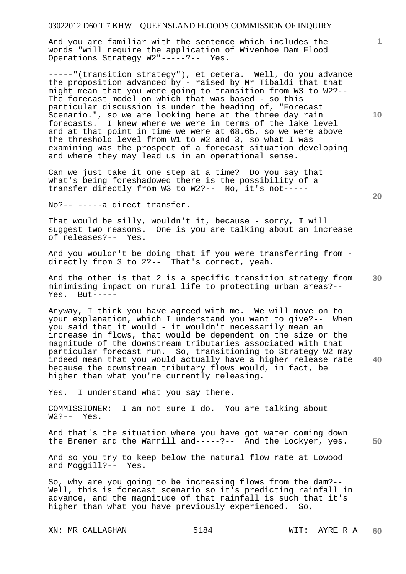And you are familiar with the sentence which includes the words "will require the application of Wivenhoe Dam Flood Operations Strategy W2"-----?-- Yes.

-----"(transition strategy"), et cetera. Well, do you advance the proposition advanced by - raised by Mr Tibaldi that that might mean that you were going to transition from W3 to W2?-- The forecast model on which that was based - so this particular discussion is under the heading of, "Forecast Scenario.", so we are looking here at the three day rain forecasts. I knew where we were in terms of the lake level and at that point in time we were at 68.65, so we were above the threshold level from W1 to W2 and 3, so what I was examining was the prospect of a forecast situation developing and where they may lead us in an operational sense.

Can we just take it one step at a time? Do you say that what's being foreshadowed there is the possibility of a transfer directly from W3 to W2?-- No, it's not-----

No?-- -----a direct transfer.

That would be silly, wouldn't it, because - sorry, I will suggest two reasons. One is you are talking about an increase of releases?-- Yes.

And you wouldn't be doing that if you were transferring from directly from 3 to 2?-- That's correct, yeah.

**30**  And the other is that 2 is a specific transition strategy from minimising impact on rural life to protecting urban areas?-- Yes. But-----

Anyway, I think you have agreed with me. We will move on to your explanation, which I understand you want to give?-- When you said that it would - it wouldn't necessarily mean an increase in flows, that would be dependent on the size or the magnitude of the downstream tributaries associated with that particular forecast run. So, transitioning to Strategy W2 may indeed mean that you would actually have a higher release rate because the downstream tributary flows would, in fact, be higher than what you're currently releasing.

Yes. I understand what you say there.

COMMISSIONER: I am not sure I do. You are talking about  $W2?--Yes.$ 

**50**  And that's the situation where you have got water coming down the Bremer and the Warrill and-----?-- And the Lockyer, yes.

And so you try to keep below the natural flow rate at Lowood and Moggill?-- Yes.

So, why are you going to be increasing flows from the dam?-- Well, this is forecast scenario so it's predicting rainfall in advance, and the magnitude of that rainfall is such that it's higher than what you have previously experienced. So,

XN: MR CALLAGHAN 5184 WIT: AYRE R A

**10** 

**1**

**20**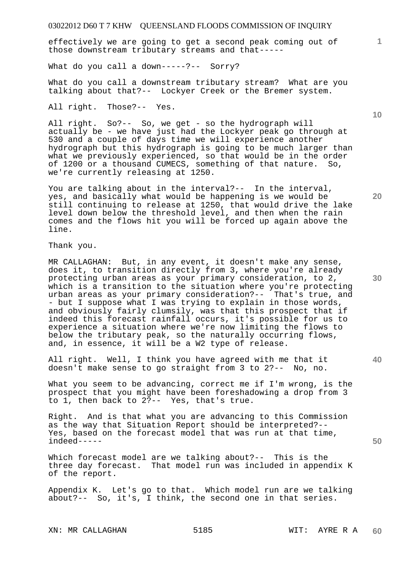effectively we are going to get a second peak coming out of those downstream tributary streams and that-----

What do you call a down-----?-- Sorry?

What do you call a downstream tributary stream? What are you talking about that?-- Lockyer Creek or the Bremer system.

All right. Those?-- Yes.

All right. So?-- So, we get - so the hydrograph will actually be - we have just had the Lockyer peak go through at 530 and a couple of days time we will experience another hydrograph but this hydrograph is going to be much larger than what we previously experienced, so that would be in the order of 1200 or a thousand CUMECS, something of that nature. So, we're currently releasing at 1250.

You are talking about in the interval?-- In the interval, yes, and basically what would be happening is we would be still continuing to release at 1250, that would drive the lake level down below the threshold level, and then when the rain comes and the flows hit you will be forced up again above the line.

Thank you.

MR CALLAGHAN: But, in any event, it doesn't make any sense, does it, to transition directly from 3, where you're already protecting urban areas as your primary consideration, to 2, which is a transition to the situation where you're protecting urban areas as your primary consideration?-- That's true, and - but I suppose what I was trying to explain in those words, and obviously fairly clumsily, was that this prospect that if indeed this forecast rainfall occurs, it's possible for us to experience a situation where we're now limiting the flows to below the tributary peak, so the naturally occurring flows, and, in essence, it will be a W2 type of release.

All right. Well, I think you have agreed with me that it doesn't make sense to go straight from 3 to 2?-- No, no.

What you seem to be advancing, correct me if I'm wrong, is the prospect that you might have been foreshadowing a drop from 3 to 1, then back to 2?-- Yes, that's true.

Right. And is that what you are advancing to this Commission as the way that Situation Report should be interpreted?-- Yes, based on the forecast model that was run at that time, indeed-----

Which forecast model are we talking about?-- This is the three day forecast. That model run was included in appendix K of the report.

Appendix K. Let's go to that. Which model run are we talking about?-- So, it's, I think, the second one in that series.

XN: MR CALLAGHAN 5185 WIT: AYRE R A

**10** 

**1**

**20** 

**30**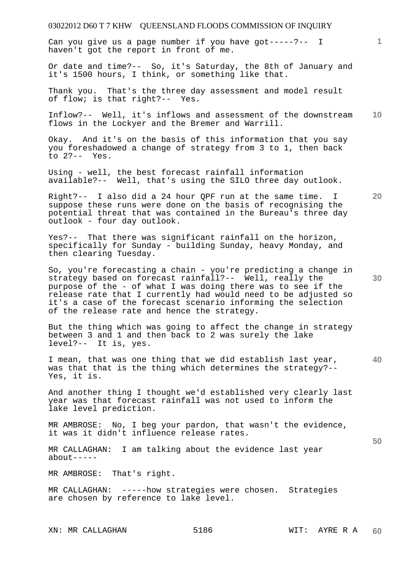Can you give us a page number if you have got-----?-- I haven't got the report in front of me.

Or date and time?-- So, it's Saturday, the 8th of January and it's 1500 hours, I think, or something like that.

Thank you. That's the three day assessment and model result of flow; is that right?-- Yes.

**10**  Inflow?-- Well, it's inflows and assessment of the downstream flows in the Lockyer and the Bremer and Warrill.

Okay. And it's on the basis of this information that you say you foreshadowed a change of strategy from 3 to 1, then back to  $2? --$  Yes.

Using - well, the best forecast rainfall information available?-- Well, that's using the SILO three day outlook.

Right?-- I also did a 24 hour QPF run at the same time. I suppose these runs were done on the basis of recognising the potential threat that was contained in the Bureau's three day outlook - four day outlook.

Yes?-- That there was significant rainfall on the horizon, specifically for Sunday - building Sunday, heavy Monday, and then clearing Tuesday.

So, you're forecasting a chain - you're predicting a change in strategy based on forecast rainfall?-- Well, really the purpose of the - of what I was doing there was to see if the release rate that I currently had would need to be adjusted so it's a case of the forecast scenario informing the selection of the release rate and hence the strategy.

But the thing which was going to affect the change in strategy between 3 and 1 and then back to 2 was surely the lake level?-- It is, yes.

**40**  I mean, that was one thing that we did establish last year, was that that is the thing which determines the strategy?-- Yes, it is.

And another thing I thought we'd established very clearly last year was that forecast rainfall was not used to inform the lake level prediction.

MR AMBROSE: No, I beg your pardon, that wasn't the evidence, it was it didn't influence release rates.

MR CALLAGHAN: I am talking about the evidence last year about-----

MR AMBROSE: That's right.

MR CALLAGHAN: -----how strategies were chosen. Strategies are chosen by reference to lake level.

XN: MR CALLAGHAN 5186 WIT: AYRE R A

**1**

**20** 

**30**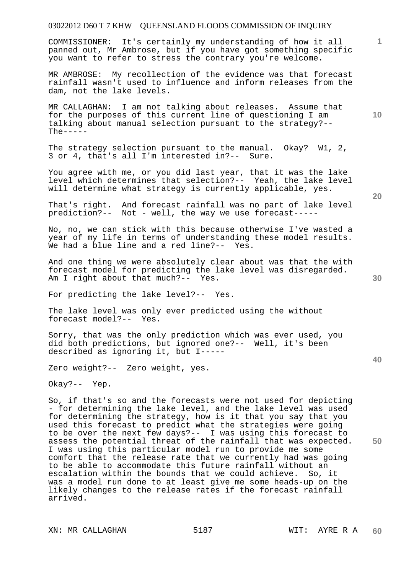COMMISSIONER: It's certainly my understanding of how it all panned out, Mr Ambrose, but if you have got something specific you want to refer to stress the contrary you're welcome.

MR AMBROSE: My recollection of the evidence was that forecast rainfall wasn't used to influence and inform releases from the dam, not the lake levels.

MR CALLAGHAN: I am not talking about releases. Assume that for the purposes of this current line of questioning I am talking about manual selection pursuant to the strategy?--  $The  $--$$ 

The strategy selection pursuant to the manual. Okay? W1, 2, 3 or 4, that's all I'm interested in?-- Sure.

You agree with me, or you did last year, that it was the lake level which determines that selection?-- Yeah, the lake level will determine what strategy is currently applicable, yes.

That's right. And forecast rainfall was no part of lake level prediction?-- Not - well, the way we use forecast-----

No, no, we can stick with this because otherwise I've wasted a year of my life in terms of understanding these model results. We had a blue line and a red line?-- Yes.

And one thing we were absolutely clear about was that the with forecast model for predicting the lake level was disregarded. Am I right about that much?-- Yes.

For predicting the lake level?-- Yes.

The lake level was only ever predicted using the without forecast model?-- Yes.

Sorry, that was the only prediction which was ever used, you did both predictions, but ignored one?-- Well, it's been described as ignoring it, but I-----

Zero weight?-- Zero weight, yes.

Okay?-- Yep.

So, if that's so and the forecasts were not used for depicting - for determining the lake level, and the lake level was used for determining the strategy, how is it that you say that you used this forecast to predict what the strategies were going to be over the next few days?-- I was using this forecast to assess the potential threat of the rainfall that was expected. I was using this particular model run to provide me some comfort that the release rate that we currently had was going to be able to accommodate this future rainfall without an escalation within the bounds that we could achieve. So, it was a model run done to at least give me some heads-up on the likely changes to the release rates if the forecast rainfall arrived.

**40** 

**50** 

**30** 

**10**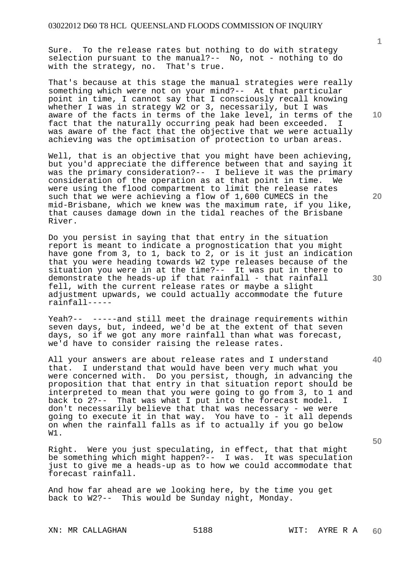Sure. To the release rates but nothing to do with strategy selection pursuant to the manual?-- No, not - nothing to do with the strategy, no. That's true.

That's because at this stage the manual strategies were really something which were not on your mind?-- At that particular point in time, I cannot say that I consciously recall knowing whether I was in strategy W2 or 3, necessarily, but I was aware of the facts in terms of the lake level, in terms of the fact that the naturally occurring peak had been exceeded. I was aware of the fact that the objective that we were actually achieving was the optimisation of protection to urban areas.

Well, that is an objective that you might have been achieving, but you'd appreciate the difference between that and saying it was the primary consideration?-- I believe it was the primary<br>consideration of the operation as at that point in time. We consideration of the operation as at that point in time. were using the flood compartment to limit the release rates such that we were achieving a flow of 1,600 CUMECS in the mid-Brisbane, which we knew was the maximum rate, if you like, that causes damage down in the tidal reaches of the Brisbane River.

Do you persist in saying that that entry in the situation report is meant to indicate a prognostication that you might have gone from 3, to 1, back to 2, or is it just an indication that you were heading towards W2 type releases because of the situation you were in at the time?-- It was put in there to demonstrate the heads-up if that rainfall - that rainfall fell, with the current release rates or maybe a slight adjustment upwards, we could actually accommodate the future rainfall-----

Yeah?-- -----and still meet the drainage requirements within seven days, but, indeed, we'd be at the extent of that seven days, so if we got any more rainfall than what was forecast, we'd have to consider raising the release rates.

All your answers are about release rates and I understand that. I understand that would have been very much what you were concerned with. Do you persist, though, in advancing the proposition that that entry in that situation report should be interpreted to mean that you were going to go from 3, to 1 and back to 2?-- That was what I put into the forecast model. I don't necessarily believe that that was necessary - we were going to execute it in that way. You have to - it all depends on when the rainfall falls as if to actually if you go below W1.

Right. Were you just speculating, in effect, that that might be something which might happen?-- I was. It was speculation just to give me a heads-up as to how we could accommodate that forecast rainfall.

And how far ahead are we looking here, by the time you get back to W2?-- This would be Sunday night, Monday.

**1**

**10** 

**20** 

**30** 

**40**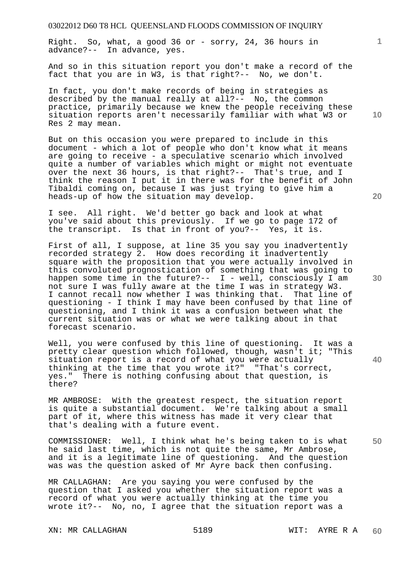Right. So, what, a good 36 or - sorry, 24, 36 hours in advance?-- In advance, yes.

And so in this situation report you don't make a record of the fact that you are in W3, is that right?-- No, we don't.

In fact, you don't make records of being in strategies as described by the manual really at all?-- No, the common practice, primarily because we knew the people receiving these situation reports aren't necessarily familiar with what W3 or Res 2 may mean.

But on this occasion you were prepared to include in this document - which a lot of people who don't know what it means are going to receive - a speculative scenario which involved quite a number of variables which might or might not eventuate over the next 36 hours, is that right?-- That's true, and I think the reason I put it in there was for the benefit of John Tibaldi coming on, because I was just trying to give him a heads-up of how the situation may develop.

I see. All right. We'd better go back and look at what you've said about this previously. If we go to page 172 of the transcript. Is that in front of you?-- Yes, it is.

First of all, I suppose, at line 35 you say you inadvertently recorded strategy 2. How does recording it inadvertently square with the proposition that you were actually involved in this convoluted prognostication of something that was going to happen some time in the future?-- I - well, consciously I am not sure I was fully aware at the time I was in strategy W3. I cannot recall now whether I was thinking that. That line of questioning - I think I may have been confused by that line of questioning, and I think it was a confusion between what the current situation was or what we were talking about in that forecast scenario.

Well, you were confused by this line of questioning. It was a pretty clear question which followed, though, wasn't it; "This situation report is a record of what you were actually thinking at the time that you wrote it?" "That's correct, yes." There is nothing confusing about that question, is there?

MR AMBROSE: With the greatest respect, the situation report is quite a substantial document. We're talking about a small part of it, where this witness has made it very clear that that's dealing with a future event.

COMMISSIONER: Well, I think what he's being taken to is what he said last time, which is not quite the same, Mr Ambrose, and it is a legitimate line of questioning. And the question was was the question asked of Mr Ayre back then confusing.

MR CALLAGHAN: Are you saying you were confused by the question that I asked you whether the situation report was a record of what you were actually thinking at the time you wrote it?-- No, no, I agree that the situation report was a

XN: MR CALLAGHAN 5189 WIT: AYRE R A

**20** 

**10** 

**30** 

**50** 

**40**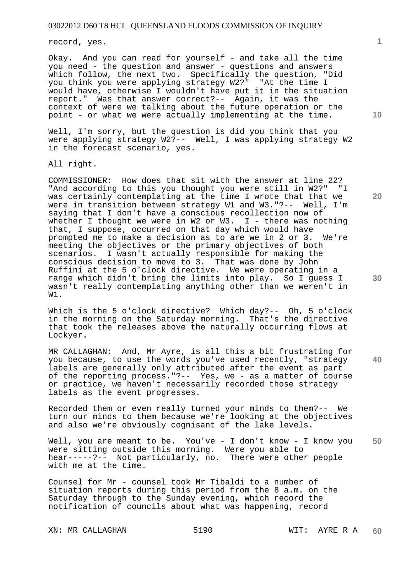record, yes.

Okay. And you can read for yourself - and take all the time you need - the question and answer - questions and answers which follow, the next two. Specifically the question, "Did you think you were applying strategy W2?" "At the time I would have, otherwise I wouldn't have put it in the situation report." Was that answer correct?-- Again, it was the context of were we talking about the future operation or the point - or what we were actually implementing at the time.

Well, I'm sorry, but the question is did you think that you were applying strategy W2?-- Well, I was applying strategy W2 in the forecast scenario, yes.

All right.

COMMISSIONER: How does that sit with the answer at line 22? "And according to this you thought you were still in W2?" "I was certainly contemplating at the time I wrote that that we were in transition between strategy W1 and W3."?-- Well, I'm saying that I don't have a conscious recollection now of whether I thought we were in W2 or W3.  $I$  - there was nothing that, I suppose, occurred on that day which would have prompted me to make a decision as to are we in 2 or 3. We're meeting the objectives or the primary objectives of both scenarios. I wasn't actually responsible for making the conscious decision to move to 3. That was done by John Ruffini at the 5 o'clock directive. We were operating in a range which didn't bring the limits into play. So I guess I wasn't really contemplating anything other than we weren't in W1.

Which is the 5 o'clock directive? Which day?-- Oh, 5 o'clock in the morning on the Saturday morning. That's the directive that took the releases above the naturally occurring flows at Lockyer.

MR CALLAGHAN: And, Mr Ayre, is all this a bit frustrating for you because, to use the words you've used recently, "strategy labels are generally only attributed after the event as part of the reporting process."?-- Yes, we - as a matter of course or practice, we haven't necessarily recorded those strategy labels as the event progresses.

Recorded them or even really turned your minds to them?-- We turn our minds to them because we're looking at the objectives and also we're obviously cognisant of the lake levels.

**50**  Well, you are meant to be. You've - I don't know - I know you were sitting outside this morning. Were you able to hear-----?-- Not particularly, no. There were other people with me at the time.

Counsel for Mr - counsel took Mr Tibaldi to a number of situation reports during this period from the 8 a.m. on the Saturday through to the Sunday evening, which record the notification of councils about what was happening, record

XN: MR CALLAGHAN 5190 WIT: AYRE R A

**10** 

**1**

**20**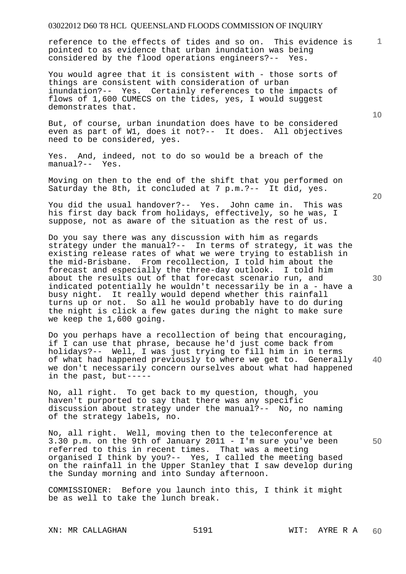reference to the effects of tides and so on. This evidence is pointed to as evidence that urban inundation was being considered by the flood operations engineers?-- Yes.

You would agree that it is consistent with - those sorts of things are consistent with consideration of urban inundation?-- Yes. Certainly references to the impacts of flows of 1,600 CUMECS on the tides, yes, I would suggest demonstrates that.

But, of course, urban inundation does have to be considered even as part of W1, does it not?-- It does. All objectives need to be considered, yes.

Yes. And, indeed, not to do so would be a breach of the manual?-- Yes.

Moving on then to the end of the shift that you performed on Saturday the 8th, it concluded at 7 p.m.?-- It did, yes.

You did the usual handover?-- Yes. John came in. This was his first day back from holidays, effectively, so he was, I suppose, not as aware of the situation as the rest of us.

Do you say there was any discussion with him as regards strategy under the manual?-- In terms of strategy, it was the existing release rates of what we were trying to establish in the mid-Brisbane. From recollection, I told him about the forecast and especially the three-day outlook. I told him about the results out of that forecast scenario run, and indicated potentially he wouldn't necessarily be in a - have a busy night. It really would depend whether this rainfall turns up or not. So all he would probably have to do during the night is click a few gates during the night to make sure we keep the 1,600 going.

**40**  Do you perhaps have a recollection of being that encouraging, if I can use that phrase, because he'd just come back from holidays?-- Well, I was just trying to fill him in in terms of what had happened previously to where we get to. Generally we don't necessarily concern ourselves about what had happened in the past, but-----

No, all right. To get back to my question, though, you haven't purported to say that there was any specific discussion about strategy under the manual?-- No, no naming of the strategy labels, no.

**50**  No, all right. Well, moving then to the teleconference at 3.30 p.m. on the 9th of January 2011 - I'm sure you've been referred to this in recent times. That was a meeting organised I think by you?-- Yes, I called the meeting based on the rainfall in the Upper Stanley that I saw develop during the Sunday morning and into Sunday afternoon.

COMMISSIONER: Before you launch into this, I think it might be as well to take the lunch break.

XN: MR CALLAGHAN 5191 SERIE R A

**10** 

**20** 

**1**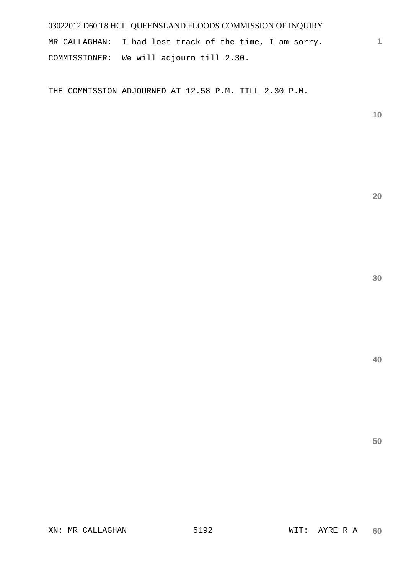MR CALLAGHAN: I had lost track of the time, I am sorry. COMMISSIONER: We will adjourn till 2.30.

THE COMMISSION ADJOURNED AT 12.58 P.M. TILL 2.30 P.M.

**10** 

**1**

**20** 

**40**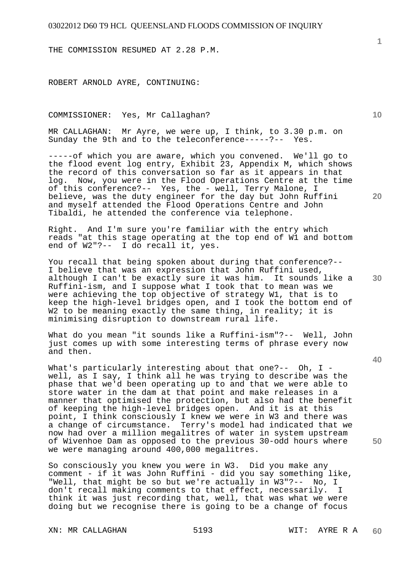THE COMMISSION RESUMED AT 2.28 P.M.

ROBERT ARNOLD AYRE, CONTINUING:

COMMISSIONER: Yes, Mr Callaghan?

MR CALLAGHAN: Mr Ayre, we were up, I think, to 3.30 p.m. on Sunday the 9th and to the teleconference-----?-- Yes.

-----of which you are aware, which you convened. We'll go to the flood event log entry, Exhibit 23, Appendix M, which shows the record of this conversation so far as it appears in that<br>log. Now, you were in the Flood Operations Centre at the tip Now, you were in the Flood Operations Centre at the time of this conference?-- Yes, the - well, Terry Malone, I believe, was the duty engineer for the day but John Ruffini and myself attended the Flood Operations Centre and John Tibaldi, he attended the conference via telephone.

Right. And I'm sure you're familiar with the entry which reads "at this stage operating at the top end of W1 and bottom end of W2"?-- I do recall it, yes.

You recall that being spoken about during that conference?-- I believe that was an expression that John Ruffini used, although I can't be exactly sure it was him. It sounds like a Ruffini-ism, and I suppose what I took that to mean was we were achieving the top objective of strategy W1, that is to keep the high-level bridges open, and I took the bottom end of W2 to be meaning exactly the same thing, in reality; it is minimising disruption to downstream rural life.

What do you mean "it sounds like a Ruffini-ism"?-- Well, John just comes up with some interesting terms of phrase every now and then.

What's particularly interesting about that one?-- Oh, I well, as I say, I think all he was trying to describe was the phase that we'd been operating up to and that we were able to store water in the dam at that point and make releases in a manner that optimised the protection, but also had the benefit of keeping the high-level bridges open. And it is at this point, I think consciously I knew we were in W3 and there was a change of circumstance. Terry's model had indicated that we now had over a million megalitres of water in system upstream of Wivenhoe Dam as opposed to the previous 30-odd hours where we were managing around 400,000 megalitres.

So consciously you knew you were in W3. Did you make any comment - if it was John Ruffini - did you say something like, "Well, that might be so but we're actually in W3"?-- No, I don't recall making comments to that effect, necessarily. I think it was just recording that, well, that was what we were doing but we recognise there is going to be a change of focus

**10** 

**20** 

**30** 

**40**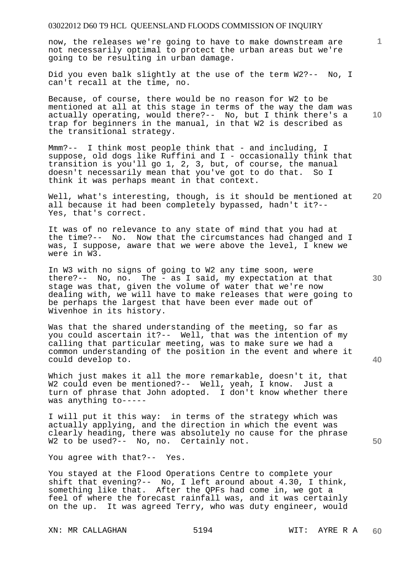now, the releases we're going to have to make downstream are not necessarily optimal to protect the urban areas but we're going to be resulting in urban damage.

Did you even balk slightly at the use of the term W2?-- No, I can't recall at the time, no.

Because, of course, there would be no reason for W2 to be mentioned at all at this stage in terms of the way the dam was actually operating, would there?-- No, but I think there's a trap for beginners in the manual, in that W2 is described as the transitional strategy.

Mmm?-- I think most people think that - and including, I suppose, old dogs like Ruffini and I - occasionally think that transition is you'll go 1, 2, 3, but, of course, the manual doesn't necessarily mean that you've got to do that. So I think it was perhaps meant in that context.

**20**  Well, what's interesting, though, is it should be mentioned at all because it had been completely bypassed, hadn't it?-- Yes, that's correct.

It was of no relevance to any state of mind that you had at the time?-- No. Now that the circumstances had changed and I was, I suppose, aware that we were above the level, I knew we were in W3.

In W3 with no signs of going to W2 any time soon, were there?-- No, no. The - as I said, my expectation at that stage was that, given the volume of water that we're now dealing with, we will have to make releases that were going to be perhaps the largest that have been ever made out of Wivenhoe in its history.

Was that the shared understanding of the meeting, so far as you could ascertain it?-- Well, that was the intention of my calling that particular meeting, was to make sure we had a common understanding of the position in the event and where it could develop to.

Which just makes it all the more remarkable, doesn't it, that W2 could even be mentioned?-- Well, yeah, I know. Just a turn of phrase that John adopted. I don't know whether there was anything to-----

I will put it this way: in terms of the strategy which was actually applying, and the direction in which the event was clearly heading, there was absolutely no cause for the phrase W2 to be used?-- No, no. Certainly not.

You agree with that?-- Yes.

You stayed at the Flood Operations Centre to complete your shift that evening?-- No, I left around about 4.30, I think, something like that. After the QPFs had come in, we got a feel of where the forecast rainfall was, and it was certainly on the up. It was agreed Terry, who was duty engineer, would

**10** 

**1**

**30** 

**40**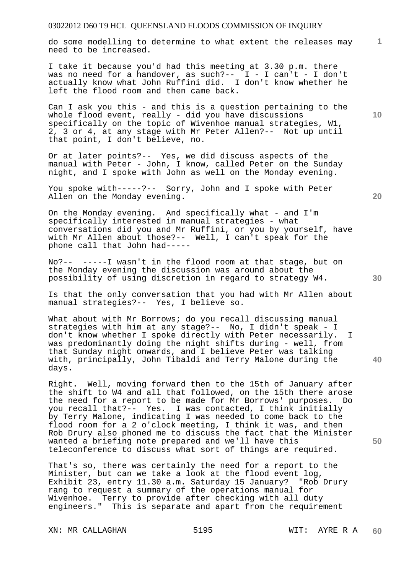do some modelling to determine to what extent the releases may need to be increased.

I take it because you'd had this meeting at 3.30 p.m. there was no need for a handover, as such?--  $I - I$  can't - I don't actually know what John Ruffini did. I don't know whether he left the flood room and then came back.

Can I ask you this - and this is a question pertaining to the whole flood event, really - did you have discussions specifically on the topic of Wivenhoe manual strategies, W1, 2, 3 or 4, at any stage with Mr Peter Allen?-- Not up until that point, I don't believe, no.

Or at later points?-- Yes, we did discuss aspects of the manual with Peter - John, I know, called Peter on the Sunday night, and I spoke with John as well on the Monday evening.

You spoke with-----?-- Sorry, John and I spoke with Peter Allen on the Monday evening.

On the Monday evening. And specifically what - and I'm specifically interested in manual strategies - what conversations did you and Mr Ruffini, or you by yourself, have with Mr Allen about those?-- Well, I can't speak for the phone call that John had-----

No?-- -----I wasn't in the flood room at that stage, but on the Monday evening the discussion was around about the possibility of using discretion in regard to strategy W4.

Is that the only conversation that you had with Mr Allen about manual strategies?-- Yes, I believe so.

What about with Mr Borrows; do you recall discussing manual strategies with him at any stage?-- No, I didn't speak - I don't know whether I spoke directly with Peter necessarily. I was predominantly doing the night shifts during - well, from that Sunday night onwards, and I believe Peter was talking with, principally, John Tibaldi and Terry Malone during the days.

Right. Well, moving forward then to the 15th of January after the shift to W4 and all that followed, on the 15th there arose the need for a report to be made for Mr Borrows' purposes. Do you recall that?-- Yes. I was contacted, I think initially by Terry Malone, indicating I was needed to come back to the flood room for a 2 o'clock meeting, I think it was, and then Rob Drury also phoned me to discuss the fact that the Minister wanted a briefing note prepared and we'll have this teleconference to discuss what sort of things are required.

That's so, there was certainly the need for a report to the Minister, but can we take a look at the flood event log, Exhibit 23, entry 11.30 a.m. Saturday 15 January? "Rob Drury rang to request a summary of the operations manual for Wivenhoe. Terry to provide after checking with all duty engineers." This is separate and apart from the requirement

XN: MR CALLAGHAN 5195 WIT: AYRE R A

**20** 

**10** 

**1**

**30** 

**40**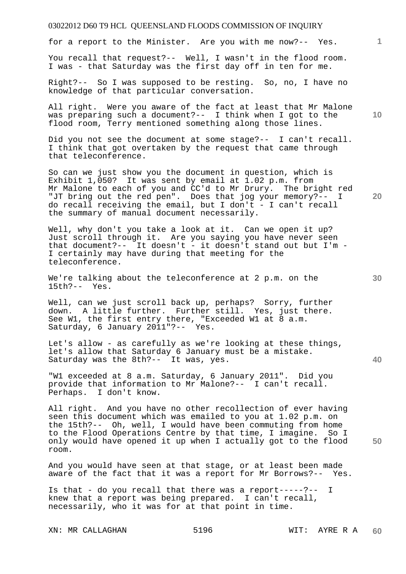for a report to the Minister. Are you with me now?-- Yes.

You recall that request?-- Well, I wasn't in the flood room. I was - that Saturday was the first day off in ten for me.

Right?-- So I was supposed to be resting. So, no, I have no knowledge of that particular conversation.

All right. Were you aware of the fact at least that Mr Malone was preparing such a document?-- I think when I got to the flood room, Terry mentioned something along those lines.

Did you not see the document at some stage?-- I can't recall. I think that got overtaken by the request that came through that teleconference.

So can we just show you the document in question, which is Exhibit 1,050? It was sent by email at 1.02 p.m. from Mr Malone to each of you and CC'd to Mr Drury. The bright red "JT bring out the red pen". Does that jog your memory?-- I do recall receiving the email, but I don't - I can't recall the summary of manual document necessarily.

Well, why don't you take a look at it. Can we open it up? Just scroll through it. Are you saying you have never seen that document?-- It doesn't - it doesn't stand out but I'm - I certainly may have during that meeting for the teleconference.

We're talking about the teleconference at 2 p.m. on the 15th?-- Yes.

Well, can we just scroll back up, perhaps? Sorry, further down. A little further. Further still. Yes, just there. See W1, the first entry there, "Exceeded W1 at 8 a.m. Saturday, 6 January 2011"?-- Yes.

Let's allow - as carefully as we're looking at these things, let's allow that Saturday 6 January must be a mistake. Saturday was the 8th?-- It was, yes.

"W1 exceeded at 8 a.m. Saturday, 6 January 2011". Did you provide that information to Mr Malone?-- I can't recall. Perhaps. I don't know.

All right. And you have no other recollection of ever having seen this document which was emailed to you at 1.02 p.m. on the 15th?-- Oh, well, I would have been commuting from home to the Flood Operations Centre by that time, I imagine. So I only would have opened it up when I actually got to the flood room.

And you would have seen at that stage, or at least been made aware of the fact that it was a report for Mr Borrows?-- Yes.

Is that - do you recall that there was a report-----?-- I knew that a report was being prepared. I can't recall, necessarily, who it was for at that point in time.

XN: MR CALLAGHAN 5196 WIT: AYRE R A

**10** 

**1**

**20** 

**50**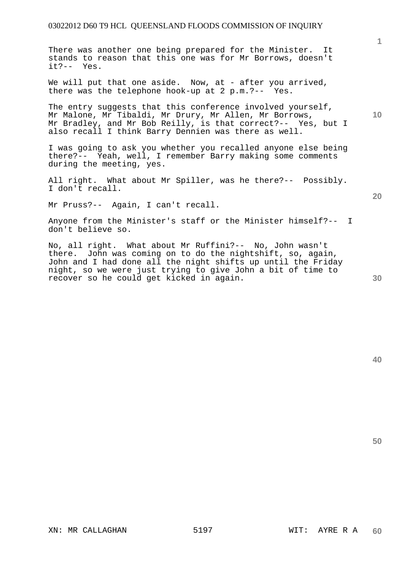There was another one being prepared for the Minister. It stands to reason that this one was for Mr Borrows, doesn't it?-- Yes.

We will put that one aside. Now, at - after you arrived, there was the telephone hook-up at 2 p.m.?-- Yes.

The entry suggests that this conference involved yourself, Mr Malone, Mr Tibaldi, Mr Drury, Mr Allen, Mr Borrows, Mr Bradley, and Mr Bob Reilly, is that correct?-- Yes, but I also recall I think Barry Dennien was there as well.

I was going to ask you whether you recalled anyone else being there?-- Yeah, well, I remember Barry making some comments during the meeting, yes.

All right. What about Mr Spiller, was he there?-- Possibly. I don't recall.

Mr Pruss?-- Again, I can't recall.

Anyone from the Minister's staff or the Minister himself?-- I don't believe so.

No, all right. What about Mr Ruffini?-- No, John wasn't there. John was coming on to do the nightshift, so, again, John and I had done all the night shifts up until the Friday night, so we were just trying to give John a bit of time to recover so he could get kicked in again.

**20** 

**50** 

**40** 

**1**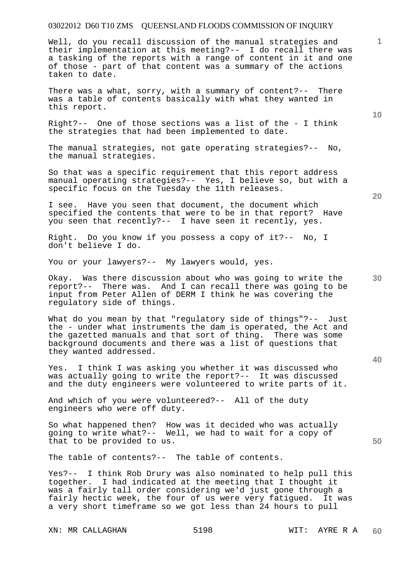Well, do you recall discussion of the manual strategies and their implementation at this meeting?-- I do recall there was a tasking of the reports with a range of content in it and one of those - part of that content was a summary of the actions taken to date.

There was a what, sorry, with a summary of content?-- There was a table of contents basically with what they wanted in this report.

Right?-- One of those sections was a list of the - I think the strategies that had been implemented to date.

The manual strategies, not gate operating strategies?-- No, the manual strategies.

So that was a specific requirement that this report address manual operating strategies?-- Yes, I believe so, but with a specific focus on the Tuesday the 11th releases.

I see. Have you seen that document, the document which specified the contents that were to be in that report? Have you seen that recently?-- I have seen it recently, yes.

Right. Do you know if you possess a copy of it?-- No, I don't believe I do.

You or your lawyers?-- My lawyers would, yes.

Okay. Was there discussion about who was going to write the report?-- There was. And I can recall there was going to be input from Peter Allen of DERM I think he was covering the regulatory side of things.

What do you mean by that "requlatory side of things"?-- Just the - under what instruments the dam is operated, the Act and the gazetted manuals and that sort of thing. There was some background documents and there was a list of questions that they wanted addressed.

Yes. I think I was asking you whether it was discussed who was actually going to write the report?-- It was discussed and the duty engineers were volunteered to write parts of it.

And which of you were volunteered?-- All of the duty engineers who were off duty.

So what happened then? How was it decided who was actually going to write what?-- Well, we had to wait for a copy of that to be provided to us.

The table of contents?-- The table of contents.

Yes?-- I think Rob Drury was also nominated to help pull this together. I had indicated at the meeting that I thought it was a fairly tall order considering we'd just gone through a fairly hectic week, the four of us were very fatigued. It was a very short timeframe so we got less than 24 hours to pull

XN: MR CALLAGHAN 5198 WIT: AYRE R A

**20** 

**10** 

**40** 

**30** 

**50**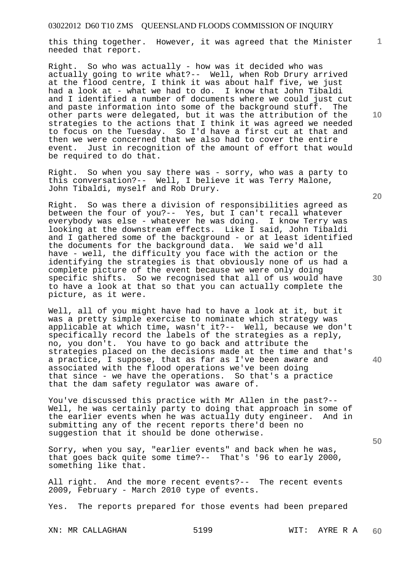this thing together. However, it was agreed that the Minister needed that report.

Right. So who was actually - how was it decided who was actually going to write what?-- Well, when Rob Drury arrived at the flood centre, I think it was about half five, we just had a look at - what we had to do. I know that John Tibaldi and I identified a number of documents where we could just cut and paste information into some of the background stuff. The other parts were delegated, but it was the attribution of the strategies to the actions that I think it was agreed we needed to focus on the Tuesday. So I'd have a first cut at that and then we were concerned that we also had to cover the entire event. Just in recognition of the amount of effort that would be required to do that.

Right. So when you say there was - sorry, who was a party to this conversation?-- Well, I believe it was Terry Malone, John Tibaldi, myself and Rob Drury.

Right. So was there a division of responsibilities agreed as between the four of you?-- Yes, but I can't recall whatever everybody was else - whatever he was doing. I know Terry was looking at the downstream effects. Like I said, John Tibaldi and I gathered some of the background - or at least identified the documents for the background data. We said we'd all have - well, the difficulty you face with the action or the identifying the strategies is that obviously none of us had a complete picture of the event because we were only doing specific shifts. So we recognised that all of us would have to have a look at that so that you can actually complete the picture, as it were.

Well, all of you might have had to have a look at it, but it was a pretty simple exercise to nominate which strategy was applicable at which time, wasn't it?-- Well, because we don't specifically record the labels of the strategies as a reply, no, you don't. You have to go back and attribute the strategies placed on the decisions made at the time and that's a practice, I suppose, that as far as I've been aware and associated with the flood operations we've been doing that since - we have the operations. So that's a practice that the dam safety regulator was aware of.

You've discussed this practice with Mr Allen in the past?-- Well, he was certainly party to doing that approach in some of the earlier events when he was actually duty engineer. And in submitting any of the recent reports there'd been no suggestion that it should be done otherwise.

Sorry, when you say, "earlier events" and back when he was, that goes back quite some time?-- That's '96 to early 2000, something like that.

All right. And the more recent events?-- The recent events 2009, February - March 2010 type of events.

Yes. The reports prepared for those events had been prepared

XN: MR CALLAGHAN 5199 WIT: AYRE R A

**10** 

**1**

**20** 

**30** 

**40**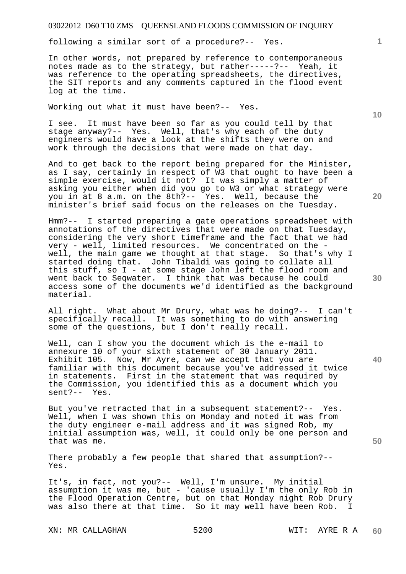following a similar sort of a procedure?-- Yes.

In other words, not prepared by reference to contemporaneous notes made as to the strategy, but rather-----?-- Yeah, it was reference to the operating spreadsheets, the directives, the SIT reports and any comments captured in the flood event log at the time.

Working out what it must have been?-- Yes.

I see. It must have been so far as you could tell by that stage anyway?-- Yes. Well, that's why each of the duty engineers would have a look at the shifts they were on and work through the decisions that were made on that day.

And to get back to the report being prepared for the Minister, as I say, certainly in respect of  $\overline{W3}$  that ought to have been a simple exercise, would it not? It was simply a matter of asking you either when did you go to W3 or what strategy were you in at 8 a.m. on the 8th?-- Yes. Well, because the minister's brief said focus on the releases on the Tuesday.

Hmm?-- I started preparing a gate operations spreadsheet with annotations of the directives that were made on that Tuesday, considering the very short timeframe and the fact that we had very - well, limited resources. We concentrated on the well, the main game we thought at that stage. So that's why I started doing that. John Tibaldi was going to collate all this stuff, so I - at some stage John left the flood room and went back to Seqwater. I think that was because he could access some of the documents we'd identified as the background material.

All right. What about Mr Drury, what was he doing?-- I can't specifically recall. It was something to do with answering some of the questions, but I don't really recall.

Well, can I show you the document which is the e-mail to annexure 10 of your sixth statement of 30 January 2011. Exhibit 105. Now, Mr Ayre, can we accept that you are familiar with this document because you've addressed it twice in statements. First in the statement that was required by the Commission, you identified this as a document which you sent?-- Yes.

But you've retracted that in a subsequent statement?-- Yes. Well, when I was shown this on Monday and noted it was from the duty engineer e-mail address and it was signed Rob, my initial assumption was, well, it could only be one person and that was me.

There probably a few people that shared that assumption?-- Yes.

It's, in fact, not you?-- Well, I'm unsure. My initial assumption it was me, but - 'cause usually I'm the only Rob in the Flood Operation Centre, but on that Monday night Rob Drury was also there at that time. So it may well have been Rob. I

XN: MR CALLAGHAN 5200 WIT: AYRE R A

**10** 

**20** 

**1**

**30**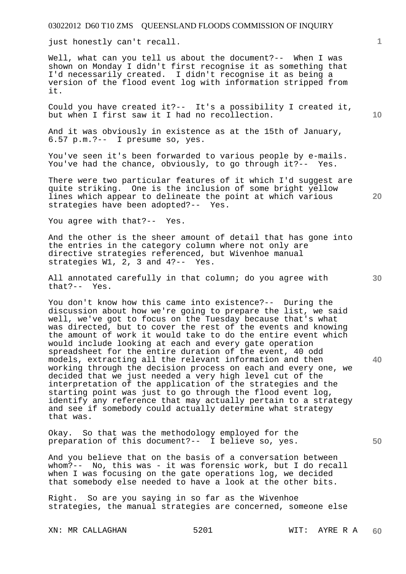just honestly can't recall.

Well, what can you tell us about the document?-- When I was shown on Monday I didn't first recognise it as something that I'd necessarily created. I didn't recognise it as being a version of the flood event log with information stripped from it.

Could you have created it?-- It's a possibility I created it, but when I first saw it I had no recollection.

And it was obviously in existence as at the 15th of January, 6.57 p.m.?-- I presume so, yes.

You've seen it's been forwarded to various people by e-mails. You've had the chance, obviously, to go through it?-- Yes.

There were two particular features of it which I'd suggest are quite striking. One is the inclusion of some bright yellow lines which appear to delineate the point at which various strategies have been adopted?-- Yes.

You agree with that?-- Yes.

And the other is the sheer amount of detail that has gone into the entries in the category column where not only are directive strategies referenced, but Wivenhoe manual strategies W1, 2, 3 and 4?-- Yes.

All annotated carefully in that column; do you agree with that?-- Yes.

You don't know how this came into existence?-- During the discussion about how we're going to prepare the list, we said well, we've got to focus on the Tuesday because that's what was directed, but to cover the rest of the events and knowing the amount of work it would take to do the entire event which would include looking at each and every gate operation spreadsheet for the entire duration of the event, 40 odd models, extracting all the relevant information and then working through the decision process on each and every one, we decided that we just needed a very high level cut of the interpretation of the application of the strategies and the starting point was just to go through the flood event log, identify any reference that may actually pertain to a strategy and see if somebody could actually determine what strategy that was.

Okay. So that was the methodology employed for the preparation of this document?-- I believe so, yes.

And you believe that on the basis of a conversation between whom?-- No, this was - it was forensic work, but I do recall when I was focusing on the gate operations log, we decided that somebody else needed to have a look at the other bits.

Right. So are you saying in so far as the Wivenhoe strategies, the manual strategies are concerned, someone else

XN: MR CALLAGHAN 5201 WIT: AYRE R A

**10** 

**1**

**30** 

**20** 

**40**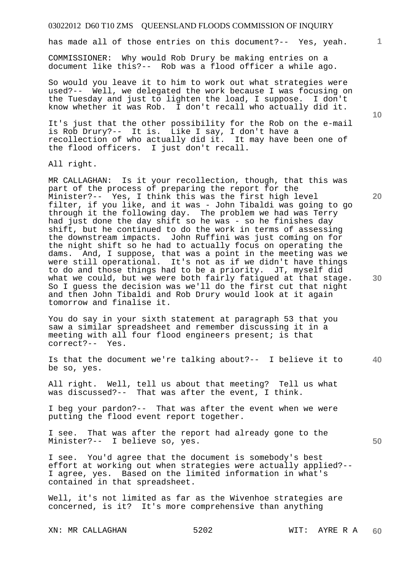has made all of those entries on this document?-- Yes, yeah.

COMMISSIONER: Why would Rob Drury be making entries on a document like this?-- Rob was a flood officer a while ago.

So would you leave it to him to work out what strategies were used?-- Well, we delegated the work because I was focusing on the Tuesday and just to lighten the load, I suppose. I don't know whether it was Rob. I don't recall who actually did it.

It's just that the other possibility for the Rob on the e-mail is Rob Drury?-- It is. Like I say, I don't have a recollection of who actually did it. It may have been one of the flood officers. I just don't recall.

All right.

MR CALLAGHAN: Is it your recollection, though, that this was part of the process of preparing the report for the Minister?-- Yes, I think this was the first high level filter, if you like, and it was - John Tibaldi was going to go through it the following day. The problem we had was Terry had just done the day shift so he was - so he finishes day shift, but he continued to do the work in terms of assessing the downstream impacts. John Ruffini was just coming on for the night shift so he had to actually focus on operating the dams. And, I suppose, that was a point in the meeting was we were still operational. It's not as if we didn't have things to do and those things had to be a priority. JT, myself did what we could, but we were both fairly fatigued at that stage. So I guess the decision was we'll do the first cut that night and then John Tibaldi and Rob Drury would look at it again tomorrow and finalise it.

You do say in your sixth statement at paragraph 53 that you saw a similar spreadsheet and remember discussing it in a meeting with all four flood engineers present; is that correct?-- Yes.

**40**  Is that the document we're talking about?-- I believe it to be so, yes.

All right. Well, tell us about that meeting? Tell us what was discussed?-- That was after the event, I think.

I beg your pardon?-- That was after the event when we were putting the flood event report together.

I see. That was after the report had already gone to the Minister?-- I believe so, yes.

I see. You'd agree that the document is somebody's best effort at working out when strategies were actually applied?-- I agree, yes. Based on the limited information in what's contained in that spreadsheet.

Well, it's not limited as far as the Wivenhoe strategies are concerned, is it? It's more comprehensive than anything

XN: MR CALLAGHAN 5202 WIT: AYRE R A

**10** 

**20** 

**30**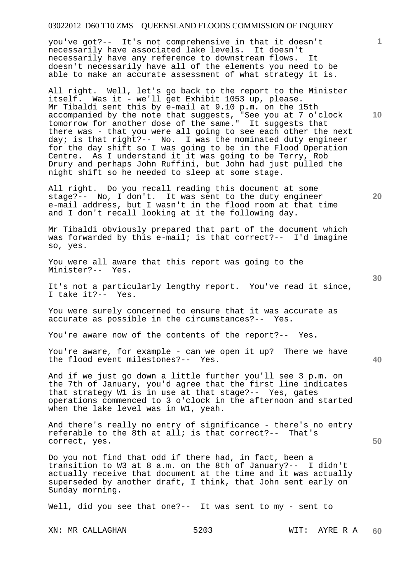you've got?-- It's not comprehensive in that it doesn't necessarily have associated lake levels. It doesn't necessarily have any reference to downstream flows. It doesn't necessarily have all of the elements you need to be able to make an accurate assessment of what strategy it is.

All right. Well, let's go back to the report to the Minister itself. Was it - we'll get Exhibit 1053 up, please. Mr Tibaldi sent this by e-mail at 9.10 p.m. on the 15th accompanied by the note that suggests, "See you at 7 o'clock tomorrow for another dose of the same." It suggests that there was - that you were all going to see each other the next day; is that right?-- No. I was the nominated duty engineer for the day shift so I was going to be in the Flood Operation Centre. As I understand it it was going to be Terry, Rob Drury and perhaps John Ruffini, but John had just pulled the night shift so he needed to sleep at some stage.

All right. Do you recall reading this document at some stage?-- No, I don't. It was sent to the duty engineer e-mail address, but I wasn't in the flood room at that time and I don't recall looking at it the following day.

Mr Tibaldi obviously prepared that part of the document which was forwarded by this e-mail; is that correct?-- I'd imagine so, yes.

You were all aware that this report was going to the Minister?-- Yes.

It's not a particularly lengthy report. You've read it since, I take it?-- Yes.

You were surely concerned to ensure that it was accurate as accurate as possible in the circumstances?-- Yes.

You're aware now of the contents of the report?-- Yes.

You're aware, for example - can we open it up? There we have the flood event milestones?-- Yes.

And if we just go down a little further you'll see 3 p.m. on the 7th of January, you'd agree that the first line indicates that strategy W1 is in use at that stage?-- Yes, gates operations commenced to 3 o'clock in the afternoon and started when the lake level was in W1, yeah.

And there's really no entry of significance - there's no entry referable to the 8th at all; is that correct?-- That's correct, yes.

Do you not find that odd if there had, in fact, been a transition to W3 at 8 a.m. on the 8th of January?-- I didn't actually receive that document at the time and it was actually superseded by another draft, I think, that John sent early on Sunday morning.

Well, did you see that one?-- It was sent to my - sent to

**10** 

**1**

**20** 

**40**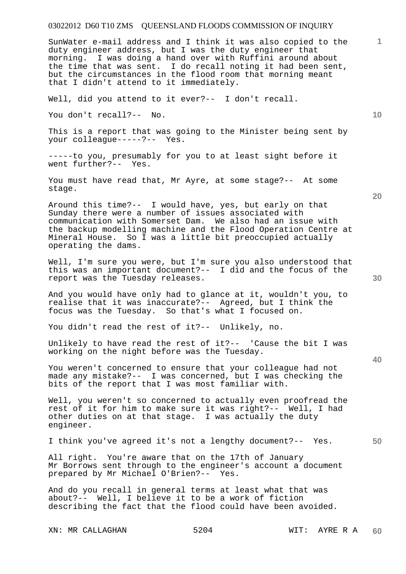SunWater e-mail address and I think it was also copied to the duty engineer address, but I was the duty engineer that morning. I was doing a hand over with Ruffini around about the time that was sent. I do recall noting it had been sent, but the circumstances in the flood room that morning meant that I didn't attend to it immediately.

Well, did you attend to it ever?-- I don't recall.

You don't recall?-- No.

This is a report that was going to the Minister being sent by your colleague-----?-- Yes.

-----to you, presumably for you to at least sight before it went further?-- Yes.

You must have read that, Mr Ayre, at some stage?-- At some stage.

Around this time?-- I would have, yes, but early on that Sunday there were a number of issues associated with communication with Somerset Dam. We also had an issue with the backup modelling machine and the Flood Operation Centre at Mineral House. So I was a little bit preoccupied actually operating the dams.

Well, I'm sure you were, but I'm sure you also understood that this was an important document?-- I did and the focus of the report was the Tuesday releases.

And you would have only had to glance at it, wouldn't you, to realise that it was inaccurate?-- Agreed, but I think the focus was the Tuesday. So that's what I focused on.

You didn't read the rest of it?-- Unlikely, no.

Unlikely to have read the rest of it?-- 'Cause the bit I was working on the night before was the Tuesday.

You weren't concerned to ensure that your colleague had not made any mistake?-- I was concerned, but I was checking the bits of the report that I was most familiar with.

Well, you weren't so concerned to actually even proofread the rest of it for him to make sure it was right?-- Well, I had other duties on at that stage. I was actually the duty engineer.

I think you've agreed it's not a lengthy document?-- Yes.

All right. You're aware that on the 17th of January Mr Borrows sent through to the engineer's account a document prepared by Mr Michael O'Brien?-- Yes.

And do you recall in general terms at least what that was about?-- Well, I believe it to be a work of fiction describing the fact that the flood could have been avoided.

XN: MR CALLAGHAN 5204 WIT: AYRE R A

**1**

**10** 

**40**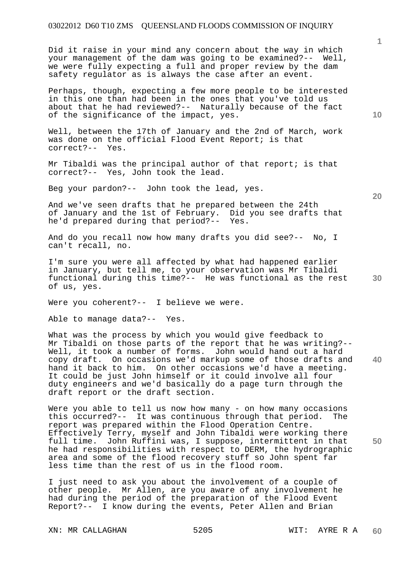Did it raise in your mind any concern about the way in which your management of the dam was going to be examined?-- Well, we were fully expecting a full and proper review by the dam safety regulator as is always the case after an event.

Perhaps, though, expecting a few more people to be interested in this one than had been in the ones that you've told us about that he had reviewed?-- Naturally because of the fact of the significance of the impact, yes.

Well, between the 17th of January and the 2nd of March, work was done on the official Flood Event Report; is that correct?-- Yes.

Mr Tibaldi was the principal author of that report; is that correct?-- Yes, John took the lead.

Beg your pardon?-- John took the lead, yes.

And we've seen drafts that he prepared between the 24th of January and the 1st of February. Did you see drafts that he'd prepared during that period?-- Yes.

And do you recall now how many drafts you did see?-- No, I can't recall, no.

I'm sure you were all affected by what had happened earlier in January, but tell me, to your observation was Mr Tibaldi functional during this time?-- He was functional as the rest of us, yes.

Were you coherent?-- I believe we were.

Able to manage data?-- Yes.

**40**  What was the process by which you would give feedback to Mr Tibaldi on those parts of the report that he was writing?-- Well, it took a number of forms. John would hand out a hard copy draft. On occasions we'd markup some of those drafts and hand it back to him. On other occasions we'd have a meeting. It could be just John himself or it could involve all four duty engineers and we'd basically do a page turn through the draft report or the draft section.

Were you able to tell us now how many - on how many occasions this occurred?-- It was continuous through that period. The report was prepared within the Flood Operation Centre. Effectively Terry, myself and John Tibaldi were working there full time. John Ruffini was, I suppose, intermittent in that he had responsibilities with respect to DERM, the hydrographic area and some of the flood recovery stuff so John spent far less time than the rest of us in the flood room.

I just need to ask you about the involvement of a couple of other people. Mr Allen, are you aware of any involvement he had during the period of the preparation of the Flood Event Report?-- I know during the events, Peter Allen and Brian

XN: MR CALLAGHAN 5205 WIT: AYRE R A

**1**

**20**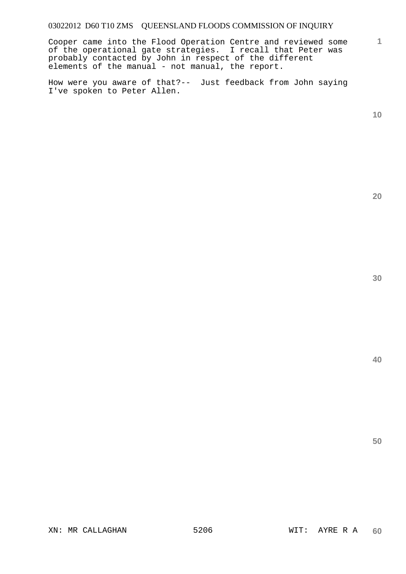Cooper came into the Flood Operation Centre and reviewed some of the operational gate strategies. I recall that Peter was probably contacted by John in respect of the different elements of the manual - not manual, the report.

How were you aware of that?-- Just feedback from John saying I've spoken to Peter Allen.

**10** 

**1**

**20**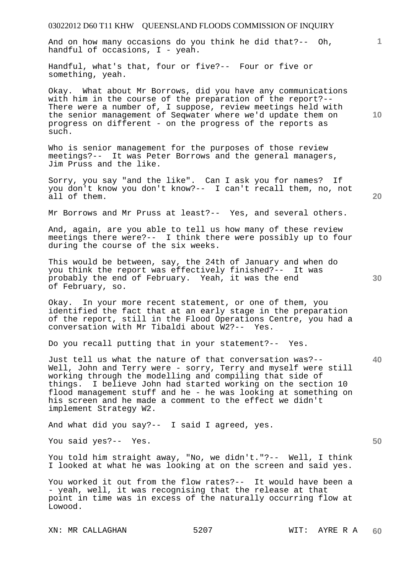03022012 D60 T11 KHW QUEENSLAND FLOODS COMMISSION OF INQUIRY **1 10 20 30 40 50**  And on how many occasions do you think he did that?-- Oh, handful of occasions, I - yeah. Handful, what's that, four or five?-- Four or five or something, yeah. Okay. What about Mr Borrows, did you have any communications with him in the course of the preparation of the report?-- There were a number of, I suppose, review meetings held with the senior management of Seqwater where we'd update them on progress on different - on the progress of the reports as such. Who is senior management for the purposes of those review meetings?-- It was Peter Borrows and the general managers, Jim Pruss and the like. Sorry, you say "and the like". Can I ask you for names? If you don't know you don't know?-- I can't recall them, no, not all of them. Mr Borrows and Mr Pruss at least?-- Yes, and several others. And, again, are you able to tell us how many of these review meetings there were?-- I think there were possibly up to four during the course of the six weeks. This would be between, say, the 24th of January and when do you think the report was effectively finished?-- It was probably the end of February. Yeah, it was the end of February, so. Okay. In your more recent statement, or one of them, you identified the fact that at an early stage in the preparation of the report, still in the Flood Operations Centre, you had a conversation with Mr Tibaldi about W2?-- Yes. Do you recall putting that in your statement?-- Yes. Just tell us what the nature of that conversation was?-- Well, John and Terry were - sorry, Terry and myself were still working through the modelling and compiling that side of things. I believe John had started working on the section 10 flood management stuff and he - he was looking at something on his screen and he made a comment to the effect we didn't implement Strategy W2. And what did you say?-- I said I agreed, yes. You said yes?-- Yes. You told him straight away, "No, we didn't."?-- Well, I think I looked at what he was looking at on the screen and said yes. You worked it out from the flow rates?-- It would have been a - yeah, well, it was recognising that the release at that point in time was in excess of the naturally occurring flow at Lowood.

XN: MR CALLAGHAN 5207 WIT: AYRE R A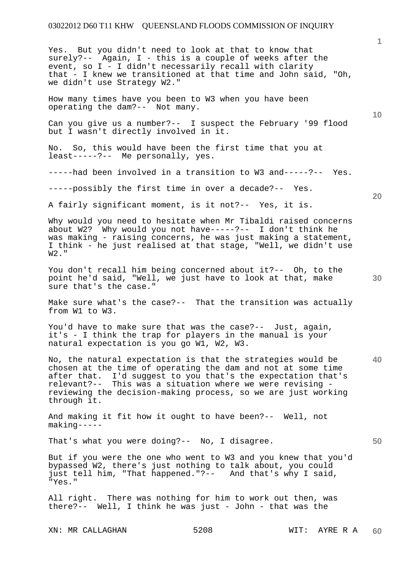Yes. But you didn't need to look at that to know that surely?-- Again, I - this is a couple of weeks after the event, so I - I didn't necessarily recall with clarity that - I knew we transitioned at that time and John said, "Oh, we didn't use Strategy W2."

How many times have you been to W3 when you have been operating the dam?-- Not many.

Can you give us a number?-- I suspect the February '99 flood but I wasn't directly involved in it.

No. So, this would have been the first time that you at least-----?-- Me personally, yes.

-----had been involved in a transition to W3 and-----?-- Yes.

-----possibly the first time in over a decade?-- Yes.

A fairly significant moment, is it not?-- Yes, it is.

Why would you need to hesitate when Mr Tibaldi raised concerns about W2? Why would you not have-----?-- I don't think he was making - raising concerns, he was just making a statement, I think - he just realised at that stage, "Well, we didn't use W2."

You don't recall him being concerned about it?-- Oh, to the point he'd said, "Well, we just have to look at that, make sure that's the case."

Make sure what's the case?-- That the transition was actually from W1 to W3.

You'd have to make sure that was the case?-- Just, again, it's - I think the trap for players in the manual is your natural expectation is you go W1, W2, W3.

No, the natural expectation is that the strategies would be chosen at the time of operating the dam and not at some time after that. I'd suggest to you that's the expectation that's relevant?-- This was a situation where we were revising reviewing the decision-making process, so we are just working through it.

And making it fit how it ought to have been?-- Well, not making-----

That's what you were doing?-- No, I disagree.

But if you were the one who went to W3 and you knew that you'd bypassed W2, there's just nothing to talk about, you could just tell him, "That happened."?-- And that's why I said, "Yes."

All right. There was nothing for him to work out then, was there?-- Well, I think he was just - John - that was the

XN: MR CALLAGHAN 5208 WIT: AYRE R A

**20** 

**40** 

**10** 

**1**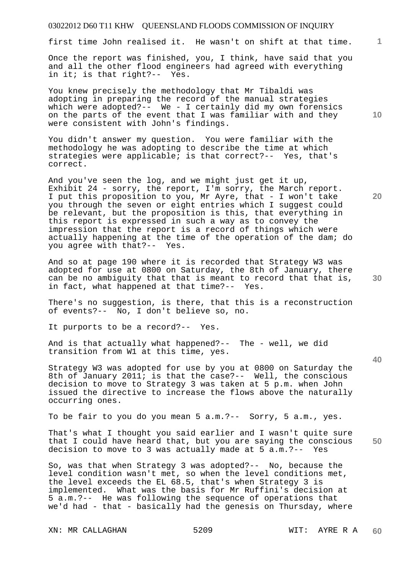first time John realised it. He wasn't on shift at that time.

Once the report was finished, you, I think, have said that you and all the other flood engineers had agreed with everything in it; is that right?-- Yes.

You knew precisely the methodology that Mr Tibaldi was adopting in preparing the record of the manual strategies which were adopted?-- We - I certainly did my own forensics on the parts of the event that I was familiar with and they were consistent with John's findings.

You didn't answer my question. You were familiar with the methodology he was adopting to describe the time at which strategies were applicable; is that correct?-- Yes, that's correct.

And you've seen the log, and we might just get it up, Exhibit 24 - sorry, the report, I'm sorry, the March report. I put this proposition to you, Mr Ayre, that - I won't take you through the seven or eight entries which I suggest could be relevant, but the proposition is this, that everything in this report is expressed in such a way as to convey the impression that the report is a record of things which were actually happening at the time of the operation of the dam; do you agree with that?-- Yes.

And so at page 190 where it is recorded that Strategy W3 was adopted for use at 0800 on Saturday, the 8th of January, there can be no ambiguity that that is meant to record that that is, in fact, what happened at that time?-- Yes.

There's no suggestion, is there, that this is a reconstruction of events?-- No, I don't believe so, no.

It purports to be a record?-- Yes.

And is that actually what happened?-- The - well, we did transition from W1 at this time, yes.

Strategy W3 was adopted for use by you at 0800 on Saturday the 8th of January 2011; is that the case?-- Well, the conscious decision to move to Strategy 3 was taken at 5 p.m. when John issued the directive to increase the flows above the naturally occurring ones.

To be fair to you do you mean 5 a.m.?-- Sorry, 5 a.m., yes.

**50**  That's what I thought you said earlier and I wasn't quite sure that I could have heard that, but you are saying the conscious decision to move to 3 was actually made at 5 a.m.?-- Yes

So, was that when Strategy 3 was adopted?-- No, because the level condition wasn't met, so when the level conditions met, the level exceeds the EL 68.5, that's when Strategy 3 is implemented. What was the basis for Mr Ruffini's decision at 5 a.m.?-- He was following the sequence of operations that we'd had - that - basically had the genesis on Thursday, where

**10** 

**20** 

**1**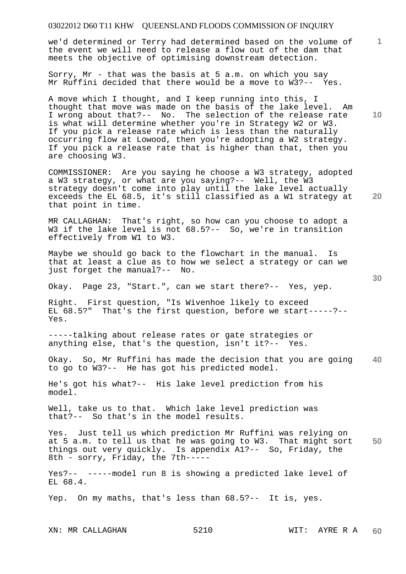we'd determined or Terry had determined based on the volume of the event we will need to release a flow out of the dam that meets the objective of optimising downstream detection.

Sorry, Mr - that was the basis at 5 a.m. on which you say Mr Ruffini decided that there would be a move to W3?-- Yes.

A move which I thought, and I keep running into this, I thought that move was made on the basis of the lake level. Am I wrong about that?-- No. The selection of the release rate is what will determine whether you're in Strategy W2 or W3. If you pick a release rate which is less than the naturally occurring flow at Lowood, then you're adopting a W2 strategy. If you pick a release rate that is higher than that, then you are choosing W3.

COMMISSIONER: Are you saying he choose a W3 strategy, adopted a W3 strategy, or what are you saying?-- Well, the W3 strategy doesn't come into play until the lake level actually exceeds the EL 68.5, it's still classified as a W1 strategy at that point in time.

MR CALLAGHAN: That's right, so how can you choose to adopt a W3 if the lake level is not 68.5?-- So, we're in transition effectively from W1 to W3.

Maybe we should go back to the flowchart in the manual. Is that at least a clue as to how we select a strategy or can we just forget the manual?-- No.

Okay. Page 23, "Start.", can we start there?-- Yes, yep.

Right. First question, "Is Wivenhoe likely to exceed EL 68.5?" That's the first question, before we start-----?-- Yes.

-----talking about release rates or gate strategies or anything else, that's the question, isn't it?-- Yes.

**40**  Okay. So, Mr Ruffini has made the decision that you are going to go to W3?-- He has got his predicted model.

He's got his what?-- His lake level prediction from his model.

Well, take us to that. Which lake level prediction was that?-- So that's in the model results.

**50**  Yes. Just tell us which prediction Mr Ruffini was relying on at 5 a.m. to tell us that he was going to W3. That might sort things out very quickly. Is appendix A1?-- So, Friday, the 8th - sorry, Friday, the 7th-----

Yes?-- -----model run 8 is showing a predicted lake level of EL 68.4.

Yep. On my maths, that's less than 68.5?-- It is, yes.

**20** 

**30** 

**10**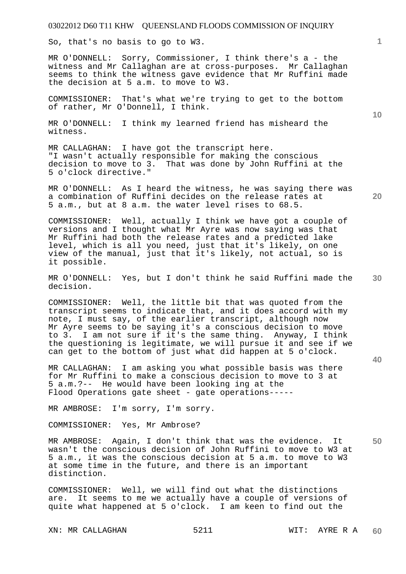So, that's no basis to go to W3.

MR O'DONNELL: Sorry, Commissioner, I think there's a - the witness and Mr Callaghan are at cross-purposes. Mr Callaghan seems to think the witness gave evidence that Mr Ruffini made the decision at 5 a.m. to move to W3.

COMMISSIONER: That's what we're trying to get to the bottom of rather, Mr O'Donnell, I think.

MR O'DONNELL: I think my learned friend has misheard the witness.

MR CALLAGHAN: I have got the transcript here. "I wasn't actually responsible for making the conscious decision to move to 3. That was done by John Ruffini at the 5 o'clock directive."

MR O'DONNELL: As I heard the witness, he was saying there was a combination of Ruffini decides on the release rates at 5 a.m., but at 8 a.m. the water level rises to 68.5.

COMMISSIONER: Well, actually I think we have got a couple of versions and I thought what Mr Ayre was now saying was that Mr Ruffini had both the release rates and a predicted lake level, which is all you need, just that it's likely, on one view of the manual, just that it's likely, not actual, so is it possible.

**30**  MR O'DONNELL: Yes, but I don't think he said Ruffini made the decision.

COMMISSIONER: Well, the little bit that was quoted from the transcript seems to indicate that, and it does accord with my note, I must say, of the earlier transcript, although now Mr Ayre seems to be saying it's a conscious decision to move to 3. I am not sure if it's the same thing. Anyway, I think the questioning is legitimate, we will pursue it and see if we can get to the bottom of just what did happen at 5 o'clock.

MR CALLAGHAN: I am asking you what possible basis was there for Mr Ruffini to make a conscious decision to move to 3 at 5 a.m.?-- He would have been looking ing at the Flood Operations gate sheet - gate operations-----

MR AMBROSE: I'm sorry, I'm sorry.

COMMISSIONER: Yes, Mr Ambrose?

**50**  MR AMBROSE: Again, I don't think that was the evidence. It wasn't the conscious decision of John Ruffini to move to W3 at 5 a.m., it was the conscious decision at 5 a.m. to move to W3 at some time in the future, and there is an important distinction.

COMMISSIONER: Well, we will find out what the distinctions are. It seems to me we actually have a couple of versions of quite what happened at 5 o'clock. I am keen to find out the

XN: MR CALLAGHAN 5211 WIT: AYRE R A

**10** 

**1**

**20**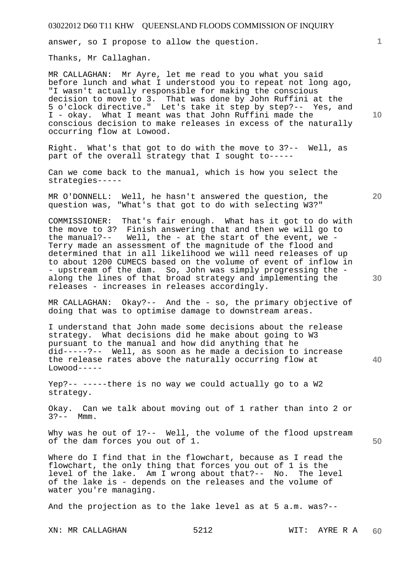answer, so I propose to allow the question.

Thanks, Mr Callaghan.

MR CALLAGHAN: Mr Ayre, let me read to you what you said before lunch and what I understood you to repeat not long ago, "I wasn't actually responsible for making the conscious decision to move to 3. That was done by John Ruffini at the 5 o'clock directive." Let's take it step by step?-- Yes, and I - okay. What I meant was that John Ruffini made the conscious decision to make releases in excess of the naturally occurring flow at Lowood.

Right. What's that got to do with the move to 3?-- Well, as part of the overall strategy that I sought to-----

Can we come back to the manual, which is how you select the strategies-----

MR O'DONNELL: Well, he hasn't answered the question, the question was, "What's that got to do with selecting W3?"

COMMISSIONER: That's fair enough. What has it got to do with the move to 3? Finish answering that and then we will go to the manual?-- Well, the - at the start of the event, we - Terry made an assessment of the magnitude of the flood and determined that in all likelihood we will need releases of up to about 1200 CUMECS based on the volume of event of inflow in - upstream of the dam. So, John was simply progressing the along the lines of that broad strategy and implementing the releases - increases in releases accordingly.

MR CALLAGHAN: Okay?-- And the - so, the primary objective of doing that was to optimise damage to downstream areas.

I understand that John made some decisions about the release strategy. What decisions did he make about going to W3 pursuant to the manual and how did anything that he did-----?-- Well, as soon as he made a decision to increase the release rates above the naturally occurring flow at  $Lowood---$ 

Yep?-- -----there is no way we could actually go to a W2 strategy.

Okay. Can we talk about moving out of 1 rather than into 2 or  $3? --$  Mmm.

Why was he out of 1?-- Well, the volume of the flood upstream of the dam forces you out of 1.

Where do I find that in the flowchart, because as I read the flowchart, the only thing that forces you out of 1 is the level of the lake. Am I wrong about that?-- No. The level of the lake is - depends on the releases and the volume of water you're managing.

And the projection as to the lake level as at 5 a.m. was?--

**10** 

**1**

**30** 

**50**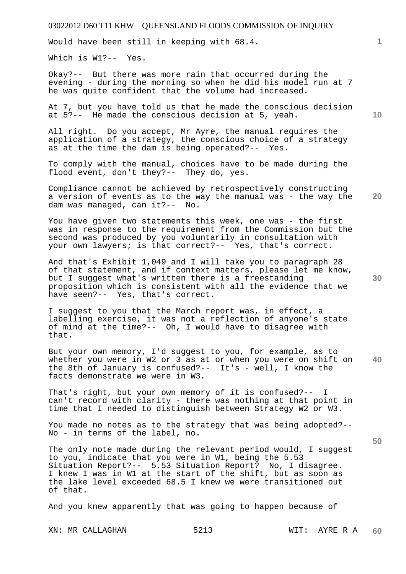Would have been still in keeping with 68.4.

Which is W1?-- Yes.

Okay?-- But there was more rain that occurred during the evening - during the morning so when he did his model run at 7 he was quite confident that the volume had increased.

At 7, but you have told us that he made the conscious decision at 5?-- He made the conscious decision at 5, yeah.

All right. Do you accept, Mr Ayre, the manual requires the application of a strategy, the conscious choice of a strategy as at the time the dam is being operated?-- Yes.

To comply with the manual, choices have to be made during the flood event, don't they?-- They do, yes.

**20**  Compliance cannot be achieved by retrospectively constructing a version of events as to the way the manual was - the way the dam was managed, can it?-- No.

You have given two statements this week, one was - the first was in response to the requirement from the Commission but the second was produced by you voluntarily in consultation with your own lawyers; is that correct?-- Yes, that's correct.

And that's Exhibit 1,049 and I will take you to paragraph 28 of that statement, and if context matters, please let me know, but I suggest what's written there is a freestanding proposition which is consistent with all the evidence that we have seen?-- Yes, that's correct.

I suggest to you that the March report was, in effect, a labelling exercise, it was not a reflection of anyone's state of mind at the time?-- Oh, I would have to disagree with that.

**40**  But your own memory, I'd suggest to you, for example, as to whether you were in W2 or 3 as at or when you were on shift on the 8th of January is confused?-- It's - well, I know the facts demonstrate we were in W3.

That's right, but your own memory of it is confused?-- I can't record with clarity - there was nothing at that point in time that I needed to distinguish between Strategy W2 or W3.

You made no notes as to the strategy that was being adopted?-- No - in terms of the label, no.

The only note made during the relevant period would, I suggest to you, indicate that you were in W1, being the 5.53 Situation Report?-- 5.53 Situation Report? No, I disagree. I knew I was in W1 at the start of the shift, but as soon as the lake level exceeded 68.5 I knew we were transitioned out of that.

And you knew apparently that was going to happen because of

**10** 

**1**

**30**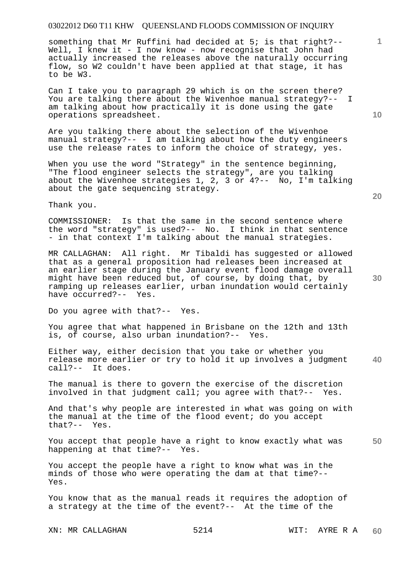something that Mr Ruffini had decided at 5; is that right?-- Well, I knew it - I now know - now recognise that John had actually increased the releases above the naturally occurring flow, so W2 couldn't have been applied at that stage, it has to be W3.

Can I take you to paragraph 29 which is on the screen there? You are talking there about the Wivenhoe manual strategy?-- I am talking about how practically it is done using the gate operations spreadsheet.

Are you talking there about the selection of the Wivenhoe manual strategy?-- I am talking about how the duty engineers use the release rates to inform the choice of strategy, yes.

When you use the word "Strategy" in the sentence beginning, "The flood engineer selects the strategy", are you talking about the Wivenhoe strategies 1, 2, 3 or 4?-- No, I'm talking about the gate sequencing strategy.

Thank you.

COMMISSIONER: Is that the same in the second sentence where the word "strategy" is used?-- No. I think in that sentence - in that context I'm talking about the manual strategies.

MR CALLAGHAN: All right. Mr Tibaldi has suggested or allowed that as a general proposition had releases been increased at an earlier stage during the January event flood damage overall might have been reduced but, of course, by doing that, by ramping up releases earlier, urban inundation would certainly have occurred?-- Yes.

Do you agree with that?-- Yes.

You agree that what happened in Brisbane on the 12th and 13th<br>is, of course, also urban inundation?-- Yes. is, of course, also urban inundation?--

**40**  Either way, either decision that you take or whether you release more earlier or try to hold it up involves a judgment call?-- It does.

The manual is there to govern the exercise of the discretion involved in that judgment call; you agree with that?-- Yes.

And that's why people are interested in what was going on with the manual at the time of the flood event; do you accept that?-- Yes.

**50**  You accept that people have a right to know exactly what was happening at that time?-- Yes.

You accept the people have a right to know what was in the minds of those who were operating the dam at that time?-- Yes.

You know that as the manual reads it requires the adoption of a strategy at the time of the event?-- At the time of the

**10** 

**1**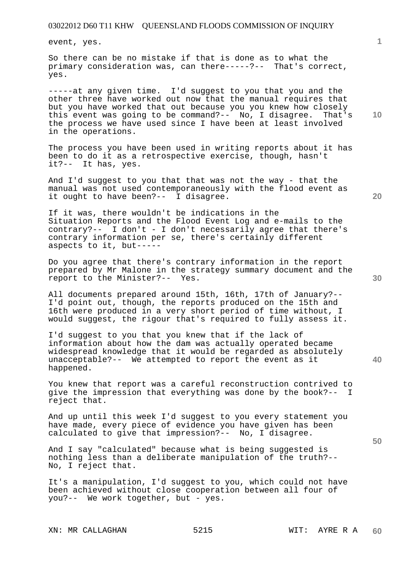event, yes.

So there can be no mistake if that is done as to what the primary consideration was, can there-----?-- That's correct, yes.

-----at any given time. I'd suggest to you that you and the other three have worked out now that the manual requires that but you have worked that out because you you knew how closely this event was going to be command?-- No, I disagree. That's the process we have used since I have been at least involved in the operations.

The process you have been used in writing reports about it has been to do it as a retrospective exercise, though, hasn't it?-- It has, yes.

And I'd suggest to you that that was not the way - that the manual was not used contemporaneously with the flood event as it ought to have been?-- I disagree.

If it was, there wouldn't be indications in the Situation Reports and the Flood Event Log and e-mails to the contrary?-- I don't - I don't necessarily agree that there's contrary information per se, there's certainly different aspects to it, but-----

Do you agree that there's contrary information in the report prepared by Mr Malone in the strategy summary document and the report to the Minister?-- Yes.

All documents prepared around 15th, 16th, 17th of January?-- I'd point out, though, the reports produced on the 15th and 16th were produced in a very short period of time without, I would suggest, the rigour that's required to fully assess it.

I'd suggest to you that you knew that if the lack of information about how the dam was actually operated became widespread knowledge that it would be regarded as absolutely unacceptable?-- We attempted to report the event as it happened.

You knew that report was a careful reconstruction contrived to give the impression that everything was done by the book?-- I reject that.

And up until this week I'd suggest to you every statement you have made, every piece of evidence you have given has been calculated to give that impression?-- No, I disagree.

And I say "calculated" because what is being suggested is nothing less than a deliberate manipulation of the truth?-- No, I reject that.

It's a manipulation, I'd suggest to you, which could not have been achieved without close cooperation between all four of you?-- We work together, but - yes.

**1**

**20** 

**40**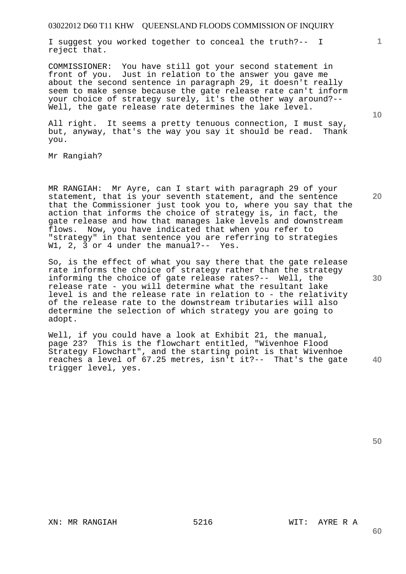I suggest you worked together to conceal the truth?-- I reject that.

COMMISSIONER: You have still got your second statement in front of you. Just in relation to the answer you gave me about the second sentence in paragraph 29, it doesn't really seem to make sense because the gate release rate can't inform your choice of strategy surely, it's the other way around?-- Well, the gate release rate determines the lake level.

All right. It seems a pretty tenuous connection, I must say, but, anyway, that's the way you say it should be read. Thank you.

Mr Rangiah?

MR RANGIAH: Mr Ayre, can I start with paragraph 29 of your statement, that is your seventh statement, and the sentence that the Commissioner just took you to, where you say that the action that informs the choice of strategy is, in fact, the gate release and how that manages lake levels and downstream flows. Now, you have indicated that when you refer to "strategy" in that sentence you are referring to strategies W1, 2, 3 or 4 under the manual?-- Yes.

So, is the effect of what you say there that the gate release rate informs the choice of strategy rather than the strategy informing the choice of gate release rates?-- Well, the release rate - you will determine what the resultant lake level is and the release rate in relation to - the relativity of the release rate to the downstream tributaries will also determine the selection of which strategy you are going to adopt.

**40**  Well, if you could have a look at Exhibit 21, the manual,<br>page 23? This is the flowchart entitled, "Wivenhoe Flood This is the flowchart entitled, "Wivenhoe Flood Strategy Flowchart", and the starting point is that Wivenhoe reaches a level of 67.25 metres, isn't it?-- That's the gate trigger level, yes.

**50** 

**60** 

**10** 

**20** 

**1**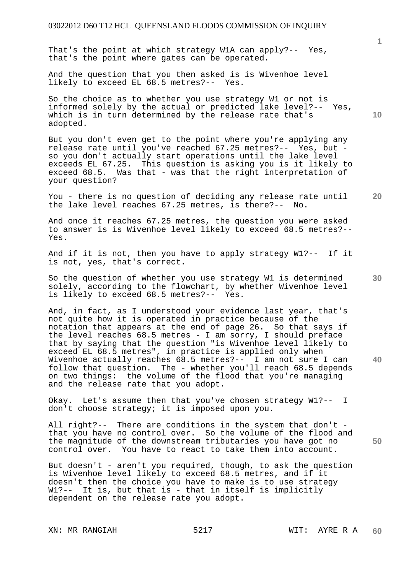That's the point at which strategy W1A can apply?-- Yes, that's the point where gates can be operated.

And the question that you then asked is is Wivenhoe level likely to exceed EL 68.5 metres?-- Yes.

So the choice as to whether you use strategy W1 or not is informed solely by the actual or predicted lake level?-- Yes, which is in turn determined by the release rate that's adopted.

But you don't even get to the point where you're applying any release rate until you've reached 67.25 metres?-- Yes, but so you don't actually start operations until the lake level exceeds EL 67.25. This question is asking you is it likely to exceed 68.5. Was that - was that the right interpretation of your question?

**20**  You - there is no question of deciding any release rate until<br>the lake level reaches 67.25 metres, is there?-- No. the lake level reaches  $67.25$  metres, is there?--

And once it reaches 67.25 metres, the question you were asked to answer is is Wivenhoe level likely to exceed 68.5 metres?-- Yes.

And if it is not, then you have to apply strategy W1?-- If it is not, yes, that's correct.

So the question of whether you use strategy W1 is determined solely, according to the flowchart, by whether Wivenhoe level is likely to exceed 68.5 metres?-- Yes.

And, in fact, as I understood your evidence last year, that's not quite how it is operated in practice because of the notation that appears at the end of page 26. So that says if the level reaches 68.5 metres - I am sorry, I should preface that by saying that the question "is Wivenhoe level likely to exceed EL 68.5 metres", in practice is applied only when Wivenhoe actually reaches 68.5 metres?-- I am not sure I can follow that question. The - whether you'll reach 68.5 depends on two things: the volume of the flood that you're managing and the release rate that you adopt.

Okay. Let's assume then that you've chosen strategy W1?-- I don't choose strategy; it is imposed upon you.

All right?-- There are conditions in the system that don't that you have no control over. So the volume of the flood and the magnitude of the downstream tributaries you have got no control over. You have to react to take them into account.

But doesn't - aren't you required, though, to ask the question is Wivenhoe level likely to exceed 68.5 metres, and if it doesn't then the choice you have to make is to use strategy W1?-- It is, but that is - that in itself is implicitly dependent on the release rate you adopt.

XN: MR RANGIAH 5217 6217 WIT: AYRE R A

**1**

**10** 

**30** 

**40**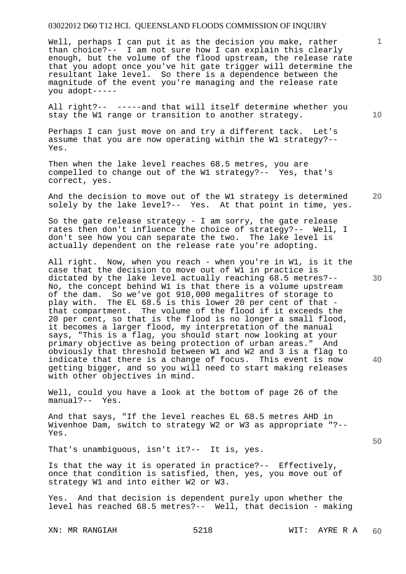Well, perhaps I can put it as the decision you make, rather than choice?-- I am not sure how I can explain this clearly enough, but the volume of the flood upstream, the release rate that you adopt once you've hit gate trigger will determine the resultant lake level. So there is a dependence between the magnitude of the event you're managing and the release rate you adopt-----

All right?-- -----and that will itself determine whether you stay the W1 range or transition to another strategy.

Perhaps I can just move on and try a different tack. Let's assume that you are now operating within the W1 strategy?-- Yes.

Then when the lake level reaches 68.5 metres, you are compelled to change out of the W1 strategy?-- Yes, that's correct, yes.

**20**  And the decision to move out of the W1 strategy is determined solely by the lake level?-- Yes. At that point in time, yes.

So the gate release strategy - I am sorry, the gate release rates then don't influence the choice of strategy?-- Well, I don't see how you can separate the two. The lake level is actually dependent on the release rate you're adopting.

All right. Now, when you reach - when you're in W1, is it the case that the decision to move out of W1 in practice is dictated by the lake level actually reaching 68.5 metres?-- No, the concept behind W1 is that there is a volume upstream of the dam. So we've got 910,000 megalitres of storage to play with. The EL 68.5 is this lower 20 per cent of that that compartment. The volume of the flood if it exceeds the 20 per cent, so that is the flood is no longer a small flood, it becomes a larger flood, my interpretation of the manual says, "This is a flag, you should start now looking at your primary objective as being protection of urban areas." And obviously that threshold between W1 and W2 and 3 is a flag to indicate that there is a change of focus. This event is now getting bigger, and so you will need to start making releases with other objectives in mind.

Well, could you have a look at the bottom of page 26 of the manual?-- Yes.

And that says, "If the level reaches EL 68.5 metres AHD in Wivenhoe Dam, switch to strategy W2 or W3 as appropriate "?-- Yes.

That's unambiguous, isn't it?-- It is, yes.

Is that the way it is operated in practice?-- Effectively, once that condition is satisfied, then, yes, you move out of strategy W1 and into either W2 or W3.

Yes. And that decision is dependent purely upon whether the level has reached 68.5 metres?-- Well, that decision - making

**10** 

**1**

**30** 

**40**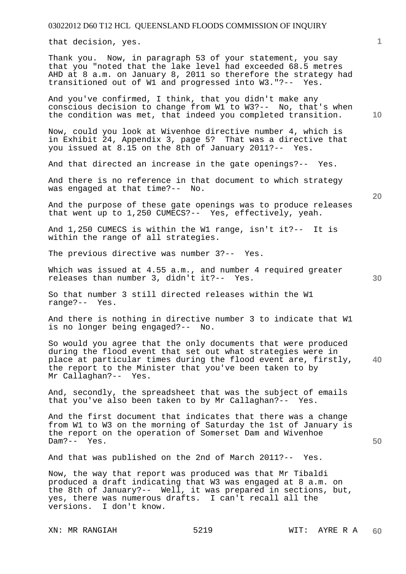that decision, yes.

Thank you. Now, in paragraph 53 of your statement, you say that you "noted that the lake level had exceeded 68.5 metres AHD at 8 a.m. on January 8, 2011 so therefore the strategy had transitioned out of W1 and progressed into W3."?-- Yes.

And you've confirmed, I think, that you didn't make any conscious decision to change from W1 to W3?-- No, that's when the condition was met, that indeed you completed transition.

Now, could you look at Wivenhoe directive number 4, which is in Exhibit 24, Appendix 3, page 5? That was a directive that you issued at 8.15 on the 8th of January 2011?-- Yes.

And that directed an increase in the gate openings?-- Yes.

And there is no reference in that document to which strategy was engaged at that time?-- No.

And the purpose of these gate openings was to produce releases that went up to 1,250 CUMECS?-- Yes, effectively, yeah.

And 1,250 CUMECS is within the W1 range, isn't it?-- It is within the range of all strategies.

The previous directive was number 3?-- Yes.

Which was issued at 4.55 a.m., and number 4 required greater releases than number 3, didn't it?-- Yes.

So that number 3 still directed releases within the W1 range?-- Yes.

And there is nothing in directive number 3 to indicate that W1 is no longer being engaged?-- No.

**40**  So would you agree that the only documents that were produced during the flood event that set out what strategies were in place at particular times during the flood event are, firstly, the report to the Minister that you've been taken to by Mr Callaghan?-- Yes.

And, secondly, the spreadsheet that was the subject of emails that you've also been taken to by Mr Callaghan?-- Yes.

And the first document that indicates that there was a change from W1 to W3 on the morning of Saturday the 1st of January is the report on the operation of Somerset Dam and Wivenhoe Dam?-- Yes.

And that was published on the 2nd of March 2011?-- Yes.

Now, the way that report was produced was that Mr Tibaldi produced a draft indicating that W3 was engaged at 8 a.m. on the 8th of January?-- Well, it was prepared in sections, but, yes, there was numerous drafts. I can't recall all the versions. I don't know.

XN: MR RANGIAH 5219 WIT: AYRE R A

**10** 

**1**

**20** 

**30**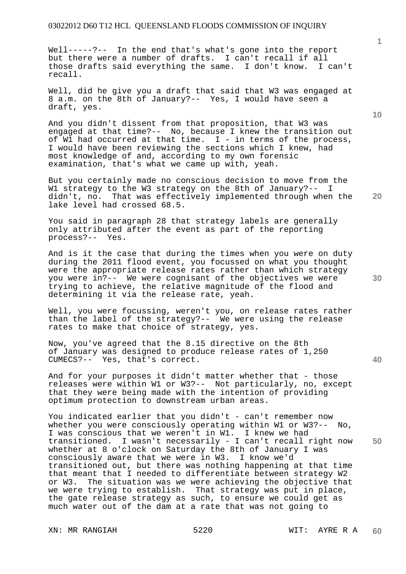Well-----?-- In the end that's what's gone into the report but there were a number of drafts. I can't recall if all those drafts said everything the same. I don't know. I can't recall.

Well, did he give you a draft that said that W3 was engaged at 8 a.m. on the 8th of January?-- Yes, I would have seen a draft, yes.

And you didn't dissent from that proposition, that W3 was engaged at that time?-- No, because I knew the transition out of W1 had occurred at that time.  $I - in$  terms of the process, I would have been reviewing the sections which I knew, had most knowledge of and, according to my own forensic examination, that's what we came up with, yeah.

But you certainly made no conscious decision to move from the W1 strategy to the W3 strategy on the 8th of January?-- I didn't, no. That was effectively implemented through when the lake level had crossed 68.5.

You said in paragraph 28 that strategy labels are generally only attributed after the event as part of the reporting process?-- Yes.

And is it the case that during the times when you were on duty during the 2011 flood event, you focussed on what you thought were the appropriate release rates rather than which strategy you were in?-- We were cognisant of the objectives we were trying to achieve, the relative magnitude of the flood and determining it via the release rate, yeah.

Well, you were focussing, weren't you, on release rates rather than the label of the strategy?-- We were using the release rates to make that choice of strategy, yes.

Now, you've agreed that the 8.15 directive on the 8th of January was designed to produce release rates of 1,250 CUMECS?-- Yes, that's correct.

And for your purposes it didn't matter whether that - those releases were within W1 or W3?-- Not particularly, no, except that they were being made with the intention of providing optimum protection to downstream urban areas.

**50**  You indicated earlier that you didn't - can't remember now whether you were consciously operating within W1 or W3?-- No, I was conscious that we weren't in W1. I knew we had transitioned. I wasn't necessarily - I can't recall right now whether at 8 o'clock on Saturday the 8th of January I was consciously aware that we were in W3. I know we'd transitioned out, but there was nothing happening at that time that meant that I needed to differentiate between strategy W2 or W3. The situation was we were achieving the objective that we were trying to establish. That strategy was put in place, the gate release strategy as such, to ensure we could get as much water out of the dam at a rate that was not going to

**10** 

**20** 

**30**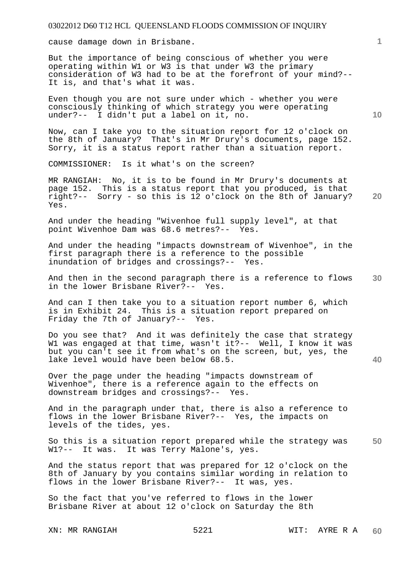cause damage down in Brisbane.

But the importance of being conscious of whether you were operating within W1 or W3 is that under W3 the primary consideration of W3 had to be at the forefront of your mind?-- It is, and that's what it was.

Even though you are not sure under which - whether you were consciously thinking of which strategy you were operating under?-- I didn't put a label on it, no.

Now, can I take you to the situation report for 12 o'clock on the 8th of January? That's in Mr Drury's documents, page 152. Sorry, it is a status report rather than a situation report.

COMMISSIONER: Is it what's on the screen?

**20**  MR RANGIAH: No, it is to be found in Mr Drury's documents at page 152. This is a status report that you produced, is that right?-- Sorry - so this is 12 o'clock on the 8th of January? Yes.

And under the heading "Wivenhoe full supply level", at that point Wivenhoe Dam was 68.6 metres?-- Yes. point Wivenhoe Dam was 68.6 metres?--

And under the heading "impacts downstream of Wivenhoe", in the first paragraph there is a reference to the possible inundation of bridges and crossings?-- Yes.

**30**  And then in the second paragraph there is a reference to flows in the lower Brisbane River?-- Yes.

And can I then take you to a situation report number 6, which is in Exhibit 24. This is a situation report prepared on Friday the 7th of January?-- Yes.

Do you see that? And it was definitely the case that strategy W1 was engaged at that time, wasn't it?-- Well, I know it was but you can't see it from what's on the screen, but, yes, the lake level would have been below 68.5.

Over the page under the heading "impacts downstream of Wivenhoe", there is a reference again to the effects on downstream bridges and crossings?-- Yes.

And in the paragraph under that, there is also a reference to flows in the lower Brisbane River?-- Yes, the impacts on levels of the tides, yes.

**50**  So this is a situation report prepared while the strategy was W1?-- It was. It was Terry Malone's, yes.

And the status report that was prepared for 12 o'clock on the 8th of January by you contains similar wording in relation to flows in the lower Brisbane River?-- It was, yes.

So the fact that you've referred to flows in the lower Brisbane River at about 12 o'clock on Saturday the 8th

**10** 

**1**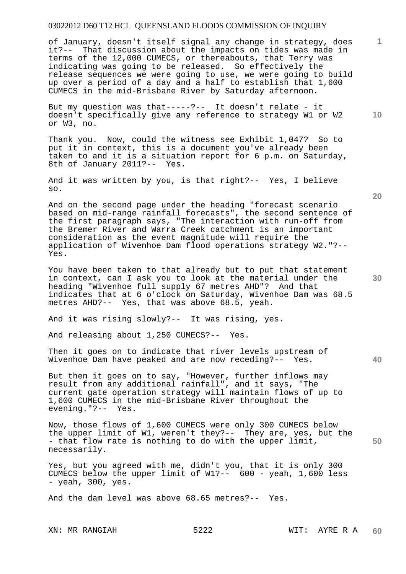of January, doesn't itself signal any change in strategy, does it?-- That discussion about the impacts on tides was made in terms of the 12,000 CUMECS, or thereabouts, that Terry was indicating was going to be released. So effectively the release sequences we were going to use, we were going to build up over a period of a day and a half to establish that 1,600 CUMECS in the mid-Brisbane River by Saturday afternoon.

But my question was that-----?-- It doesn't relate - it doesn't specifically give any reference to strategy W1 or W2 or W3, no.

Thank you. Now, could the witness see Exhibit 1,047? So to put it in context, this is a document you've already been taken to and it is a situation report for 6 p.m. on Saturday, 8th of January 2011?-- Yes.

And it was written by you, is that right?-- Yes, I believe so.

And on the second page under the heading "forecast scenario based on mid-range rainfall forecasts", the second sentence of the first paragraph says, "The interaction with run-off from the Bremer River and Warra Creek catchment is an important consideration as the event magnitude will require the application of Wivenhoe Dam flood operations strategy W2."?-- Yes.

You have been taken to that already but to put that statement in context, can I ask you to look at the material under the heading "Wivenhoe full supply 67 metres AHD"? And that indicates that at 6 o'clock on Saturday, Wivenhoe Dam was 68.5 metres AHD?-- Yes, that was above 68.5, yeah.

And it was rising slowly?-- It was rising, yes.

And releasing about 1,250 CUMECS?-- Yes.

Then it goes on to indicate that river levels upstream of Wivenhoe Dam have peaked and are now receding?-- Yes.

But then it goes on to say, "However, further inflows may result from any additional rainfall", and it says, "The current gate operation strategy will maintain flows of up to 1,600 CUMECS in the mid-Brisbane River throughout the evening."?-- Yes.

Now, those flows of 1,600 CUMECS were only 300 CUMECS below the upper limit of W1, weren't they?-- They are, yes, but the - that flow rate is nothing to do with the upper limit, necessarily.

Yes, but you agreed with me, didn't you, that it is only 300 CUMECS below the upper limit of W1?-- 600 - yeah, 1,600 less - yeah, 300, yes.

And the dam level was above 68.65 metres?-- Yes.

**20** 

**40** 

**50** 

**10**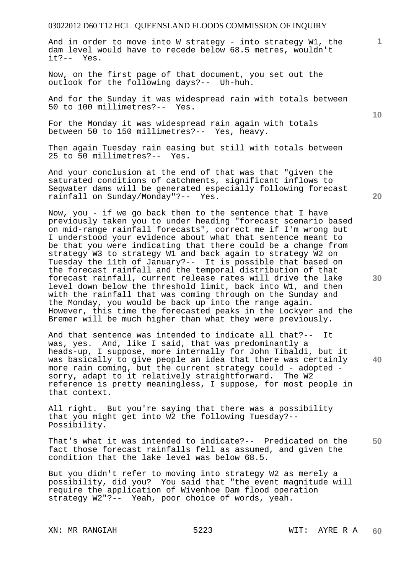And in order to move into W strategy - into strategy W1, the dam level would have to recede below 68.5 metres, wouldn't it?-- Yes.

Now, on the first page of that document, you set out the outlook for the following days?-- Uh-huh.

And for the Sunday it was widespread rain with totals between 50 to 100 millimetres?-- Yes.

For the Monday it was widespread rain again with totals between 50 to 150 millimetres?-- Yes, heavy.

Then again Tuesday rain easing but still with totals between 25 to 50 millimetres?-- Yes.

And your conclusion at the end of that was that "given the saturated conditions of catchments, significant inflows to Seqwater dams will be generated especially following forecast rainfall on Sunday/Monday"?-- Yes.

Now, you - if we go back then to the sentence that I have previously taken you to under heading "forecast scenario based on mid-range rainfall forecasts", correct me if I'm wrong but I understood your evidence about what that sentence meant to be that you were indicating that there could be a change from strategy W3 to strategy W1 and back again to strategy W2 on Tuesday the 11th of January?-- It is possible that based on the forecast rainfall and the temporal distribution of that forecast rainfall, current release rates will drive the lake level down below the threshold limit, back into W1, and then with the rainfall that was coming through on the Sunday and the Monday, you would be back up into the range again. However, this time the forecasted peaks in the Lockyer and the Bremer will be much higher than what they were previously.

And that sentence was intended to indicate all that?-- It was, yes. And, like I said, that was predominantly a heads-up, I suppose, more internally for John Tibaldi, but it was basically to give people an idea that there was certainly more rain coming, but the current strategy could - adopted sorry, adapt to it relatively straightforward. The W2 reference is pretty meaningless, I suppose, for most people in that context.

All right. But you're saying that there was a possibility that you might get into W2 the following Tuesday?-- Possibility.

**50**  That's what it was intended to indicate?-- Predicated on the fact those forecast rainfalls fell as assumed, and given the condition that the lake level was below 68.5.

But you didn't refer to moving into strategy W2 as merely a possibility, did you? You said that "the event magnitude will require the application of Wivenhoe Dam flood operation strategy W2"?-- Yeah, poor choice of words, yeah.

**10** 

**1**

**20**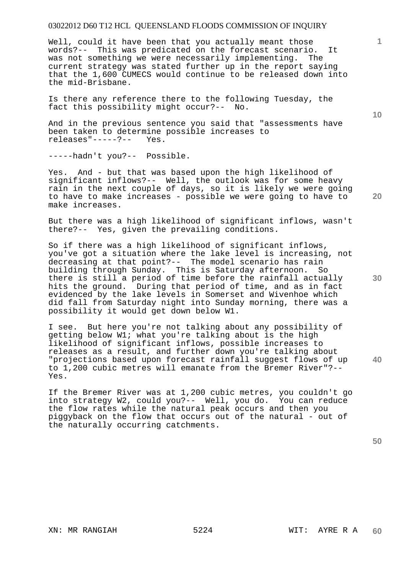Well, could it have been that you actually meant those words?-- This was predicated on the forecast scenario. It<br>was not something we were necessarily implementing. The was not something we were necessarily implementing. current strategy was stated further up in the report saying that the 1,600 CUMECS would continue to be released down into the mid-Brisbane.

Is there any reference there to the following Tuesday, the fact this possibility might occur?-- No.

And in the previous sentence you said that "assessments have been taken to determine possible increases to releases"-----?-- Yes.

-----hadn't you?-- Possible.

Yes. And - but that was based upon the high likelihood of significant inflows?-- Well, the outlook was for some heavy rain in the next couple of days, so it is likely we were going to have to make increases - possible we were going to have to make increases.

But there was a high likelihood of significant inflows, wasn't there?-- Yes, given the prevailing conditions.

So if there was a high likelihood of significant inflows, you've got a situation where the lake level is increasing, not decreasing at that point?-- The model scenario has rain building through Sunday. This is Saturday afternoon. So there is still a period of time before the rainfall actually hits the ground. During that period of time, and as in fact evidenced by the lake levels in Somerset and Wivenhoe which did fall from Saturday night into Sunday morning, there was a possibility it would get down below W1.

I see. But here you're not talking about any possibility of getting below W1; what you're talking about is the high likelihood of significant inflows, possible increases to releases as a result, and further down you're talking about "projections based upon forecast rainfall suggest flows of up to 1,200 cubic metres will emanate from the Bremer River"?-- Yes.

If the Bremer River was at 1,200 cubic metres, you couldn't go into strategy W2, could you?-- Well, you do. You can reduce the flow rates while the natural peak occurs and then you piggyback on the flow that occurs out of the natural - out of the naturally occurring catchments.

**50** 

**10** 

**1**

**30** 

**40**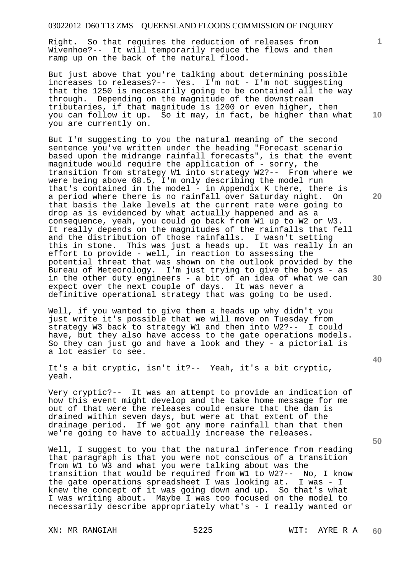Right. So that requires the reduction of releases from Wivenhoe?-- It will temporarily reduce the flows and then ramp up on the back of the natural flood.

But just above that you're talking about determining possible increases to releases?-- Yes. I'm not - I'm not suggesting that the 1250 is necessarily going to be contained all the way through. Depending on the magnitude of the downstream tributaries, if that magnitude is 1200 or even higher, then you can follow it up. So it may, in fact, be higher than what you are currently on.

But I'm suggesting to you the natural meaning of the second sentence you've written under the heading "Forecast scenario based upon the midrange rainfall forecasts", is that the event magnitude would require the application of - sorry, the transition from strategy W1 into strategy W2?-- From where we were being above 68.5, I'm only describing the model run that's contained in the model - in Appendix K there, there is a period where there is no rainfall over Saturday night. On that basis the lake levels at the current rate were going to drop as is evidenced by what actually happened and as a consequence, yeah, you could go back from W1 up to W2 or W3. It really depends on the magnitudes of the rainfalls that fell and the distribution of those rainfalls. I wasn't setting this in stone. This was just a heads up. It was really in an effort to provide - well, in reaction to assessing the potential threat that was shown on the outlook provided by the Bureau of Meteorology. I'm just trying to give the boys - as in the other duty engineers - a bit of an idea of what we can expect over the next couple of days. It was never a definitive operational strategy that was going to be used.

Well, if you wanted to give them a heads up why didn't you just write it's possible that we will move on Tuesday from strategy W3 back to strategy W1 and then into W2?-- I could have, but they also have access to the gate operations models. So they can just go and have a look and they - a pictorial is a lot easier to see.

It's a bit cryptic, isn't it?-- Yeah, it's a bit cryptic, yeah.

Very cryptic?-- It was an attempt to provide an indication of how this event might develop and the take home message for me out of that were the releases could ensure that the dam is drained within seven days, but were at that extent of the drainage period. If we got any more rainfall than that then we're going to have to actually increase the releases.

Well, I suggest to you that the natural inference from reading that paragraph is that you were not conscious of a transition from W1 to W3 and what you were talking about was the transition that would be required from W1 to W2?-- No, I know the gate operations spreadsheet I was looking at. I was - I knew the concept of it was going down and up. So that's what I was writing about. Maybe I was too focused on the model to necessarily describe appropriately what's - I really wanted or

**10** 

**1**

**20** 

**30**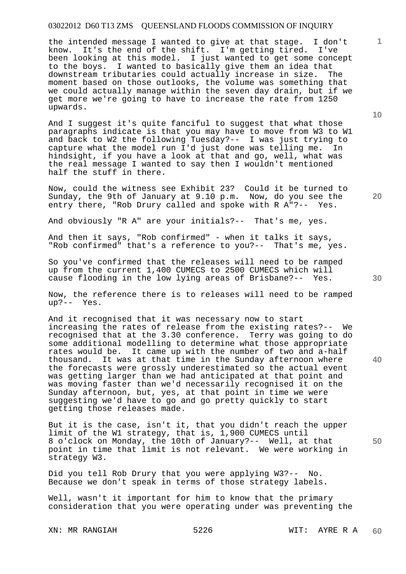the intended message I wanted to give at that stage. I don't know. It's the end of the shift. I'm getting tired. I've been looking at this model. I just wanted to get some concept to the boys. I wanted to basically give them an idea that downstream tributaries could actually increase in size. The moment based on those outlooks, the volume was something that we could actually manage within the seven day drain, but if we get more we're going to have to increase the rate from 1250 upwards.

And I suggest it's quite fanciful to suggest that what those paragraphs indicate is that you may have to move from W3 to W1 and back to W2 the following Tuesday?-- I was just trying to capture what the model run I'd just done was telling me. In hindsight, if you have a look at that and go, well, what was the real message I wanted to say then I wouldn't mentioned half the stuff in there.

Now, could the witness see Exhibit 23? Could it be turned to Sunday, the 9th of January at 9.10 p.m. Now, do you see the entry there, "Rob Drury called and spoke with R A"?-- Yes.

And obviously "R A" are your initials?-- That's me, yes.

And then it says, "Rob confirmed" - when it talks it says, "Rob confirmed" that's a reference to you?-- That's me, yes.

So you've confirmed that the releases will need to be ramped up from the current 1,400 CUMECS to 2500 CUMECS which will cause flooding in the low lying areas of Brisbane?-- Yes.

Now, the reference there is to releases will need to be ramped up?-- Yes.

And it recognised that it was necessary now to start increasing the rates of release from the existing rates?-- We recognised that at the 3.30 conference. Terry was going to do some additional modelling to determine what those appropriate rates would be. It came up with the number of two and a-half thousand. It was at that time in the Sunday afternoon where the forecasts were grossly underestimated so the actual event was getting larger than we had anticipated at that point and was moving faster than we'd necessarily recognised it on the Sunday afternoon, but, yes, at that point in time we were suggesting we'd have to go and go pretty quickly to start getting those releases made.

But it is the case, isn't it, that you didn't reach the upper limit of the W1 strategy, that is, 1,900 CUMECS until 8 o'clock on Monday, the 10th of January?-- Well, at that point in time that limit is not relevant. We were working in strategy W3.

Did you tell Rob Drury that you were applying W3?-- No. Because we don't speak in terms of those strategy labels.

Well, wasn't it important for him to know that the primary consideration that you were operating under was preventing the

**10** 

**1**

**20** 

**30** 

**40**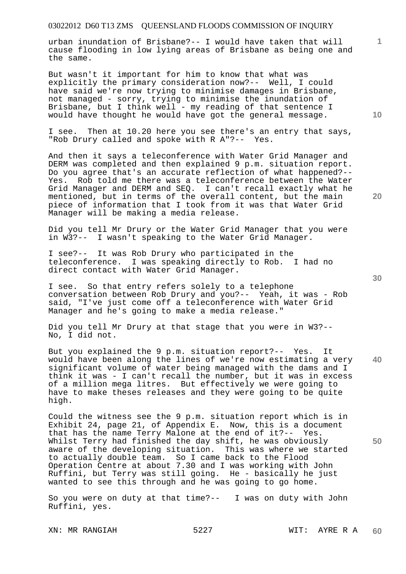urban inundation of Brisbane?-- I would have taken that will cause flooding in low lying areas of Brisbane as being one and the same.

But wasn't it important for him to know that what was explicitly the primary consideration now?-- Well, I could have said we're now trying to minimise damages in Brisbane, not managed - sorry, trying to minimise the inundation of Brisbane, but I think well - my reading of that sentence I would have thought he would have got the general message.

I see. Then at 10.20 here you see there's an entry that says, "Rob Drury called and spoke with R A"?-- Yes.

And then it says a teleconference with Water Grid Manager and DERM was completed and then explained 9 p.m. situation report. Do you agree that's an accurate reflection of what happened?-- Yes. Rob told me there was a teleconference between the Water Grid Manager and DERM and SEQ. I can't recall exactly what he mentioned, but in terms of the overall content, but the main piece of information that I took from it was that Water Grid Manager will be making a media release.

Did you tell Mr Drury or the Water Grid Manager that you were in W3?-- I wasn't speaking to the Water Grid Manager.

I see?-- It was Rob Drury who participated in the teleconference. I was speaking directly to Rob. I had no direct contact with Water Grid Manager.

I see. So that entry refers solely to a telephone conversation between Rob Drury and you?-- Yeah, it was - Rob said, "I've just come off a teleconference with Water Grid Manager and he's going to make a media release."

Did you tell Mr Drury at that stage that you were in W3?-- No, I did not.

**40**  But you explained the 9 p.m. situation report?-- Yes. It would have been along the lines of we're now estimating a very significant volume of water being managed with the dams and I think it was - I can't recall the number, but it was in excess of a million mega litres. But effectively we were going to have to make theses releases and they were going to be quite high.

Could the witness see the 9 p.m. situation report which is in Exhibit 24, page 21, of Appendix E. Now, this is a document that has the name Terry Malone at the end of it?-- Yes. Whilst Terry had finished the day shift, he was obviously aware of the developing situation. This was where we started to actually double team. So I came back to the Flood Operation Centre at about 7.30 and I was working with John Ruffini, but Terry was still going. He - basically he just wanted to see this through and he was going to go home.

So you were on duty at that time?-- I was on duty with John Ruffini, yes.

XN: MR RANGIAH 5227 WIT: AYRE R A

**10** 

**1**

**30** 

**50**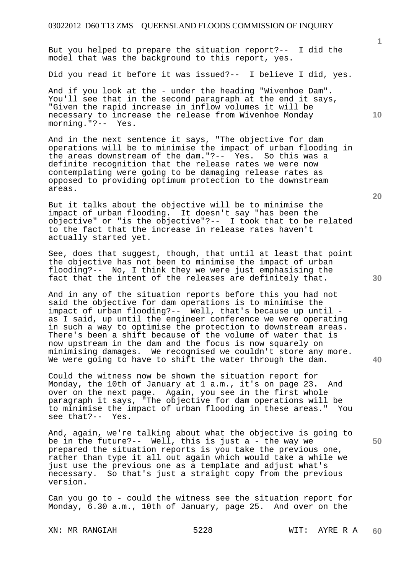But you helped to prepare the situation report?-- I did the model that was the background to this report, yes.

Did you read it before it was issued?-- I believe I did, yes.

And if you look at the - under the heading "Wivenhoe Dam". You'll see that in the second paragraph at the end it says, "Given the rapid increase in inflow volumes it will be necessary to increase the release from Wivenhoe Monday morning."?-- Yes.

And in the next sentence it says, "The objective for dam operations will be to minimise the impact of urban flooding in the areas downstream of the dam."?-- Yes. So this was a definite recognition that the release rates we were now contemplating were going to be damaging release rates as opposed to providing optimum protection to the downstream areas.

But it talks about the objective will be to minimise the impact of urban flooding. It doesn't say "has been the objective" or "is the objective"?-- I took that to be related to the fact that the increase in release rates haven't actually started yet.

See, does that suggest, though, that until at least that point the objective has not been to minimise the impact of urban flooding?-- No, I think they we were just emphasising the fact that the intent of the releases are definitely that.

And in any of the situation reports before this you had not said the objective for dam operations is to minimise the impact of urban flooding?-- Well, that's because up until as I said, up until the engineer conference we were operating in such a way to optimise the protection to downstream areas. There's been a shift because of the volume of water that is now upstream in the dam and the focus is now squarely on minimising damages. We recognised we couldn't store any more. We were going to have to shift the water through the dam.

Could the witness now be shown the situation report for Monday, the 10th of January at 1 a.m., it's on page 23. And over on the next page. Again, you see in the first whole paragraph it says, "The objective for dam operations will be to minimise the impact of urban flooding in these areas." You see that?-- Yes.

And, again, we're talking about what the objective is going to be in the future?-- Well, this is just a - the way we prepared the situation reports is you take the previous one, rather than type it all out again which would take a while we just use the previous one as a template and adjust what's necessary. So that's just a straight copy from the previous version.

Can you go to - could the witness see the situation report for Monday, 6.30 a.m., 10th of January, page 25. And over on the

XN: MR RANGIAH 5228 WIT: AYRE R A

**20** 

**10** 

**1**

**30** 

**50**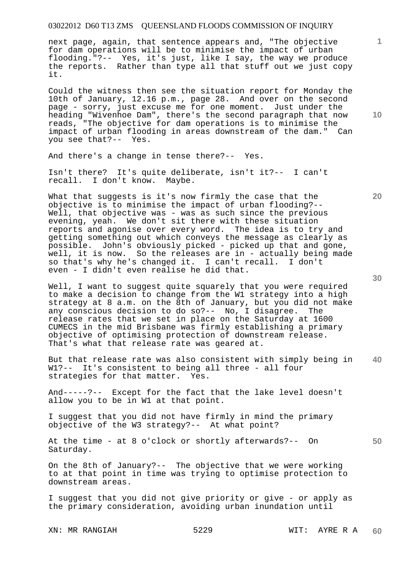next page, again, that sentence appears and, "The objective for dam operations will be to minimise the impact of urban flooding."?-- Yes, it's just, like I say, the way we produce the reports. Rather than type all that stuff out we just copy it.

Could the witness then see the situation report for Monday the 10th of January, 12.16 p.m., page 28. And over on the second page - sorry, just excuse me for one moment. Just under the heading "Wivenhoe Dam", there's the second paragraph that now reads, "The objective for dam operations is to minimise the impact of urban flooding in areas downstream of the dam." Can you see that?-- Yes.

And there's a change in tense there?-- Yes.

Isn't there? It's quite deliberate, isn't it?-- I can't recall. I don't know. Maybe.

What that suggests is it's now firmly the case that the objective is to minimise the impact of urban flooding?-- Well, that objective was - was as such since the previous evening, yeah. We don't sit there with these situation reports and agonise over every word. The idea is to try and getting something out which conveys the message as clearly as possible. John's obviously picked - picked up that and gone, well, it is now. So the releases are in - actually being made so that's why he's changed it. I can't recall. I don't even - I didn't even realise he did that.

Well, I want to suggest quite squarely that you were required to make a decision to change from the W1 strategy into a high strategy at 8 a.m. on the 8th of January, but you did not make any conscious decision to do so?-- No, I disagree. The release rates that we set in place on the Saturday at 1600 CUMECS in the mid Brisbane was firmly establishing a primary objective of optimising protection of downstream release. That's what that release rate was geared at.

**40**  But that release rate was also consistent with simply being in W1?-- It's consistent to being all three - all four strategies for that matter. Yes.

And-----?-- Except for the fact that the lake level doesn't allow you to be in W1 at that point.

I suggest that you did not have firmly in mind the primary objective of the W3 strategy?-- At what point?

At the time - at 8 o'clock or shortly afterwards?-- On Saturday.

On the 8th of January?-- The objective that we were working to at that point in time was trying to optimise protection to downstream areas.

I suggest that you did not give priority or give - or apply as the primary consideration, avoiding urban inundation until

**10** 

**1**

**30** 

**20**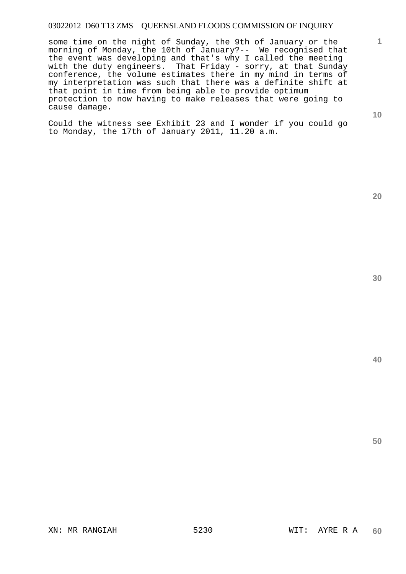some time on the night of Sunday, the 9th of January or the morning of Monday, the 10th of January?-- We recognised that the event was developing and that's why I called the meeting with the duty engineers. That Friday - sorry, at that Sunday conference, the volume estimates there in my mind in terms of my interpretation was such that there was a definite shift at that point in time from being able to provide optimum protection to now having to make releases that were going to cause damage.

Could the witness see Exhibit 23 and I wonder if you could go to Monday, the 17th of January 2011, 11.20 a.m.

**20** 

**40** 

**50** 

**1**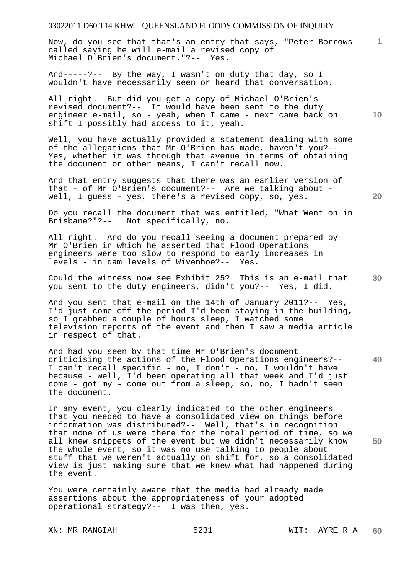**1** Now, do you see that that's an entry that says, "Peter Borrows called saying he will e-mail a revised copy of Michael O'Brien's document."?-- Yes.

And-----?-- By the way, I wasn't on duty that day, so I wouldn't have necessarily seen or heard that conversation.

**10**  All right. But did you get a copy of Michael O'Brien's revised document?-- It would have been sent to the duty engineer e-mail, so - yeah, when I came - next came back on shift I possibly had access to it, yeah.

Well, you have actually provided a statement dealing with some of the allegations that Mr O'Brien has made, haven't you?-- Yes, whether it was through that avenue in terms of obtaining the document or other means, I can't recall now.

And that entry suggests that there was an earlier version of that - of Mr O'Brien's document?-- Are we talking about well, I guess - yes, there's a revised copy, so, yes.

Do you recall the document that was entitled, "What Went on in Brisbane?"?-- Not specifically, no.

All right. And do you recall seeing a document prepared by Mr O'Brien in which he asserted that Flood Operations engineers were too slow to respond to early increases in levels - in dam levels of Wivenhoe?-- Yes.

Could the witness now see Exhibit 25? This is an e-mail that you sent to the duty engineers, didn't you?-- Yes, I did.

And you sent that e-mail on the 14th of January 2011?-- Yes, I'd just come off the period I'd been staying in the building, so I grabbed a couple of hours sleep, I watched some television reports of the event and then I saw a media article in respect of that.

**40**  And had you seen by that time Mr O'Brien's document criticising the actions of the Flood Operations engineers?-- I can't recall specific - no, I don't - no, I wouldn't have because - well, I'd been operating all that week and I'd just come - got my - come out from a sleep, so, no, I hadn't seen the document.

**50**  In any event, you clearly indicated to the other engineers that you needed to have a consolidated view on things before information was distributed?-- Well, that's in recognition that none of us were there for the total period of time, so we all knew snippets of the event but we didn't necessarily know the whole event, so it was no use talking to people about stuff that we weren't actually on shift for, so a consolidated view is just making sure that we knew what had happened during the event.

You were certainly aware that the media had already made assertions about the appropriateness of your adopted operational strategy?-- I was then, yes.

**20**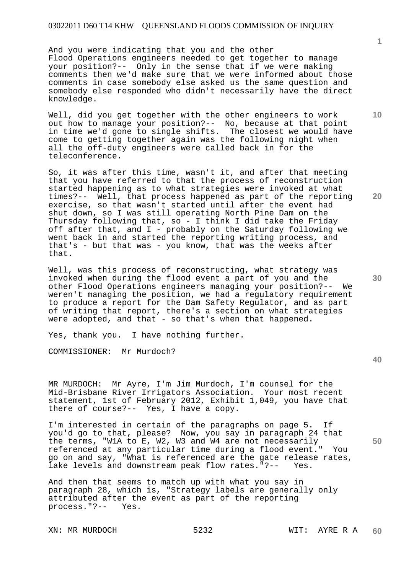And you were indicating that you and the other Flood Operations engineers needed to get together to manage your position?-- Only in the sense that if we were making comments then we'd make sure that we were informed about those comments in case somebody else asked us the same question and somebody else responded who didn't necessarily have the direct knowledge.

Well, did you get together with the other engineers to work out how to manage your position?-- No, because at that point in time we'd gone to single shifts. The closest we would have come to getting together again was the following night when all the off-duty engineers were called back in for the teleconference.

So, it was after this time, wasn't it, and after that meeting that you have referred to that the process of reconstruction started happening as to what strategies were invoked at what times?-- Well, that process happened as part of the reporting exercise, so that wasn't started until after the event had shut down, so I was still operating North Pine Dam on the Thursday following that, so - I think I did take the Friday off after that, and I - probably on the Saturday following we went back in and started the reporting writing process, and that's - but that was - you know, that was the weeks after that.

Well, was this process of reconstructing, what strategy was invoked when during the flood event a part of you and the other Flood Operations engineers managing your position?-- We weren't managing the position, we had a regulatory requirement to produce a report for the Dam Safety Regulator, and as part of writing that report, there's a section on what strategies were adopted, and that - so that's when that happened.

Yes, thank you. I have nothing further.

COMMISSIONER: Mr Murdoch?

MR MURDOCH: Mr Ayre, I'm Jim Murdoch, I'm counsel for the Mid-Brisbane River Irrigators Association. Your most recent statement, 1st of February 2012, Exhibit 1,049, you have that there of course?-- Yes, I have a copy.

I'm interested in certain of the paragraphs on page 5. If you'd go to that, please? Now, you say in paragraph 24 that the terms, "W1A to E, W2, W3 and W4 are not necessarily referenced at any particular time during a flood event." You go on and say, "What is referenced are the gate release rates, lake levels and downstream peak flow rates."?-- Yes.

And then that seems to match up with what you say in paragraph 28, which is, "Strategy labels are generally only attributed after the event as part of the reporting process."?-- Yes.

XN: MR MURDOCH 5232 WIT: AYRE R A

**10** 

**1**

**20** 

**30**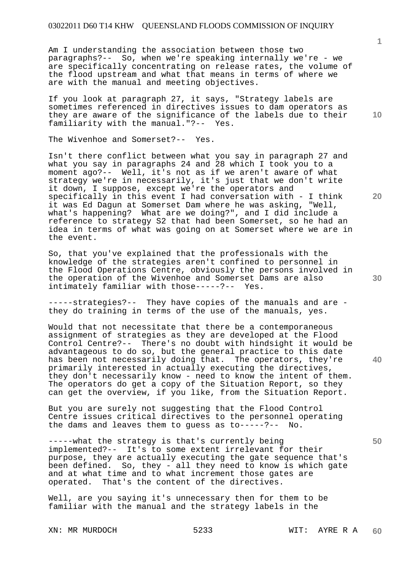Am I understanding the association between those two paragraphs?-- So, when we're speaking internally we're - we are specifically concentrating on release rates, the volume of the flood upstream and what that means in terms of where we are with the manual and meeting objectives.

If you look at paragraph 27, it says, "Strategy labels are sometimes referenced in directives issues to dam operators as they are aware of the significance of the labels due to their familiarity with the manual."?-- Yes.

The Wivenhoe and Somerset?-- Yes.

Isn't there conflict between what you say in paragraph 27 and what you say in paragraphs 24 and 28 which I took you to a moment ago?-- Well, it's not as if we aren't aware of what strategy we're in necessarily, it's just that we don't write it down, I suppose, except we're the operators and specifically in this event I had conversation with - I think it was Ed Dagun at Somerset Dam where he was asking, "Well, what's happening? What are we doing?", and I did include a reference to strategy S2 that had been Somerset, so he had an idea in terms of what was going on at Somerset where we are in the event.

So, that you've explained that the professionals with the knowledge of the strategies aren't confined to personnel in the Flood Operations Centre, obviously the persons involved in the operation of the Wivenhoe and Somerset Dams are also intimately familiar with those-----?-- Yes.

-----strategies?-- They have copies of the manuals and are they do training in terms of the use of the manuals, yes.

Would that not necessitate that there be a contemporaneous assignment of strategies as they are developed at the Flood Control Centre?-- There's no doubt with hindsight it would be advantageous to do so, but the general practice to this date has been not necessarily doing that. The operators, they're primarily interested in actually executing the directives, they don't necessarily know - need to know the intent of them. The operators do get a copy of the Situation Report, so they can get the overview, if you like, from the Situation Report.

But you are surely not suggesting that the Flood Control Centre issues critical directives to the personnel operating the dams and leaves them to guess as to-----?-- No.

-----what the strategy is that's currently being implemented?-- It's to some extent irrelevant for their purpose, they are actually executing the gate sequence that's been defined. So, they - all they need to know is which gate and at what time and to what increment those gates are operated. That's the content of the directives. That's the content of the directives.

Well, are you saying it's unnecessary then for them to be familiar with the manual and the strategy labels in the

XN: MR MURDOCH 5233 WIT: AYRE R A

**10** 

**1**

**20** 

**30** 

**50**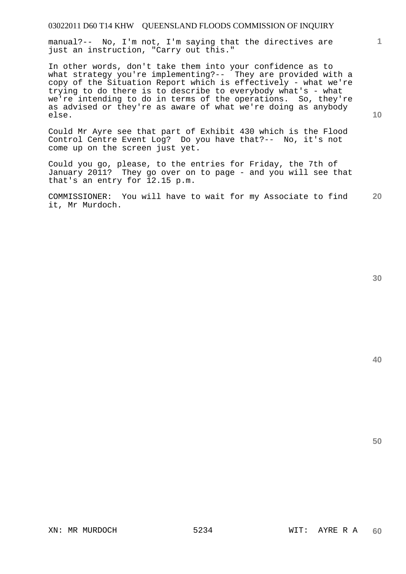manual?-- No, I'm not, I'm saying that the directives are just an instruction, "Carry out this."

In other words, don't take them into your confidence as to what strategy you're implementing?-- They are provided with a copy of the Situation Report which is effectively - what we're trying to do there is to describe to everybody what's - what we're intending to do in terms of the operations. So, they're as advised or they're as aware of what we're doing as anybody else.

Could Mr Ayre see that part of Exhibit 430 which is the Flood Control Centre Event Log? Do you have that?-- No, it's not come up on the screen just yet.

Could you go, please, to the entries for Friday, the 7th of January 2011? They go over on to page - and you will see that that's an entry for 12.15 p.m.

**20**  COMMISSIONER: You will have to wait for my Associate to find it, Mr Murdoch.

**30** 

**50** 

**1**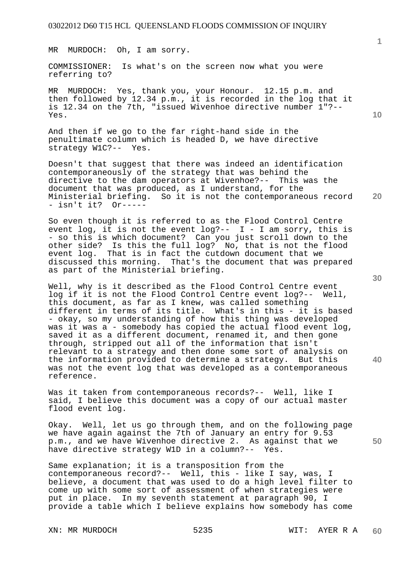MR MURDOCH: Oh, I am sorry.

COMMISSIONER: Is what's on the screen now what you were referring to?

MR MURDOCH: Yes, thank you, your Honour. 12.15 p.m. and then followed by 12.34 p.m., it is recorded in the log that it is 12.34 on the 7th, "issued Wivenhoe directive number 1"?-- Yes.

And then if we go to the far right-hand side in the penultimate column which is headed D, we have directive strategy W1C?-- Yes.

Doesn't that suggest that there was indeed an identification contemporaneously of the strategy that was behind the directive to the dam operators at Wivenhoe?-- This was the document that was produced, as I understand, for the Ministerial briefing. So it is not the contemporaneous record<br>- isn't it? Or------ isn't it?

So even though it is referred to as the Flood Control Centre event log, it is not the event log ?--  $I - I$  am sorry, this is - so this is which document? Can you just scroll down to the other side? Is this the full log? No, that is not the flood event log. That is in fact the cutdown document that we discussed this morning. That's the document that was prepared as part of the Ministerial briefing.

Well, why is it described as the Flood Control Centre event log if it is not the Flood Control Centre event log?-- Well, this document, as far as I knew, was called something different in terms of its title. What's in this - it is based - okay, so my understanding of how this thing was developed was it was a - somebody has copied the actual flood event log, saved it as a different document, renamed it, and then gone through, stripped out all of the information that isn't relevant to a strategy and then done some sort of analysis on the information provided to determine a strategy. But this was not the event log that was developed as a contemporaneous reference.

Was it taken from contemporaneous records?-- Well, like I said, I believe this document was a copy of our actual master flood event log.

Okay. Well, let us go through them, and on the following page we have again against the 7th of January an entry for 9.53 p.m., and we have Wivenhoe directive 2. As against that we have directive strategy W1D in a column?-- Yes.

Same explanation; it is a transposition from the contemporaneous record?-- Well, this - like I say, was, I believe, a document that was used to do a high level filter to come up with some sort of assessment of when strategies were put in place. In my seventh statement at paragraph 90, I provide a table which I believe explains how somebody has come

XN: MR MURDOCH 5235 WIT: AYER R A

**20** 

**10** 

**1**

**30** 

**40**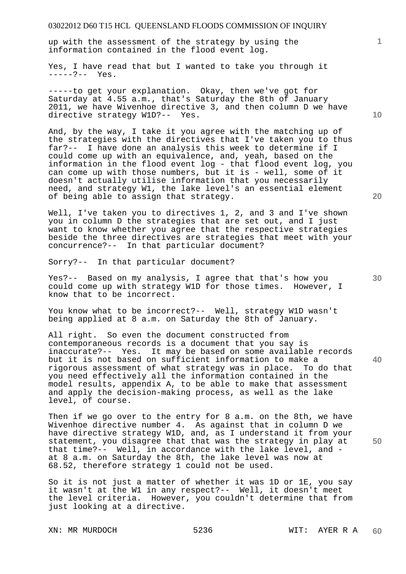up with the assessment of the strategy by using the information contained in the flood event log.

Yes, I have read that but I wanted to take you through it -----?-- Yes.

-----to get your explanation. Okay, then we've got for Saturday at 4.55 a.m., that's Saturday the 8th of January 2011, we have Wivenhoe directive 3, and then column D we have directive strategy W1D?-- Yes.

And, by the way, I take it you agree with the matching up of the strategies with the directives that I've taken you to thus far?-- I have done an analysis this week to determine if I could come up with an equivalence, and, yeah, based on the information in the flood event log - that flood event log, you can come up with those numbers, but it is - well, some of it doesn't actually utilise information that you necessarily need, and strategy W1, the lake level's an essential element of being able to assign that strategy.

Well, I've taken you to directives 1, 2, and 3 and I've shown you in column D the strategies that are set out, and I just want to know whether you agree that the respective strategies beside the three directives are strategies that meet with your concurrence?-- In that particular document?

Sorry?-- In that particular document?

Yes?-- Based on my analysis, I agree that that's how you could come up with strategy W1D for those times. However, I know that to be incorrect.

You know what to be incorrect?-- Well, strategy W1D wasn't being applied at 8 a.m. on Saturday the 8th of January.

All right. So even the document constructed from contemporaneous records is a document that you say is inaccurate?-- Yes. It may be based on some available records but it is not based on sufficient information to make a rigorous assessment of what strategy was in place. To do that you need effectively all the information contained in the model results, appendix A, to be able to make that assessment and apply the decision-making process, as well as the lake level, of course.

Then if we go over to the entry for 8 a.m. on the 8th, we have Wivenhoe directive number 4. As against that in column D we have directive strategy W1D, and, as I understand it from your statement, you disagree that that was the strategy in play at that time?-- Well, in accordance with the lake level, and at 8 a.m. on Saturday the 8th, the lake level was now at 68.52, therefore strategy 1 could not be used.

So it is not just a matter of whether it was 1D or 1E, you say it wasn't at the W1 in any respect?-- Well, it doesn't meet the level criteria. However, you couldn't determine that from just looking at a directive.

**10** 

**1**

**20** 

**30** 

**40**